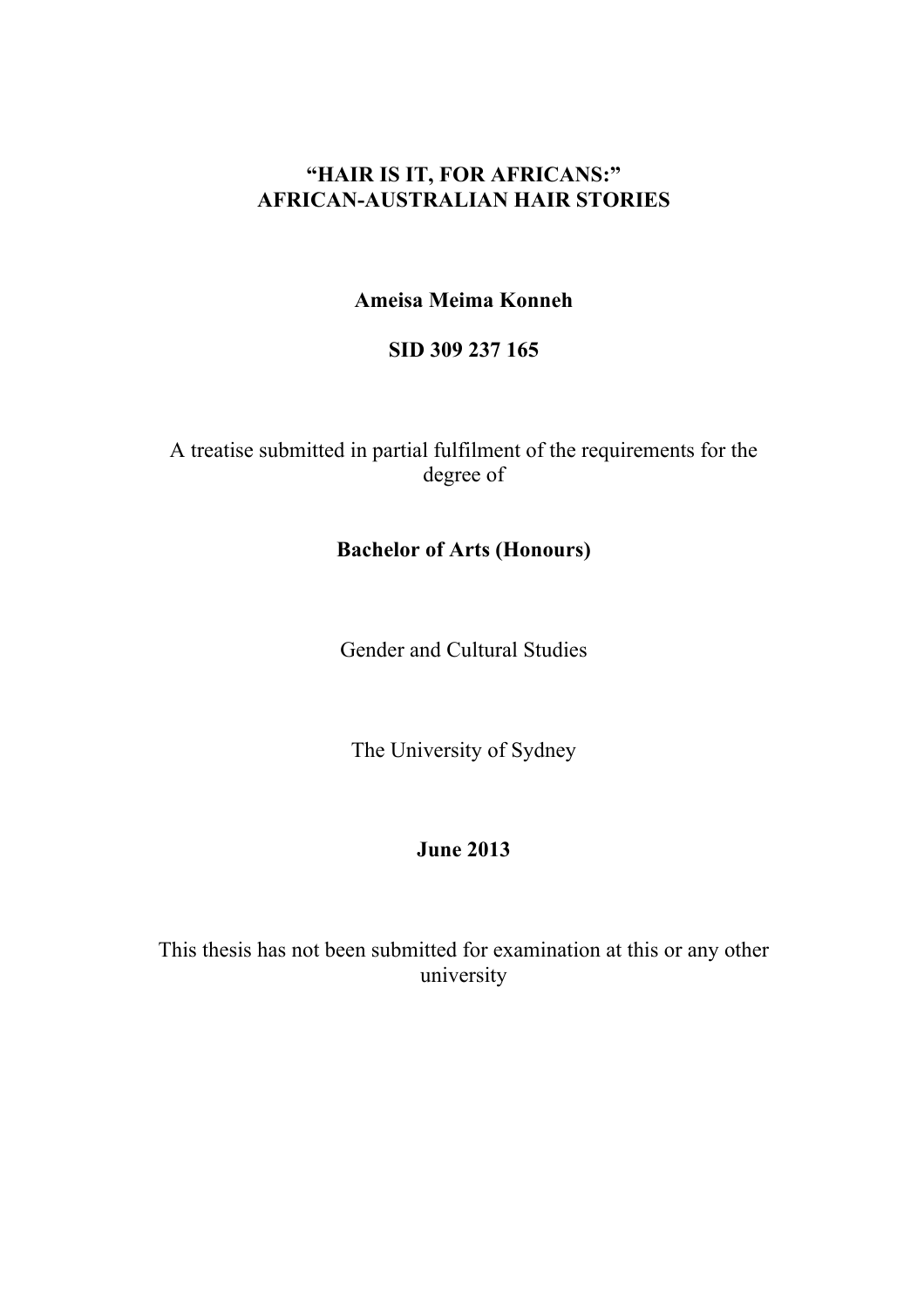# **"HAIR IS IT, FOR AFRICANS:" AFRICAN-AUSTRALIAN HAIR STORIES**

**Ameisa Meima Konneh**

**SID 309 237 165**

A treatise submitted in partial fulfilment of the requirements for the degree of

## **Bachelor of Arts (Honours)**

Gender and Cultural Studies

The University of Sydney

# **June 2013**

This thesis has not been submitted for examination at this or any other university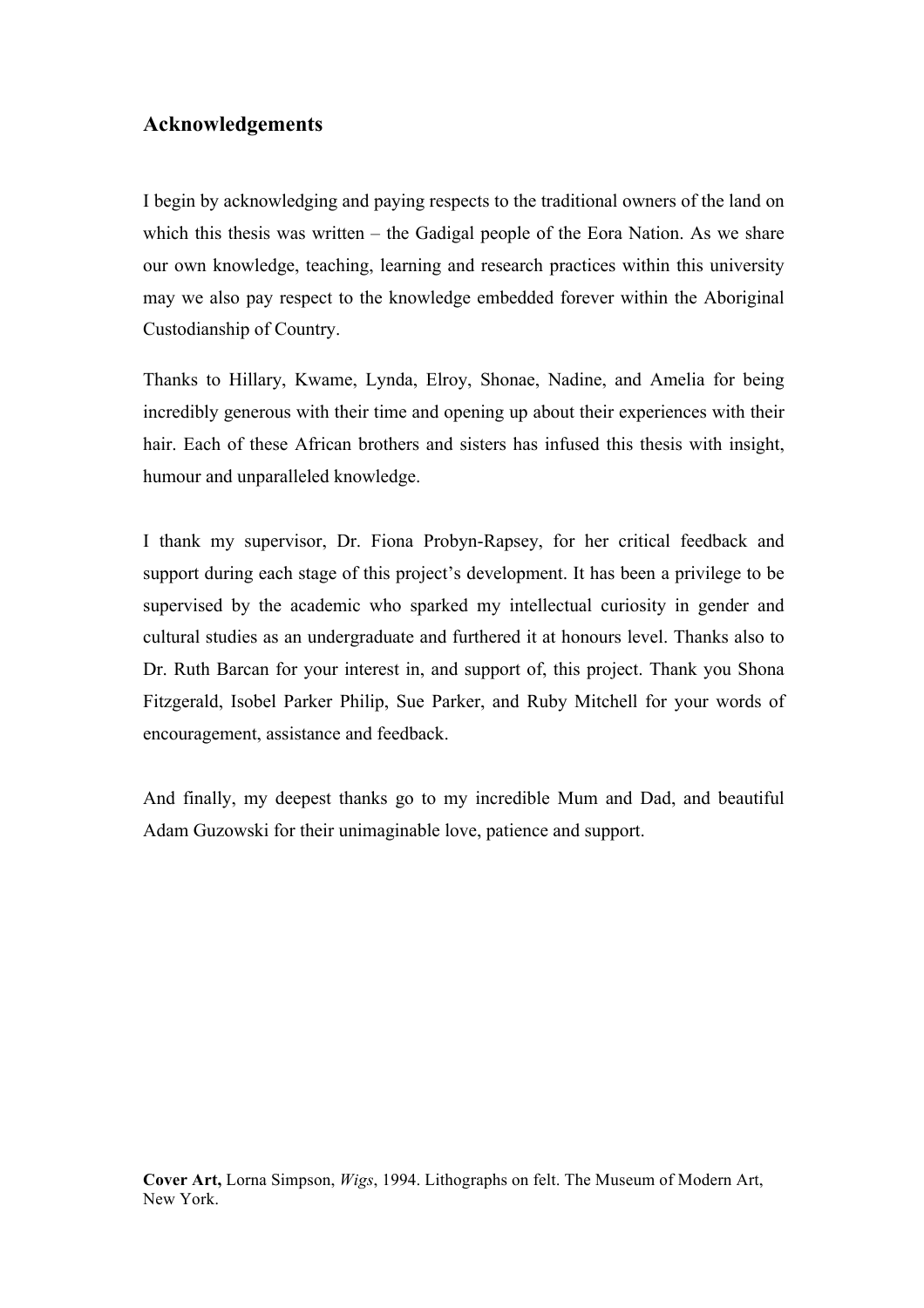#### **Acknowledgements**

I begin by acknowledging and paying respects to the traditional owners of the land on which this thesis was written – the Gadigal people of the Eora Nation. As we share our own knowledge, teaching, learning and research practices within this university may we also pay respect to the knowledge embedded forever within the Aboriginal Custodianship of Country.

Thanks to Hillary, Kwame, Lynda, Elroy, Shonae, Nadine, and Amelia for being incredibly generous with their time and opening up about their experiences with their hair. Each of these African brothers and sisters has infused this thesis with insight, humour and unparalleled knowledge.

I thank my supervisor, Dr. Fiona Probyn-Rapsey, for her critical feedback and support during each stage of this project's development. It has been a privilege to be supervised by the academic who sparked my intellectual curiosity in gender and cultural studies as an undergraduate and furthered it at honours level. Thanks also to Dr. Ruth Barcan for your interest in, and support of, this project. Thank you Shona Fitzgerald, Isobel Parker Philip, Sue Parker, and Ruby Mitchell for your words of encouragement, assistance and feedback.

And finally, my deepest thanks go to my incredible Mum and Dad, and beautiful Adam Guzowski for their unimaginable love, patience and support.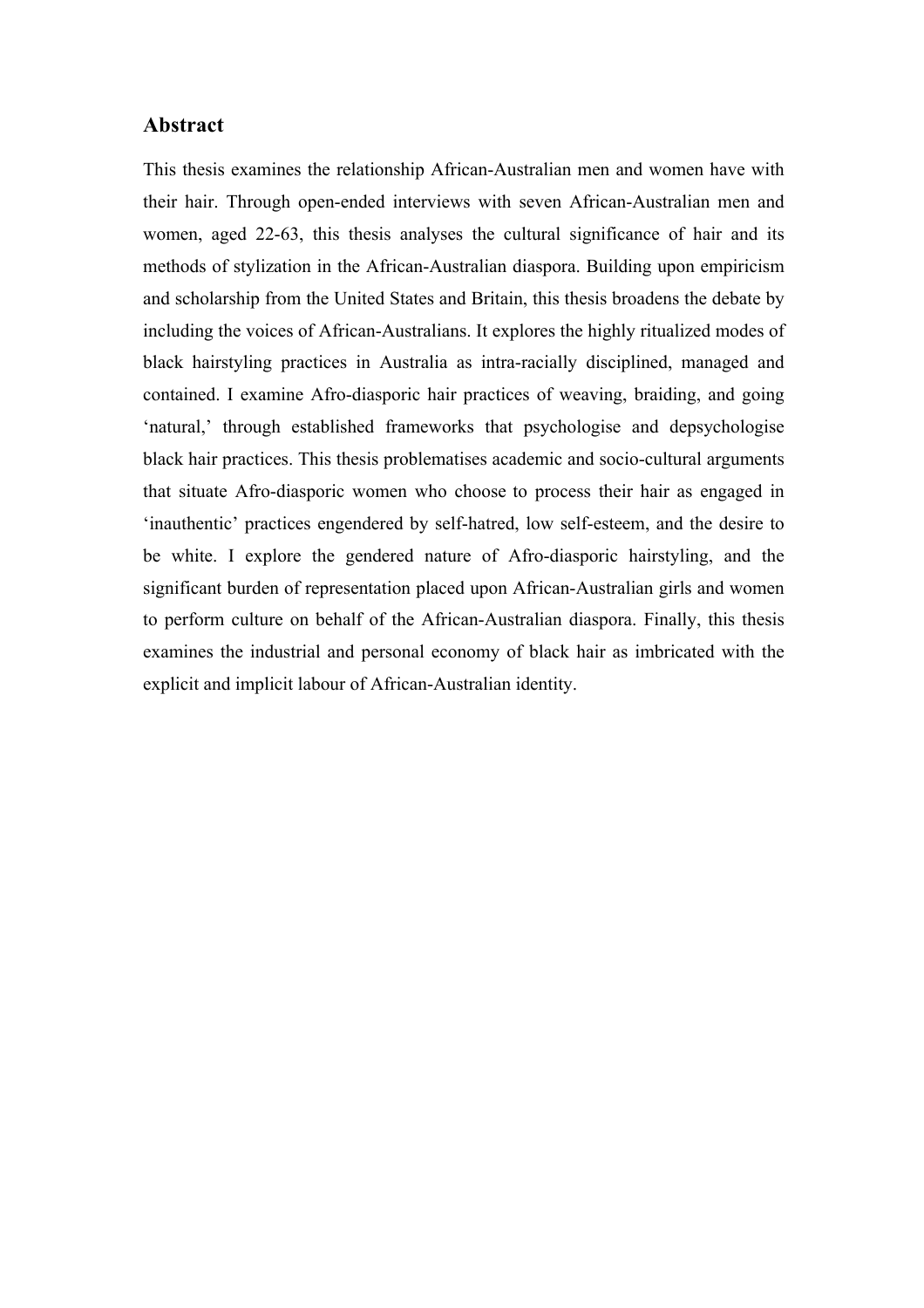#### **Abstract**

This thesis examines the relationship African-Australian men and women have with their hair. Through open-ended interviews with seven African-Australian men and women, aged 22-63, this thesis analyses the cultural significance of hair and its methods of stylization in the African-Australian diaspora. Building upon empiricism and scholarship from the United States and Britain, this thesis broadens the debate by including the voices of African-Australians. It explores the highly ritualized modes of black hairstyling practices in Australia as intra-racially disciplined, managed and contained. I examine Afro-diasporic hair practices of weaving, braiding, and going 'natural,' through established frameworks that psychologise and depsychologise black hair practices. This thesis problematises academic and socio-cultural arguments that situate Afro-diasporic women who choose to process their hair as engaged in 'inauthentic' practices engendered by self-hatred, low self-esteem, and the desire to be white. I explore the gendered nature of Afro-diasporic hairstyling, and the significant burden of representation placed upon African-Australian girls and women to perform culture on behalf of the African-Australian diaspora. Finally, this thesis examines the industrial and personal economy of black hair as imbricated with the explicit and implicit labour of African-Australian identity.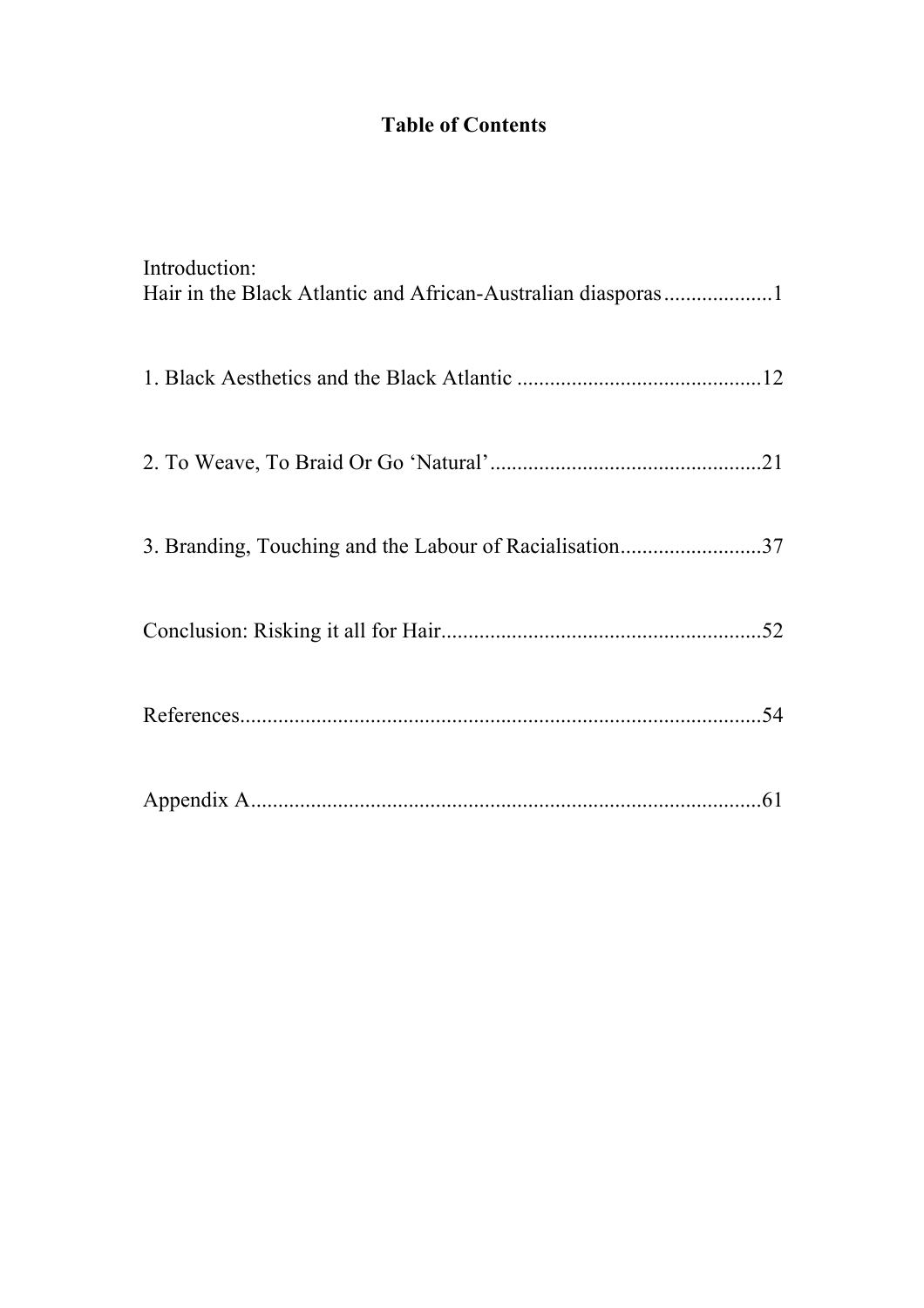# **Table of Contents**

| Introduction:                                           |
|---------------------------------------------------------|
|                                                         |
|                                                         |
| 3. Branding, Touching and the Labour of Racialisation37 |
|                                                         |
|                                                         |
|                                                         |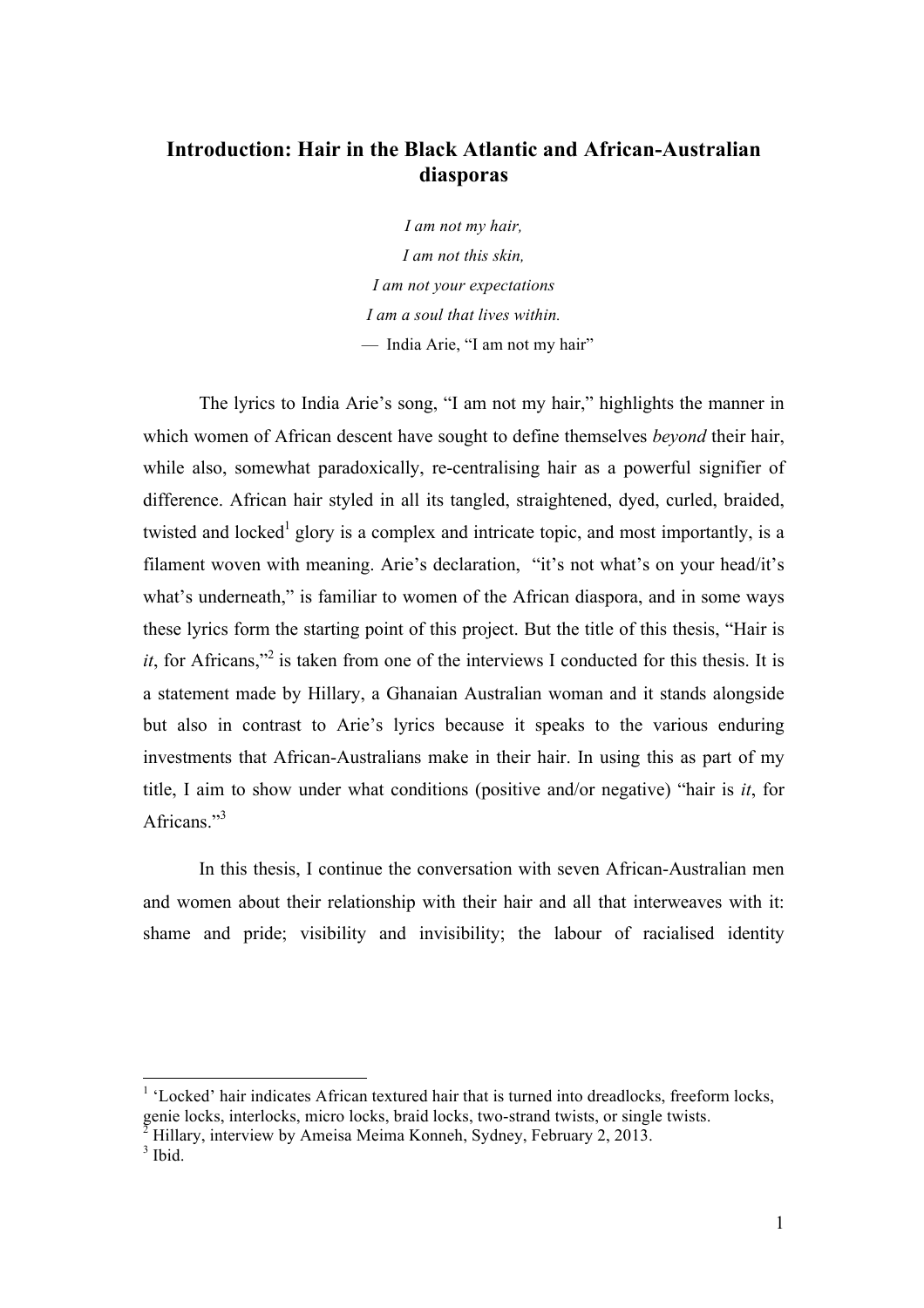## **Introduction: Hair in the Black Atlantic and African-Australian diasporas**

*I am not my hair, I am not this skin, I am not your expectations I am a soul that lives within.* — India Arie, "I am not my hair"

The lyrics to India Arie's song, "I am not my hair," highlights the manner in which women of African descent have sought to define themselves *beyond* their hair, while also, somewhat paradoxically, re-centralising hair as a powerful signifier of difference. African hair styled in all its tangled, straightened, dyed, curled, braided, twisted and locked<sup>1</sup> glory is a complex and intricate topic, and most importantly, is a filament woven with meaning. Arie's declaration, "it's not what's on your head/it's what's underneath," is familiar to women of the African diaspora, and in some ways these lyrics form the starting point of this project. But the title of this thesis, "Hair is *it*, for Africans,"<sup>2</sup> is taken from one of the interviews I conducted for this thesis. It is a statement made by Hillary, a Ghanaian Australian woman and it stands alongside but also in contrast to Arie's lyrics because it speaks to the various enduring investments that African-Australians make in their hair. In using this as part of my title, I aim to show under what conditions (positive and/or negative) "hair is *it*, for Africans."<sup>3</sup>

In this thesis, I continue the conversation with seven African-Australian men and women about their relationship with their hair and all that interweaves with it: shame and pride; visibility and invisibility; the labour of racialised identity

<sup>1</sup> 'Locked' hair indicates African textured hair that is turned into dreadlocks, freeform locks, genie locks, interlocks, micro locks, braid locks, two-strand twists, or single twists.

<sup>2</sup> Hillary, interview by Ameisa Meima Konneh, Sydney, February 2, 2013.

 $3$  Ibid.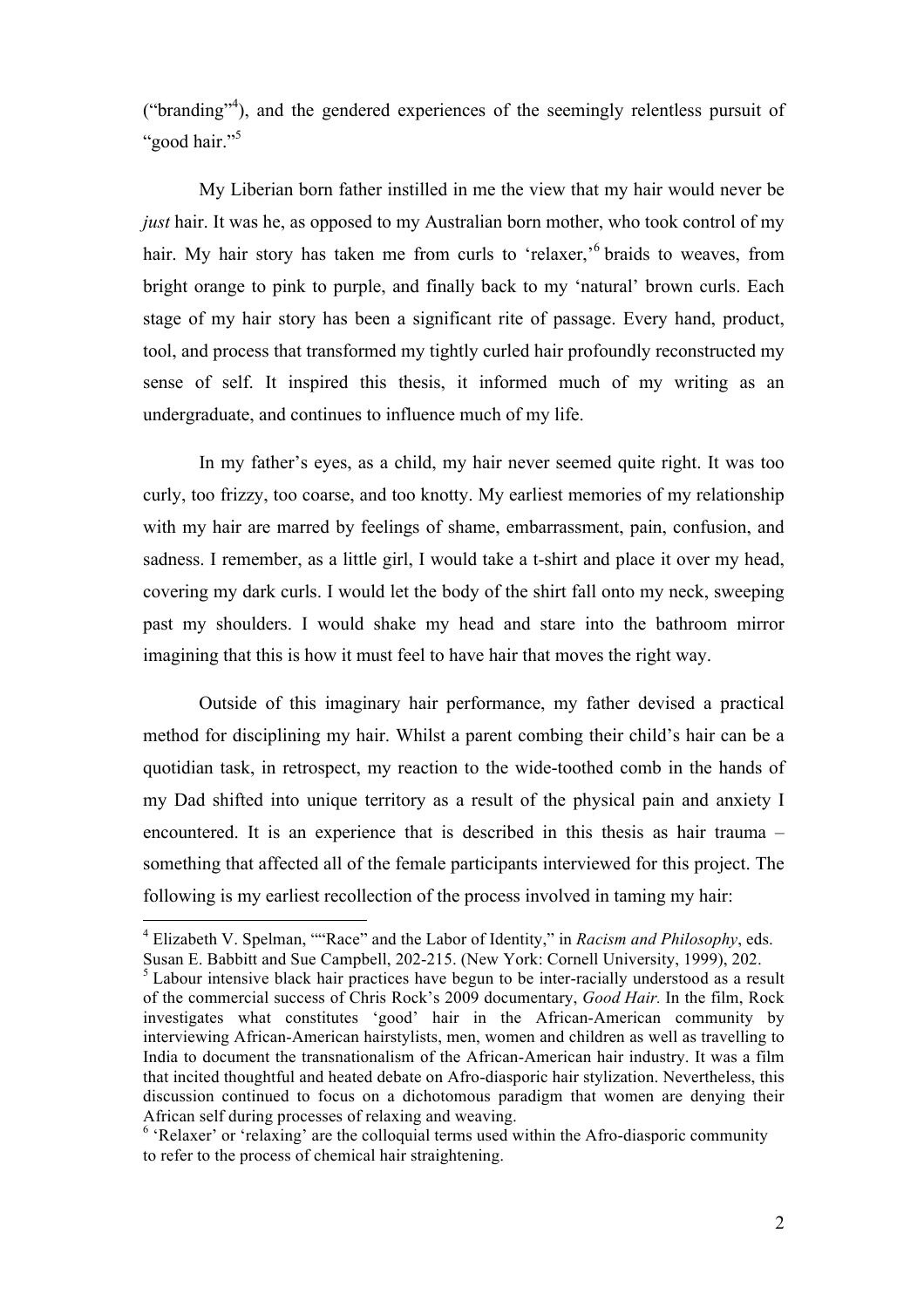("branding"<sup>4</sup> ), and the gendered experiences of the seemingly relentless pursuit of "good hair."<sup>5</sup>

My Liberian born father instilled in me the view that my hair would never be *just* hair. It was he, as opposed to my Australian born mother, who took control of my hair. My hair story has taken me from curls to 'relaxer,'<sup>6</sup> braids to weaves, from bright orange to pink to purple, and finally back to my 'natural' brown curls. Each stage of my hair story has been a significant rite of passage. Every hand, product, tool, and process that transformed my tightly curled hair profoundly reconstructed my sense of self. It inspired this thesis, it informed much of my writing as an undergraduate, and continues to influence much of my life.

In my father's eyes, as a child, my hair never seemed quite right. It was too curly, too frizzy, too coarse, and too knotty. My earliest memories of my relationship with my hair are marred by feelings of shame, embarrassment, pain, confusion, and sadness. I remember, as a little girl, I would take a t-shirt and place it over my head, covering my dark curls. I would let the body of the shirt fall onto my neck, sweeping past my shoulders. I would shake my head and stare into the bathroom mirror imagining that this is how it must feel to have hair that moves the right way.

Outside of this imaginary hair performance, my father devised a practical method for disciplining my hair. Whilst a parent combing their child's hair can be a quotidian task, in retrospect, my reaction to the wide-toothed comb in the hands of my Dad shifted into unique territory as a result of the physical pain and anxiety I encountered. It is an experience that is described in this thesis as hair trauma – something that affected all of the female participants interviewed for this project. The following is my earliest recollection of the process involved in taming my hair:

<sup>4</sup> Elizabeth V. Spelman, ""Race" and the Labor of Identity," in *Racism and Philosophy*, eds. Susan E. Babbitt and Sue Campbell, 202-215. (New York: Cornell University, 1999), 202.

<sup>&</sup>lt;sup>5</sup> Labour intensive black hair practices have begun to be inter-racially understood as a result of the commercial success of Chris Rock's 2009 documentary, *Good Hair.* In the film, Rock investigates what constitutes 'good' hair in the African-American community by interviewing African-American hairstylists, men, women and children as well as travelling to India to document the transnationalism of the African-American hair industry. It was a film that incited thoughtful and heated debate on Afro-diasporic hair stylization. Nevertheless, this discussion continued to focus on a dichotomous paradigm that women are denying their African self during processes of relaxing and weaving.

<sup>&</sup>lt;sup>6</sup> 'Relaxer' or 'relaxing' are the colloquial terms used within the Afro-diasporic community to refer to the process of chemical hair straightening.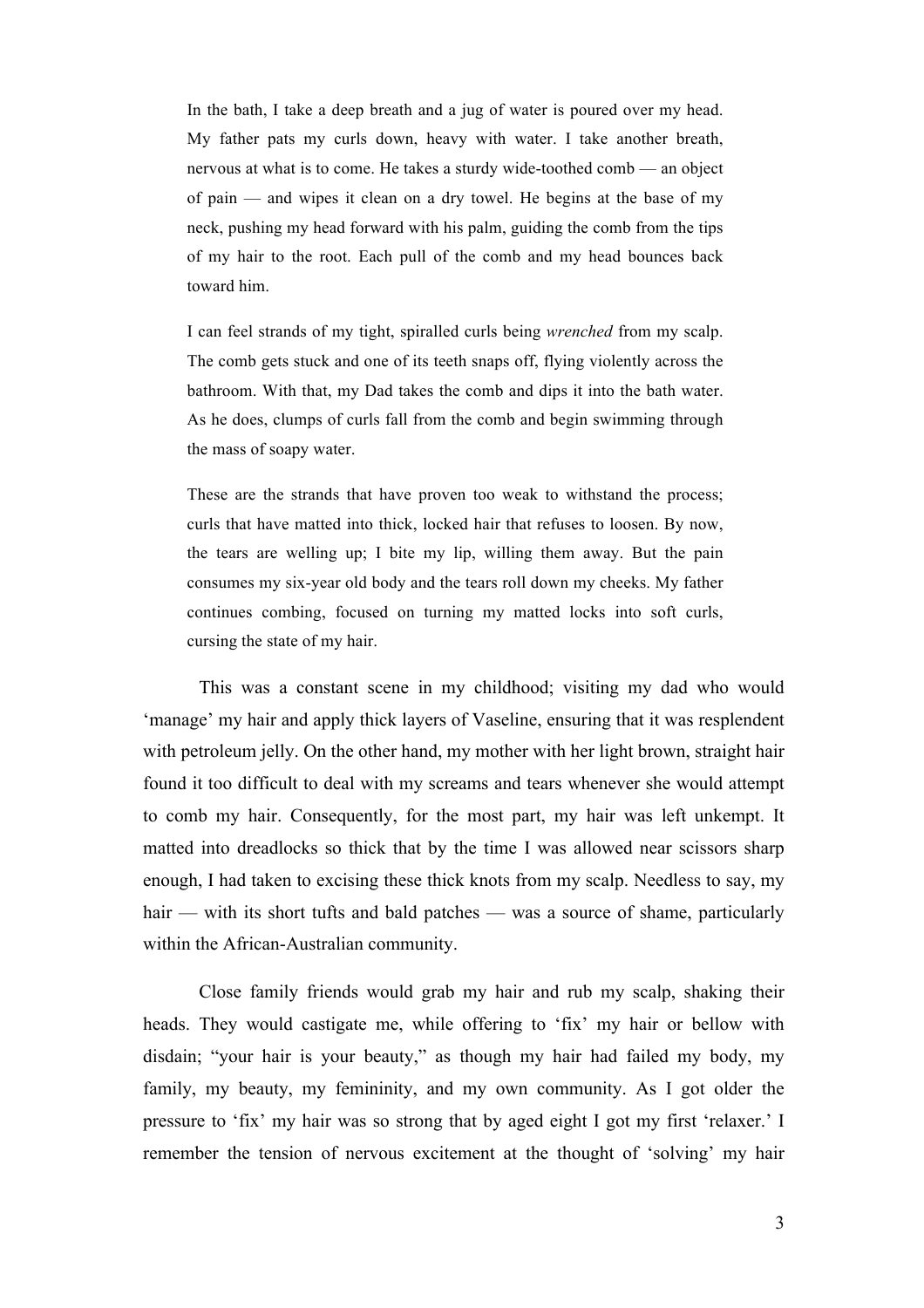In the bath, I take a deep breath and a jug of water is poured over my head. My father pats my curls down, heavy with water. I take another breath, nervous at what is to come. He takes a sturdy wide-toothed comb — an object of pain — and wipes it clean on a dry towel. He begins at the base of my neck, pushing my head forward with his palm, guiding the comb from the tips of my hair to the root. Each pull of the comb and my head bounces back toward him.

I can feel strands of my tight, spiralled curls being *wrenched* from my scalp. The comb gets stuck and one of its teeth snaps off, flying violently across the bathroom. With that, my Dad takes the comb and dips it into the bath water. As he does, clumps of curls fall from the comb and begin swimming through the mass of soapy water.

These are the strands that have proven too weak to withstand the process; curls that have matted into thick, locked hair that refuses to loosen. By now, the tears are welling up; I bite my lip, willing them away. But the pain consumes my six-year old body and the tears roll down my cheeks. My father continues combing, focused on turning my matted locks into soft curls, cursing the state of my hair.

This was a constant scene in my childhood; visiting my dad who would 'manage' my hair and apply thick layers of Vaseline, ensuring that it was resplendent with petroleum jelly. On the other hand, my mother with her light brown, straight hair found it too difficult to deal with my screams and tears whenever she would attempt to comb my hair. Consequently, for the most part, my hair was left unkempt. It matted into dreadlocks so thick that by the time I was allowed near scissors sharp enough, I had taken to excising these thick knots from my scalp. Needless to say, my hair — with its short tufts and bald patches — was a source of shame, particularly within the African-Australian community.

Close family friends would grab my hair and rub my scalp, shaking their heads. They would castigate me, while offering to 'fix' my hair or bellow with disdain; "your hair is your beauty," as though my hair had failed my body, my family, my beauty, my femininity, and my own community. As I got older the pressure to 'fix' my hair was so strong that by aged eight I got my first 'relaxer.' I remember the tension of nervous excitement at the thought of 'solving' my hair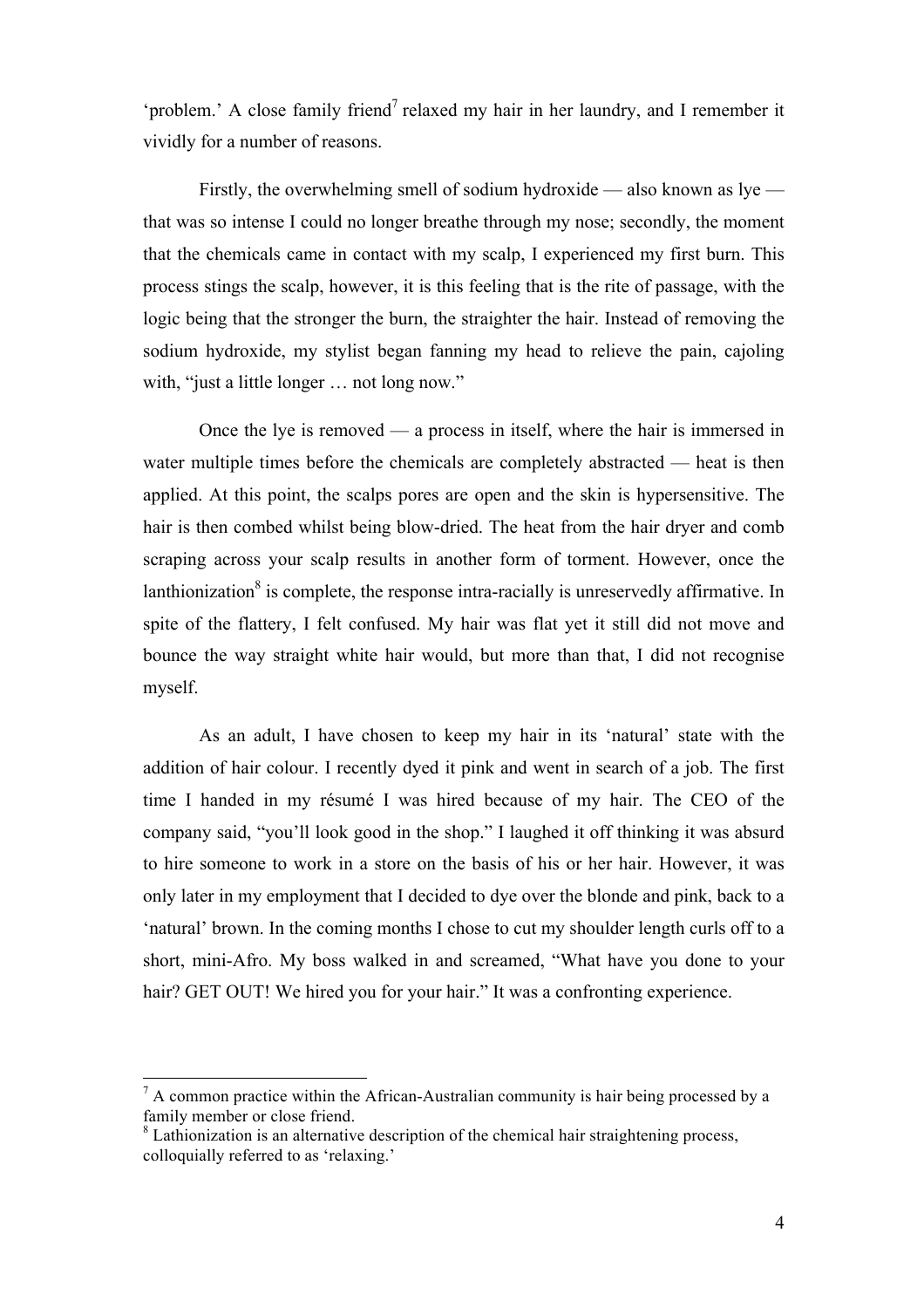'problem.' A close family friend<sup>7</sup> relaxed my hair in her laundry, and I remember it vividly for a number of reasons.

Firstly, the overwhelming smell of sodium hydroxide — also known as  $lye$  that was so intense I could no longer breathe through my nose; secondly, the moment that the chemicals came in contact with my scalp, I experienced my first burn. This process stings the scalp, however, it is this feeling that is the rite of passage, with the logic being that the stronger the burn, the straighter the hair. Instead of removing the sodium hydroxide, my stylist began fanning my head to relieve the pain, cajoling with, "just a little longer ... not long now."

Once the lye is removed — a process in itself, where the hair is immersed in water multiple times before the chemicals are completely abstracted — heat is then applied. At this point, the scalps pores are open and the skin is hypersensitive. The hair is then combed whilst being blow-dried. The heat from the hair dryer and comb scraping across your scalp results in another form of torment. However, once the lanthionization<sup>8</sup> is complete, the response intra-racially is unreservedly affirmative. In spite of the flattery, I felt confused. My hair was flat yet it still did not move and bounce the way straight white hair would, but more than that, I did not recognise myself.

As an adult, I have chosen to keep my hair in its 'natural' state with the addition of hair colour. I recently dyed it pink and went in search of a job. The first time I handed in my résumé I was hired because of my hair. The CEO of the company said, "you'll look good in the shop." I laughed it off thinking it was absurd to hire someone to work in a store on the basis of his or her hair. However, it was only later in my employment that I decided to dye over the blonde and pink, back to a 'natural' brown. In the coming months I chose to cut my shoulder length curls off to a short, mini-Afro. My boss walked in and screamed, "What have you done to your hair? GET OUT! We hired you for your hair." It was a confronting experience.

 $<sup>7</sup>$  A common practice within the African-Australian community is hair being processed by a</sup> family member or close friend.

<sup>&</sup>lt;sup>8</sup> Lathionization is an alternative description of the chemical hair straightening process, colloquially referred to as 'relaxing.'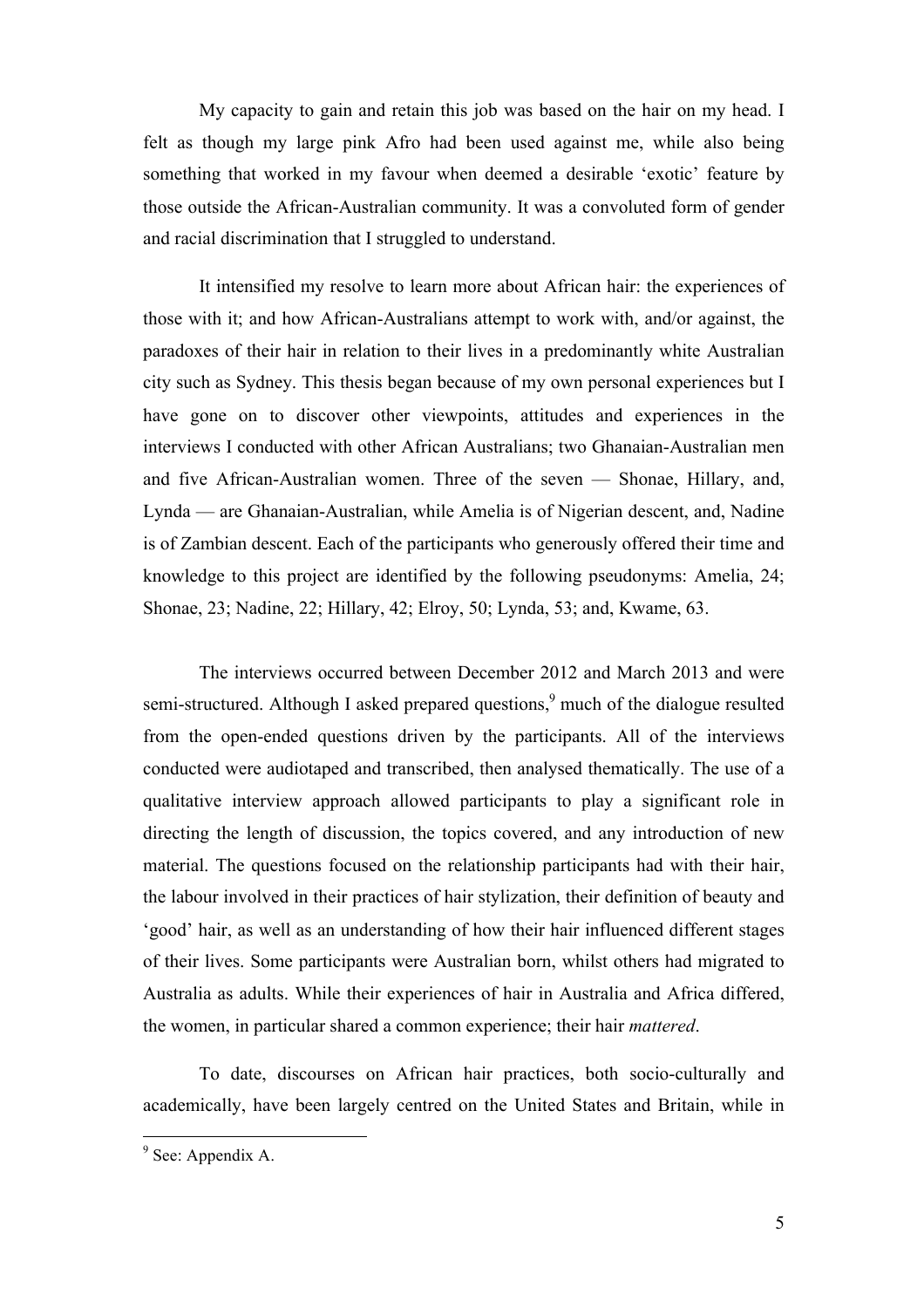My capacity to gain and retain this job was based on the hair on my head. I felt as though my large pink Afro had been used against me, while also being something that worked in my favour when deemed a desirable 'exotic' feature by those outside the African-Australian community. It was a convoluted form of gender and racial discrimination that I struggled to understand.

It intensified my resolve to learn more about African hair: the experiences of those with it; and how African-Australians attempt to work with, and/or against, the paradoxes of their hair in relation to their lives in a predominantly white Australian city such as Sydney. This thesis began because of my own personal experiences but I have gone on to discover other viewpoints, attitudes and experiences in the interviews I conducted with other African Australians; two Ghanaian-Australian men and five African-Australian women. Three of the seven — Shonae, Hillary, and, Lynda — are Ghanaian-Australian, while Amelia is of Nigerian descent, and, Nadine is of Zambian descent. Each of the participants who generously offered their time and knowledge to this project are identified by the following pseudonyms: Amelia, 24; Shonae, 23; Nadine, 22; Hillary, 42; Elroy, 50; Lynda, 53; and, Kwame, 63.

The interviews occurred between December 2012 and March 2013 and were semi-structured. Although I asked prepared questions,<sup>9</sup> much of the dialogue resulted from the open-ended questions driven by the participants. All of the interviews conducted were audiotaped and transcribed, then analysed thematically. The use of a qualitative interview approach allowed participants to play a significant role in directing the length of discussion, the topics covered, and any introduction of new material. The questions focused on the relationship participants had with their hair, the labour involved in their practices of hair stylization, their definition of beauty and 'good' hair, as well as an understanding of how their hair influenced different stages of their lives. Some participants were Australian born, whilst others had migrated to Australia as adults. While their experiences of hair in Australia and Africa differed, the women, in particular shared a common experience; their hair *mattered*.

To date, discourses on African hair practices, both socio-culturally and academically, have been largely centred on the United States and Britain, while in

 $9$  See: Appendix A.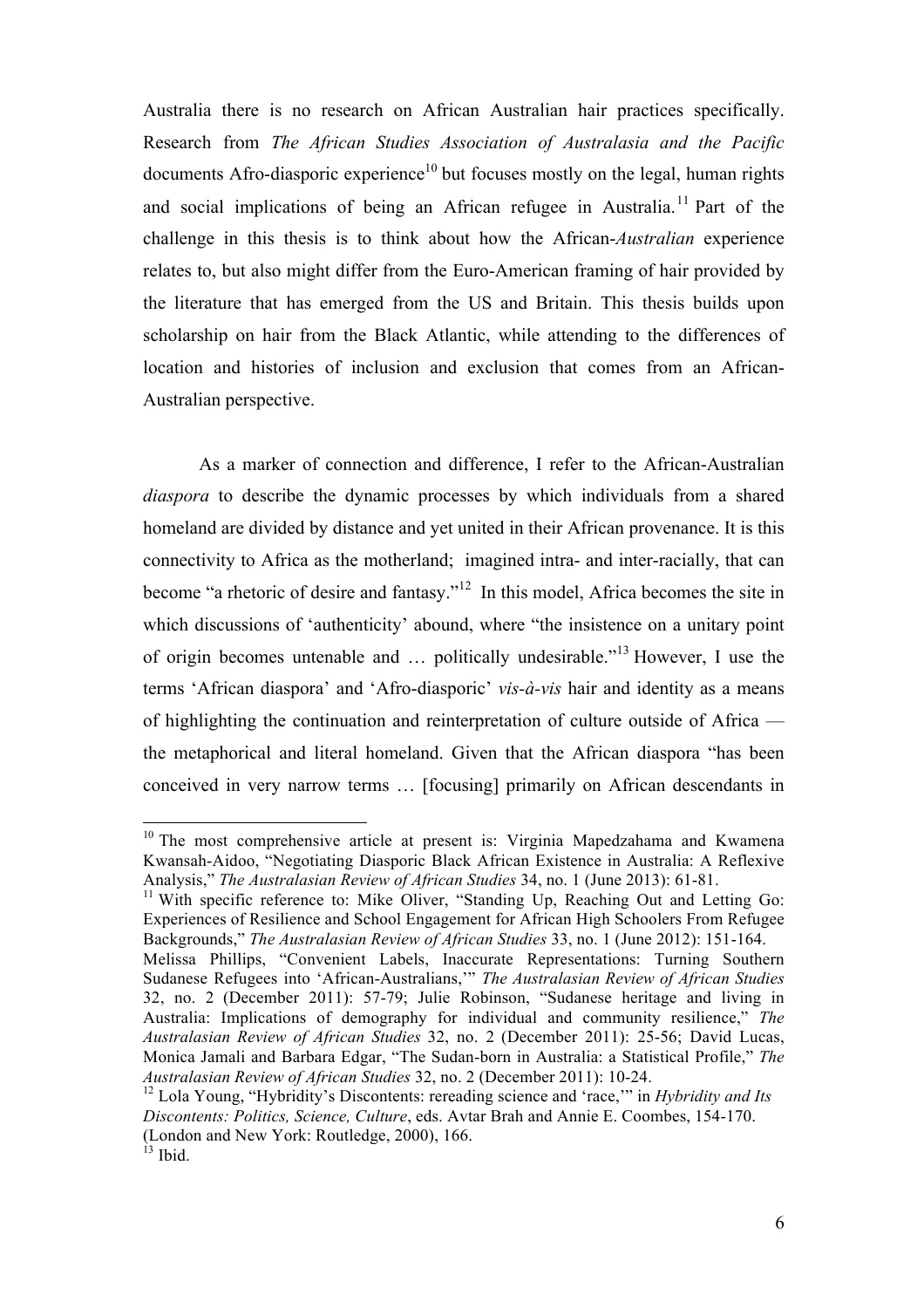Australia there is no research on African Australian hair practices specifically. Research from *The African Studies Association of Australasia and the Pacific* documents Afro-diasporic experience<sup>10</sup> but focuses mostly on the legal, human rights and social implications of being an African refugee in Australia.<sup>11</sup> Part of the challenge in this thesis is to think about how the African-*Australian* experience relates to, but also might differ from the Euro-American framing of hair provided by the literature that has emerged from the US and Britain. This thesis builds upon scholarship on hair from the Black Atlantic, while attending to the differences of location and histories of inclusion and exclusion that comes from an African-Australian perspective.

As a marker of connection and difference, I refer to the African-Australian *diaspora* to describe the dynamic processes by which individuals from a shared homeland are divided by distance and yet united in their African provenance. It is this connectivity to Africa as the motherland; imagined intra- and inter-racially, that can become "a rhetoric of desire and fantasy."<sup>12</sup> In this model, Africa becomes the site in which discussions of 'authenticity' abound, where "the insistence on a unitary point of origin becomes untenable and … politically undesirable." <sup>13</sup> However, I use the terms 'African diaspora' and 'Afro-diasporic' *vis-à-vis* hair and identity as a means of highlighting the continuation and reinterpretation of culture outside of Africa the metaphorical and literal homeland. Given that the African diaspora "has been conceived in very narrow terms … [focusing] primarily on African descendants in

<sup>&</sup>lt;sup>10</sup> The most comprehensive article at present is: Virginia Mapedzahama and Kwamena Kwansah-Aidoo, "Negotiating Diasporic Black African Existence in Australia: A Reflexive Analysis," *The Australasian Review of African Studies* 34, no. 1 (June 2013): 61-81.

<sup>&</sup>lt;sup>11</sup> With specific reference to: Mike Oliver, "Standing Up, Reaching Out and Letting Go: Experiences of Resilience and School Engagement for African High Schoolers From Refugee Backgrounds," *The Australasian Review of African Studies* 33, no. 1 (June 2012): 151-164.

Melissa Phillips, "Convenient Labels, Inaccurate Representations: Turning Southern Sudanese Refugees into 'African-Australians,'" *The Australasian Review of African Studies*  32, no. 2 (December 2011): 57-79; Julie Robinson, "Sudanese heritage and living in Australia: Implications of demography for individual and community resilience," *The Australasian Review of African Studies* 32, no. 2 (December 2011): 25-56; David Lucas, Monica Jamali and Barbara Edgar, "The Sudan-born in Australia: a Statistical Profile," *The Australasian Review of African Studies* 32, no. 2 (December 2011): 10-24.

<sup>&</sup>lt;sup>12</sup> Lola Young, "Hybridity's Discontents: rereading science and 'race," in *Hybridity and Its Discontents: Politics, Science, Culture*, eds. Avtar Brah and Annie E. Coombes, 154-170. (London and New York: Routledge, 2000), 166.

 $^{13}$  Ibid.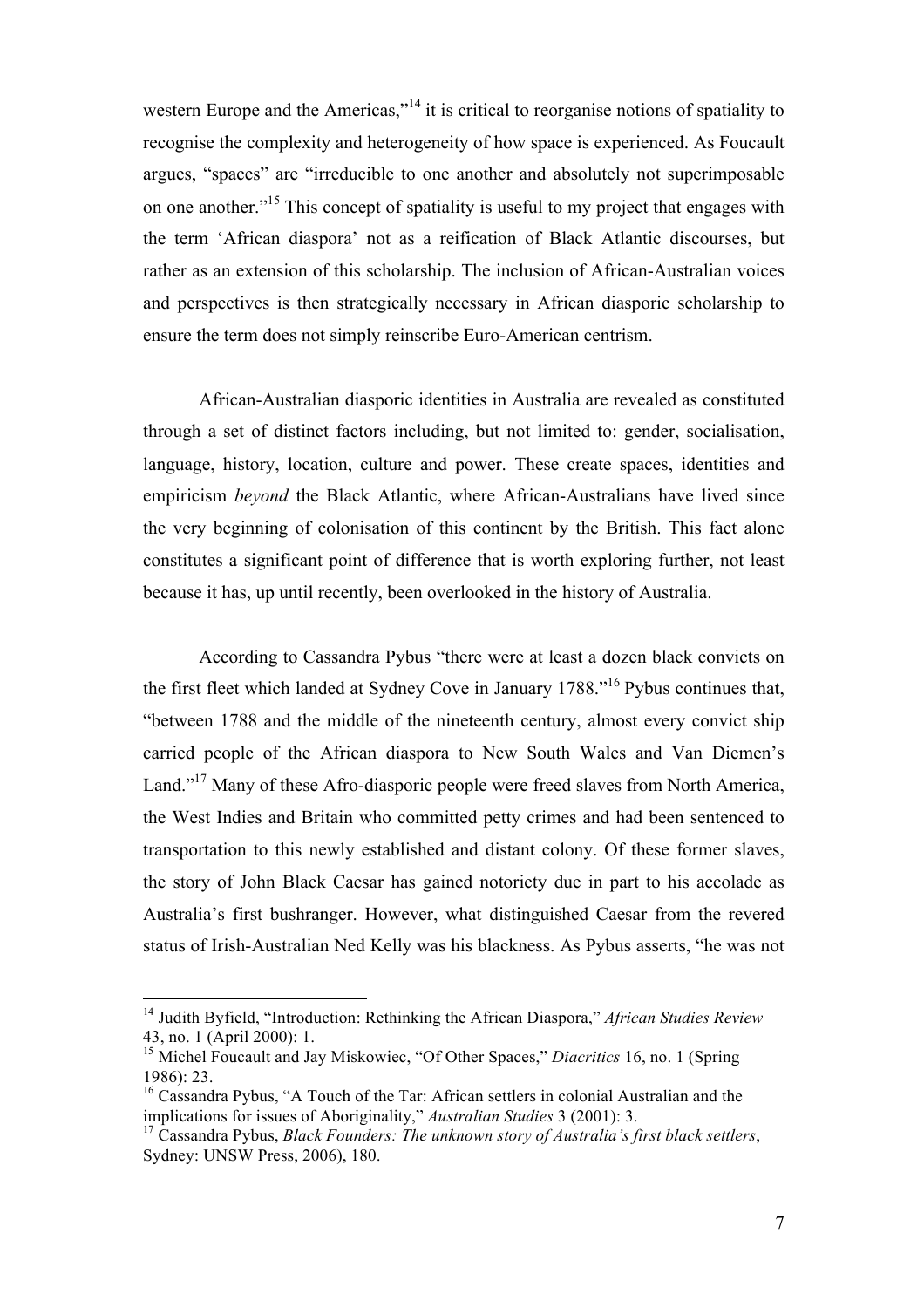western Europe and the Americas,"<sup>14</sup> it is critical to reorganise notions of spatiality to recognise the complexity and heterogeneity of how space is experienced. As Foucault argues, "spaces" are "irreducible to one another and absolutely not superimposable on one another.<sup>"<sup>15</sup> This concept of spatiality is useful to my project that engages with</sup> the term 'African diaspora' not as a reification of Black Atlantic discourses, but rather as an extension of this scholarship. The inclusion of African-Australian voices and perspectives is then strategically necessary in African diasporic scholarship to ensure the term does not simply reinscribe Euro-American centrism.

African-Australian diasporic identities in Australia are revealed as constituted through a set of distinct factors including, but not limited to: gender, socialisation, language, history, location, culture and power. These create spaces, identities and empiricism *beyond* the Black Atlantic, where African-Australians have lived since the very beginning of colonisation of this continent by the British. This fact alone constitutes a significant point of difference that is worth exploring further, not least because it has, up until recently, been overlooked in the history of Australia.

According to Cassandra Pybus "there were at least a dozen black convicts on the first fleet which landed at Sydney Cove in January 1788." <sup>16</sup> Pybus continues that, "between 1788 and the middle of the nineteenth century, almost every convict ship carried people of the African diaspora to New South Wales and Van Diemen's Land."<sup>17</sup> Many of these Afro-diasporic people were freed slaves from North America, the West Indies and Britain who committed petty crimes and had been sentenced to transportation to this newly established and distant colony. Of these former slaves, the story of John Black Caesar has gained notoriety due in part to his accolade as Australia's first bushranger. However, what distinguished Caesar from the revered status of Irish-Australian Ned Kelly was his blackness. As Pybus asserts, "he was not

<sup>&</sup>lt;sup>14</sup> Judith Byfield, "Introduction: Rethinking the African Diaspora," African Studies Review 43, no. 1 (April 2000): 1.

<sup>&</sup>lt;sup>15</sup> Michel Foucault and Jay Miskowiec, "Of Other Spaces," *Diacritics* 16, no. 1 (Spring) 1986): 23.

<sup>&</sup>lt;sup>16</sup> Cassandra Pybus, "A Touch of the Tar: African settlers in colonial Australian and the implications for issues of Aboriginality," *Australian Studies* 3 (2001): 3.

<sup>17</sup> Cassandra Pybus, *Black Founders: The unknown story of Australia's first black settlers*, Sydney: UNSW Press, 2006), 180.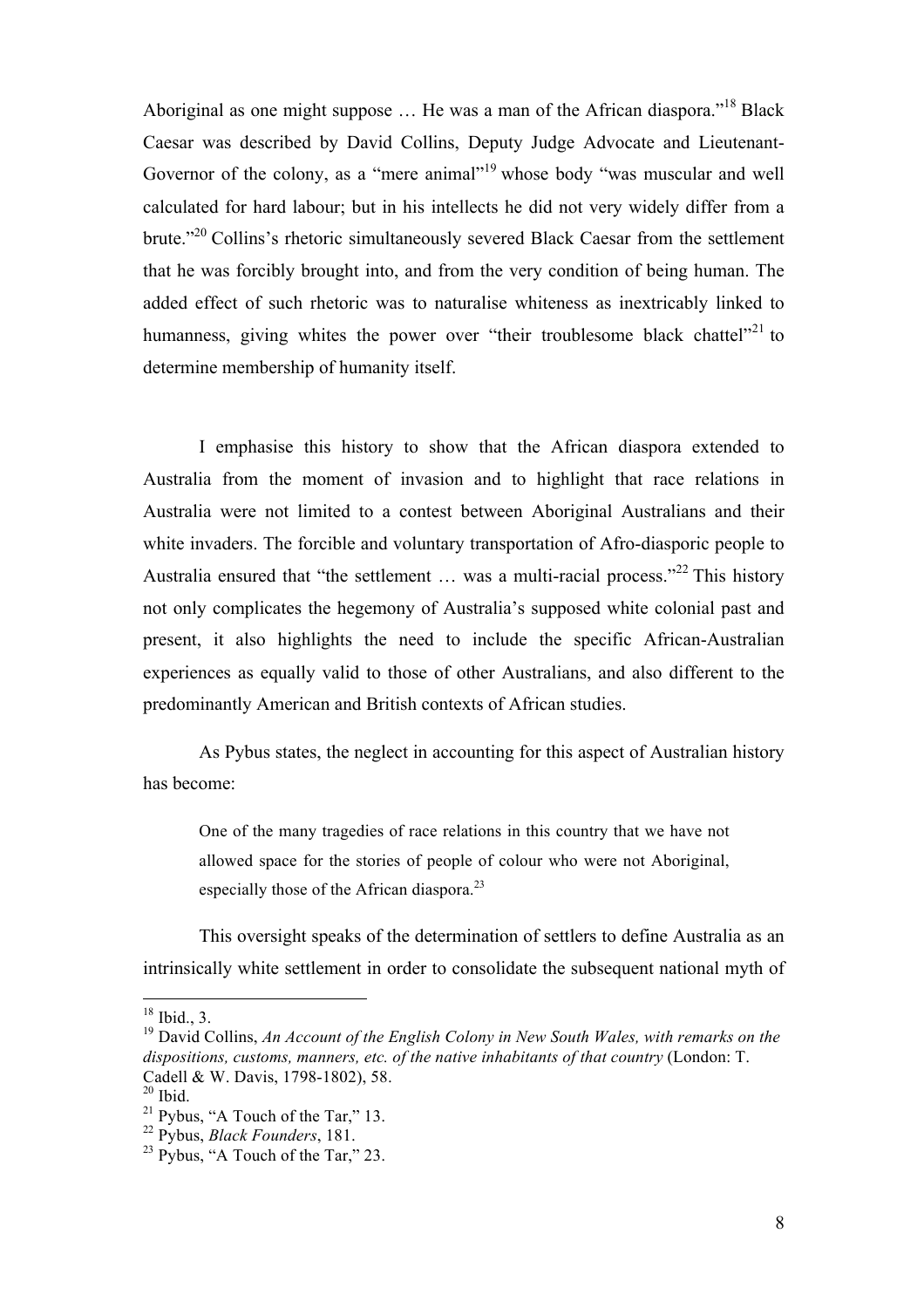Aboriginal as one might suppose  $\dots$  He was a man of the African diaspora."<sup>18</sup> Black Caesar was described by David Collins, Deputy Judge Advocate and Lieutenant-Governor of the colony, as a "mere animal"<sup>19</sup> whose body "was muscular and well calculated for hard labour; but in his intellects he did not very widely differ from a brute."<sup>20</sup> Collins's rhetoric simultaneously severed Black Caesar from the settlement that he was forcibly brought into, and from the very condition of being human. The added effect of such rhetoric was to naturalise whiteness as inextricably linked to humanness, giving whites the power over "their troublesome black chattel"<sup>21</sup> to determine membership of humanity itself.

I emphasise this history to show that the African diaspora extended to Australia from the moment of invasion and to highlight that race relations in Australia were not limited to a contest between Aboriginal Australians and their white invaders. The forcible and voluntary transportation of Afro-diasporic people to Australia ensured that "the settlement ... was a multi-racial process."<sup>22</sup> This history not only complicates the hegemony of Australia's supposed white colonial past and present, it also highlights the need to include the specific African-Australian experiences as equally valid to those of other Australians, and also different to the predominantly American and British contexts of African studies.

As Pybus states, the neglect in accounting for this aspect of Australian history has become:

One of the many tragedies of race relations in this country that we have not allowed space for the stories of people of colour who were not Aboriginal, especially those of the African diaspora.<sup>23</sup>

This oversight speaks of the determination of settlers to define Australia as an intrinsically white settlement in order to consolidate the subsequent national myth of

 $18$  Ibid., 3.

<sup>19</sup> David Collins, *An Account of the English Colony in New South Wales, with remarks on the dispositions, customs, manners, etc. of the native inhabitants of that country* (London: T. Cadell & W. Davis, 1798-1802), 58.

 $20$  Ibid.

 $21$  Pybus, "A Touch of the Tar," 13.

<sup>22</sup> Pybus, *Black Founders*, 181.

 $23$  Pybus, "A Touch of the Tar," 23.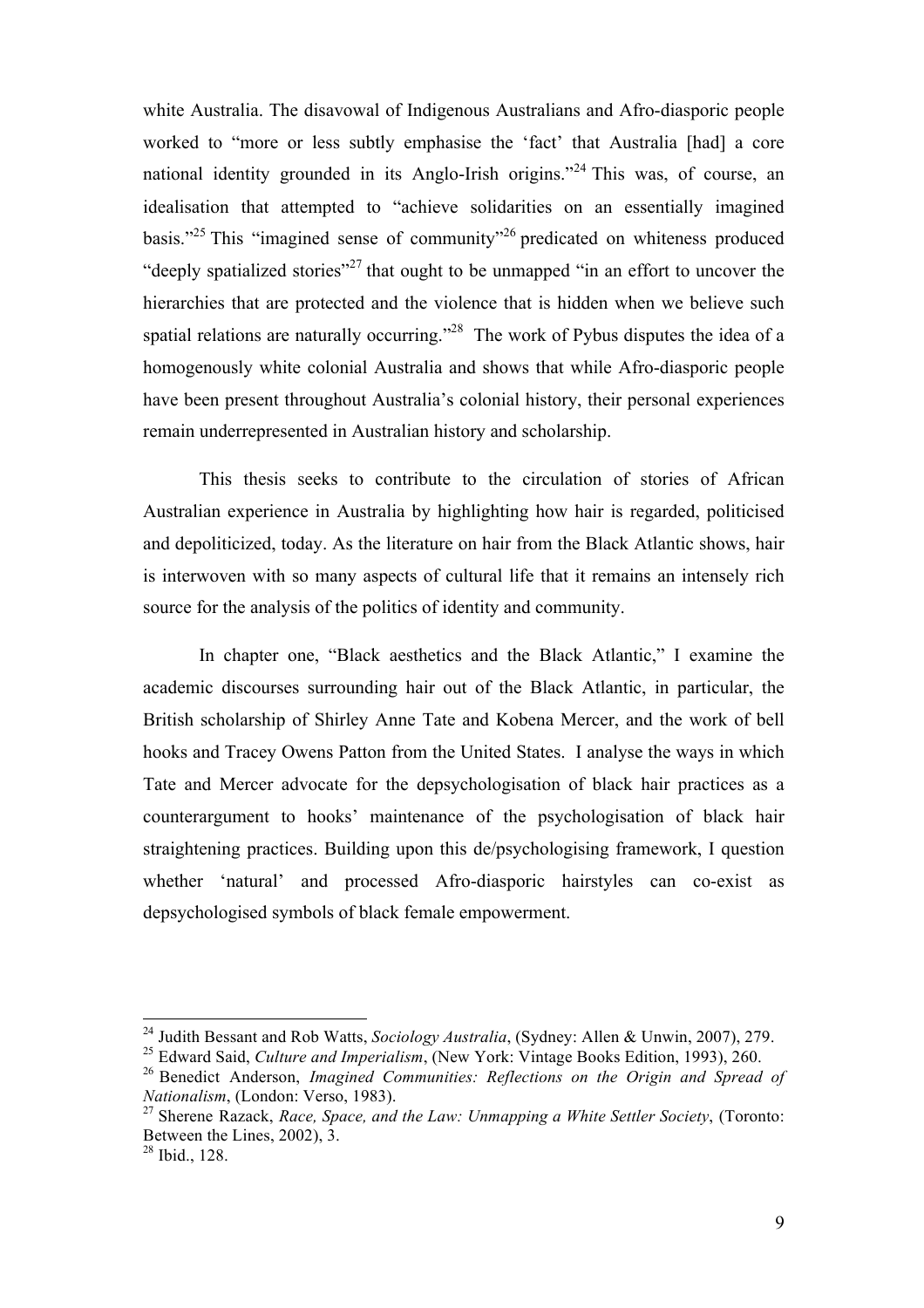white Australia. The disavowal of Indigenous Australians and Afro-diasporic people worked to "more or less subtly emphasise the 'fact' that Australia [had] a core national identity grounded in its Anglo-Irish origins."<sup>24</sup> This was, of course, an idealisation that attempted to "achieve solidarities on an essentially imagined basis."<sup>25</sup> This "imagined sense of community"<sup>26</sup> predicated on whiteness produced "deeply spatialized stories"<sup>27</sup> that ought to be unmapped "in an effort to uncover the hierarchies that are protected and the violence that is hidden when we believe such spatial relations are naturally occurring.<sup>228</sup> The work of Pybus disputes the idea of a homogenously white colonial Australia and shows that while Afro-diasporic people have been present throughout Australia's colonial history, their personal experiences remain underrepresented in Australian history and scholarship.

This thesis seeks to contribute to the circulation of stories of African Australian experience in Australia by highlighting how hair is regarded, politicised and depoliticized, today. As the literature on hair from the Black Atlantic shows, hair is interwoven with so many aspects of cultural life that it remains an intensely rich source for the analysis of the politics of identity and community.

In chapter one, "Black aesthetics and the Black Atlantic," I examine the academic discourses surrounding hair out of the Black Atlantic, in particular, the British scholarship of Shirley Anne Tate and Kobena Mercer, and the work of bell hooks and Tracey Owens Patton from the United States. I analyse the ways in which Tate and Mercer advocate for the depsychologisation of black hair practices as a counterargument to hooks' maintenance of the psychologisation of black hair straightening practices. Building upon this de/psychologising framework, I question whether 'natural' and processed Afro-diasporic hairstyles can co-exist as depsychologised symbols of black female empowerment.

<sup>&</sup>lt;sup>24</sup> Judith Bessant and Rob Watts, *Sociology Australia*, (Sydney: Allen & Unwin, 2007), 279.

<sup>25</sup> Edward Said, *Culture and Imperialism*, (New York: Vintage Books Edition, 1993), 260. <sup>26</sup> Benedict Anderson, *Imagined Communities: Reflections on the Origin and Spread of Nationalism*, (London: Verso, 1983).

<sup>27</sup> Sherene Razack, *Race, Space, and the Law: Unmapping a White Settler Society*, (Toronto: Between the Lines, 2002), 3.

 $28$  Ibid., 128.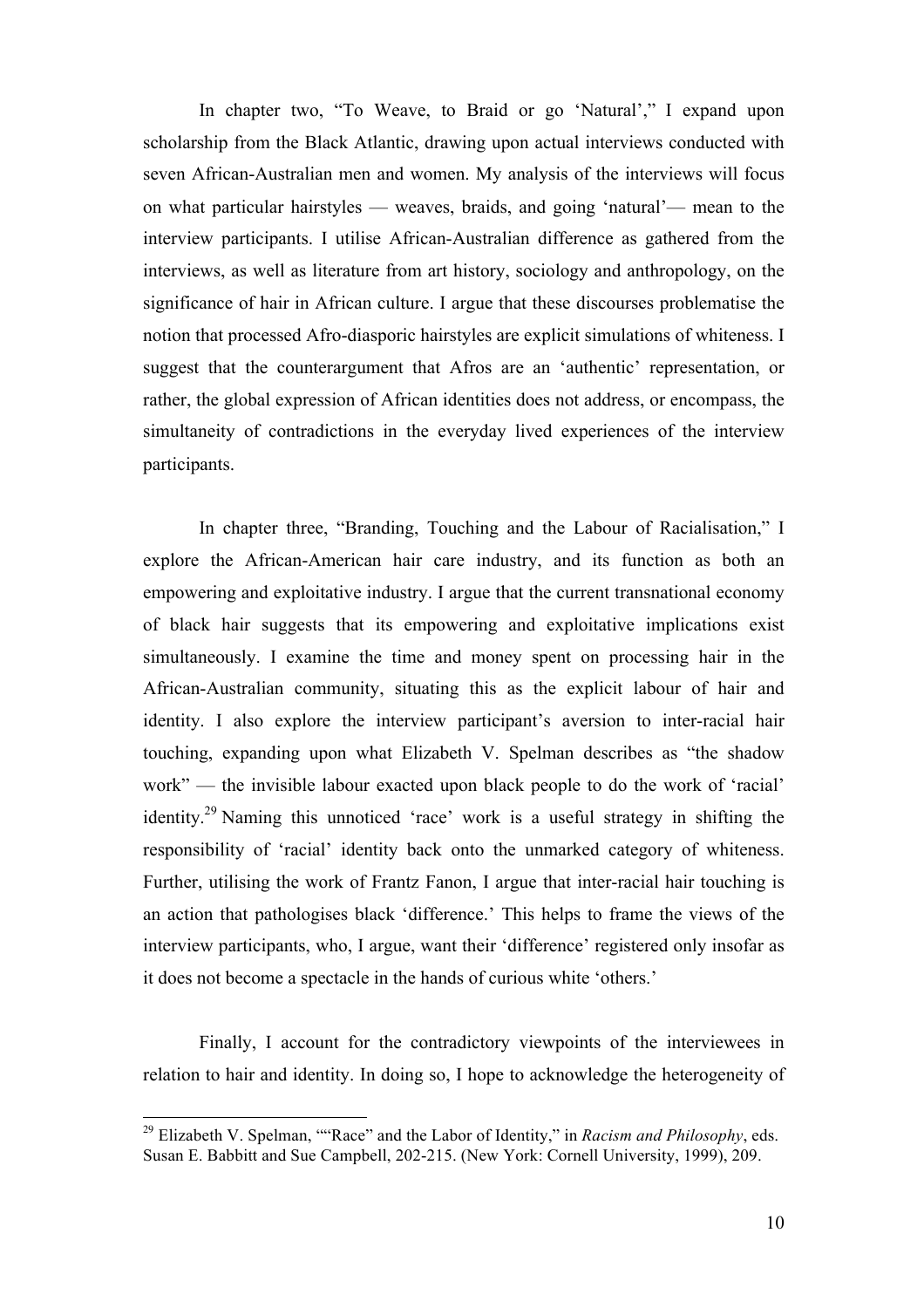In chapter two, "To Weave, to Braid or go 'Natural'," I expand upon scholarship from the Black Atlantic, drawing upon actual interviews conducted with seven African-Australian men and women. My analysis of the interviews will focus on what particular hairstyles — weaves, braids, and going 'natural'— mean to the interview participants. I utilise African-Australian difference as gathered from the interviews, as well as literature from art history, sociology and anthropology, on the significance of hair in African culture. I argue that these discourses problematise the notion that processed Afro-diasporic hairstyles are explicit simulations of whiteness. I suggest that the counterargument that Afros are an 'authentic' representation, or rather, the global expression of African identities does not address, or encompass, the simultaneity of contradictions in the everyday lived experiences of the interview participants.

In chapter three, "Branding, Touching and the Labour of Racialisation," I explore the African-American hair care industry, and its function as both an empowering and exploitative industry. I argue that the current transnational economy of black hair suggests that its empowering and exploitative implications exist simultaneously. I examine the time and money spent on processing hair in the African-Australian community, situating this as the explicit labour of hair and identity. I also explore the interview participant's aversion to inter-racial hair touching, expanding upon what Elizabeth V. Spelman describes as "the shadow work" — the invisible labour exacted upon black people to do the work of 'racial' identity.29 Naming this unnoticed 'race' work is a useful strategy in shifting the responsibility of 'racial' identity back onto the unmarked category of whiteness. Further, utilising the work of Frantz Fanon, I argue that inter-racial hair touching is an action that pathologises black 'difference.' This helps to frame the views of the interview participants, who, I argue, want their 'difference' registered only insofar as it does not become a spectacle in the hands of curious white 'others.'

Finally, I account for the contradictory viewpoints of the interviewees in relation to hair and identity. In doing so, I hope to acknowledge the heterogeneity of

<sup>29</sup> Elizabeth V. Spelman, ""Race" and the Labor of Identity," in *Racism and Philosophy*, eds. Susan E. Babbitt and Sue Campbell, 202-215. (New York: Cornell University, 1999), 209.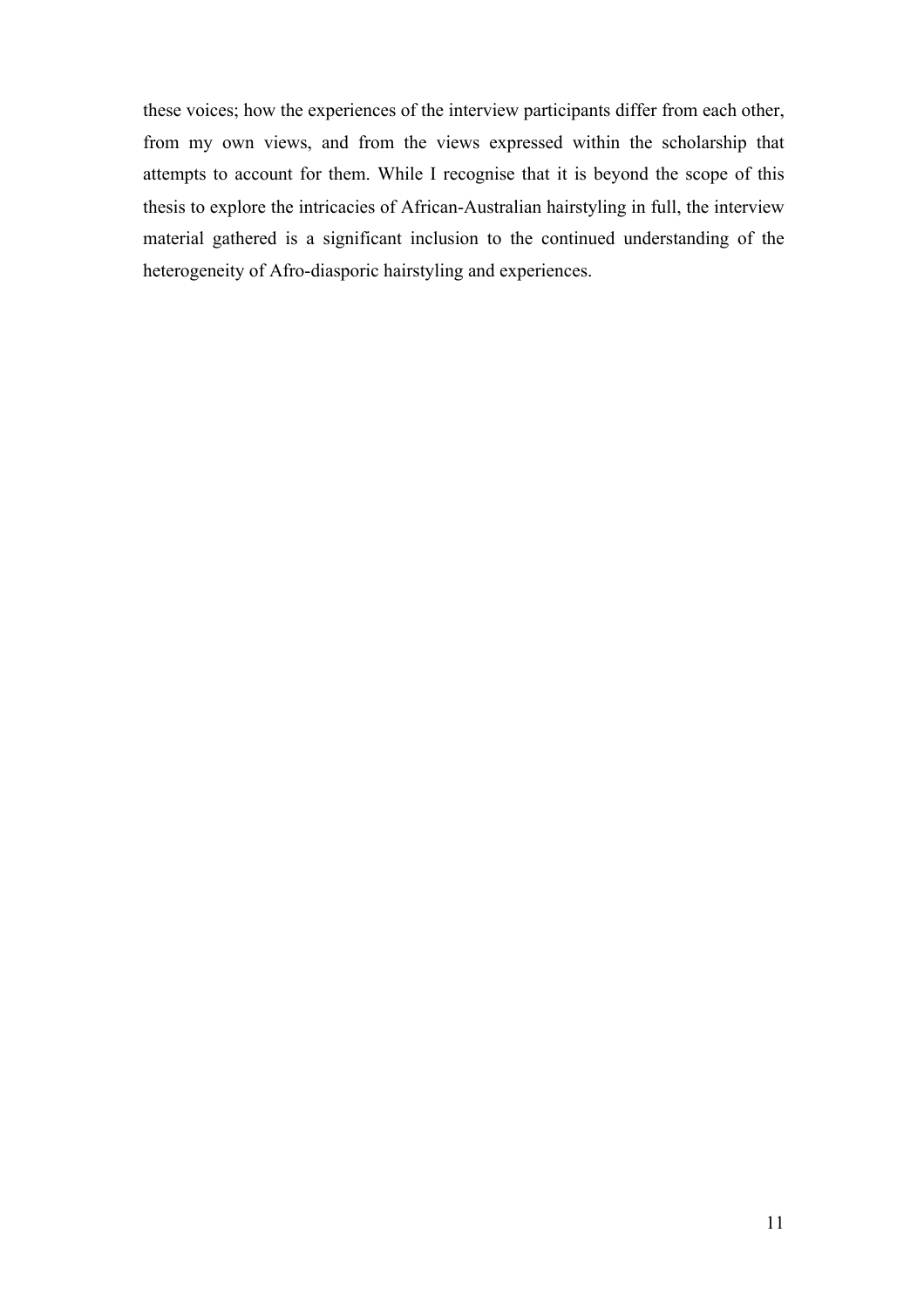these voices; how the experiences of the interview participants differ from each other, from my own views, and from the views expressed within the scholarship that attempts to account for them. While I recognise that it is beyond the scope of this thesis to explore the intricacies of African-Australian hairstyling in full, the interview material gathered is a significant inclusion to the continued understanding of the heterogeneity of Afro-diasporic hairstyling and experiences.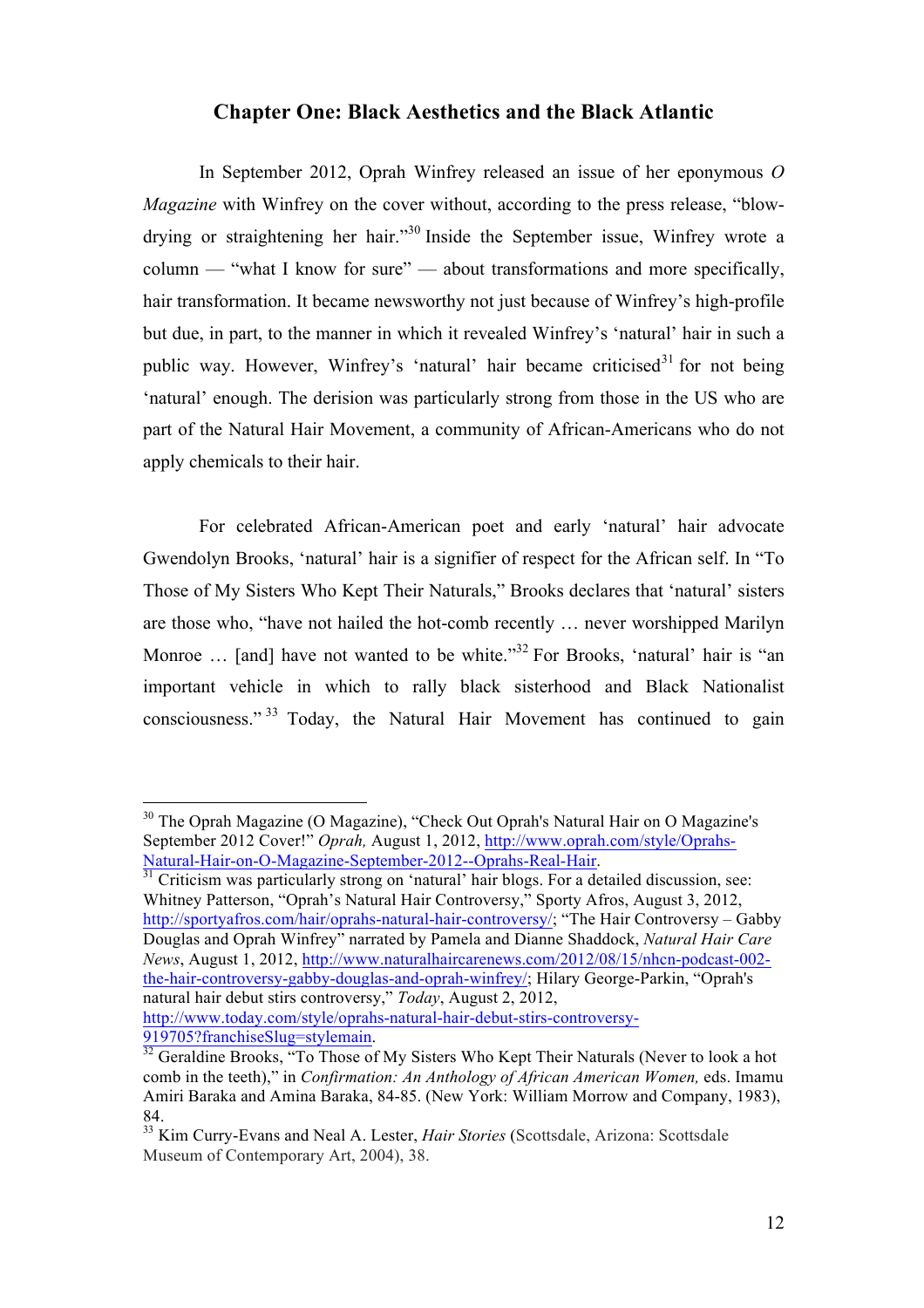#### **Chapter One: Black Aesthetics and the Black Atlantic**

In September 2012, Oprah Winfrey released an issue of her eponymous *O Magazine* with Winfrey on the cover without, according to the press release, "blowdrying or straightening her hair."<sup>30</sup> Inside the September issue, Winfrey wrote a column — "what I know for sure" — about transformations and more specifically, hair transformation. It became newsworthy not just because of Winfrey's high-profile but due, in part, to the manner in which it revealed Winfrey's 'natural' hair in such a public way. However, Winfrey's 'natural' hair became criticised<sup>31</sup> for not being 'natural' enough. The derision was particularly strong from those in the US who are part of the Natural Hair Movement, a community of African-Americans who do not apply chemicals to their hair.

For celebrated African-American poet and early 'natural' hair advocate Gwendolyn Brooks, 'natural' hair is a signifier of respect for the African self. In "To Those of My Sisters Who Kept Their Naturals," Brooks declares that 'natural' sisters are those who, "have not hailed the hot-comb recently … never worshipped Marilyn Monroe  $\ldots$  [and] have not wanted to be white.<sup>33</sup> For Brooks, 'natural' hair is "an important vehicle in which to rally black sisterhood and Black Nationalist consciousness." <sup>33</sup> Today, the Natural Hair Movement has continued to gain

Whitney Patterson, "Oprah's Natural Hair Controversy," Sporty Afros, August 3, 2012, http://sportyafros.com/hair/oprahs-natural-hair-controversy/; "The Hair Controversy – Gabby Douglas and Oprah Winfrey" narrated by Pamela and Dianne Shaddock, *Natural Hair Care News*, August 1, 2012, http://www.naturalhaircarenews.com/2012/08/15/nhcn-podcast-002 the-hair-controversy-gabby-douglas-and-oprah-winfrey/; Hilary George-Parkin, "Oprah's natural hair debut stirs controversy," *Today*, August 2, 2012,

http://www.today.com/style/oprahs-natural-hair-debut-stirs-controversy-

<sup>&</sup>lt;sup>30</sup> The Oprah Magazine (O Magazine), "Check Out Oprah's Natural Hair on O Magazine's September 2012 Cover!" *Oprah,* August 1, 2012, http://www.oprah.com/style/Oprahs-Natural-Hair-on-O-Magazine-September-2012--Oprahs-Real-Hair. 31 Criticism was particularly strong on 'natural' hair blogs. For a detailed discussion, see:

<sup>919705?</sup>franchiseSlug=stylemain.<br><sup>32</sup> Geraldine Brooks, "To Those of My Sisters Who Kept Their Naturals (Never to look a hot comb in the teeth)," in *Confirmation: An Anthology of African American Women,* eds. Imamu Amiri Baraka and Amina Baraka, 84-85. (New York: William Morrow and Company, 1983),

<sup>84.</sup> <sup>33</sup> Kim Curry-Evans and Neal A. Lester, *Hair Stories* (Scottsdale, Arizona: Scottsdale Museum of Contemporary Art, 2004), 38.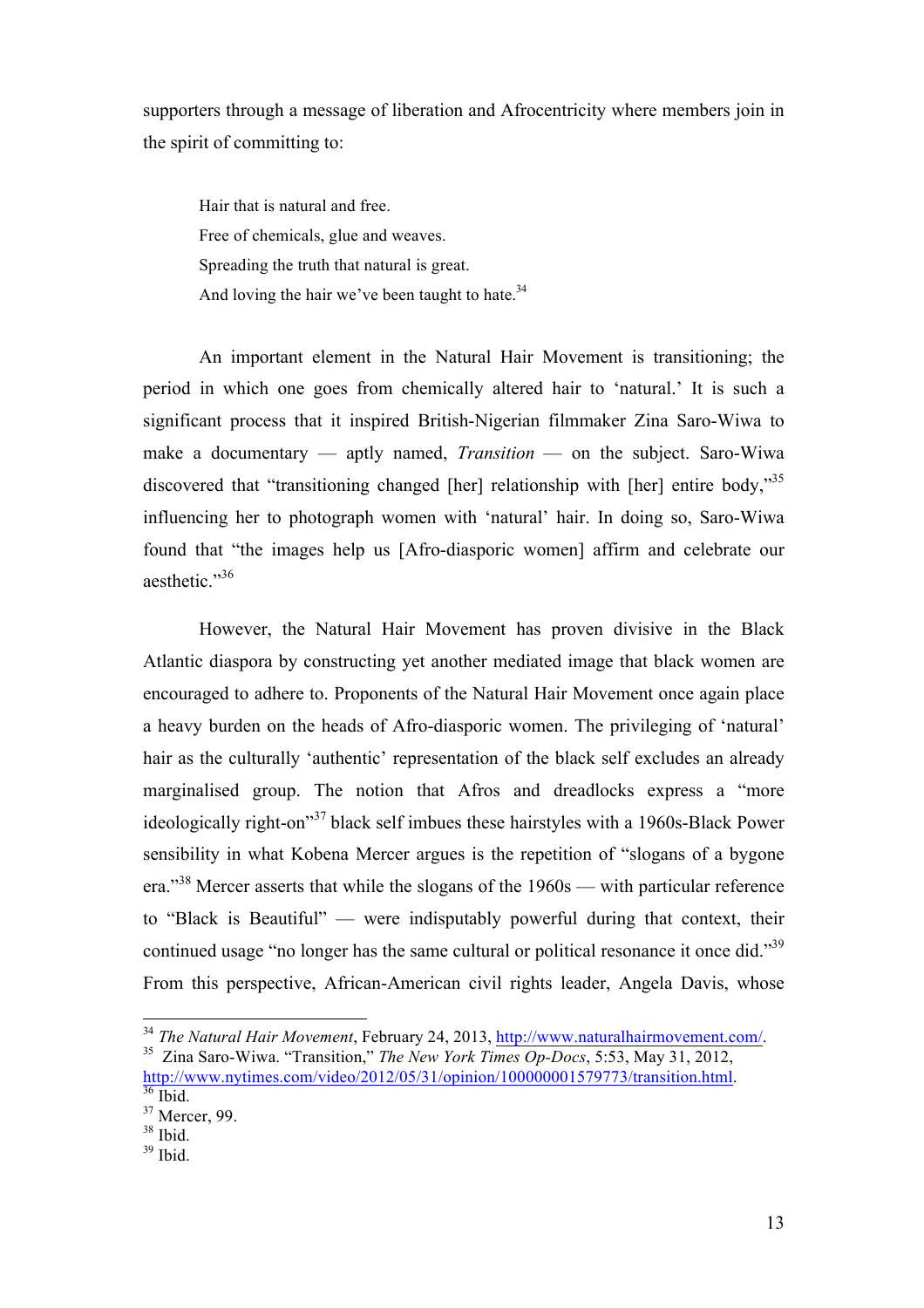supporters through a message of liberation and Afrocentricity where members join in the spirit of committing to:

Hair that is natural and free. Free of chemicals, glue and weaves. Spreading the truth that natural is great. And loving the hair we've been taught to hate. $34$ 

An important element in the Natural Hair Movement is transitioning; the period in which one goes from chemically altered hair to 'natural.' It is such a significant process that it inspired British-Nigerian filmmaker Zina Saro-Wiwa to make a documentary — aptly named, *Transition* — on the subject. Saro-Wiwa discovered that "transitioning changed [her] relationship with [her] entire body,"<sup>35</sup> influencing her to photograph women with 'natural' hair. In doing so, Saro-Wiwa found that "the images help us [Afro-diasporic women] affirm and celebrate our aesthetic." 36

However, the Natural Hair Movement has proven divisive in the Black Atlantic diaspora by constructing yet another mediated image that black women are encouraged to adhere to. Proponents of the Natural Hair Movement once again place a heavy burden on the heads of Afro-diasporic women. The privileging of 'natural' hair as the culturally 'authentic' representation of the black self excludes an already marginalised group. The notion that Afros and dreadlocks express a "more ideologically right-on<sup>37</sup> black self imbues these hairstyles with a 1960s-Black Power sensibility in what Kobena Mercer argues is the repetition of "slogans of a bygone era."<sup>38</sup> Mercer asserts that while the slogans of the 1960s — with particular reference to "Black is Beautiful" — were indisputably powerful during that context, their continued usage "no longer has the same cultural or political resonance it once did."<sup>39</sup> From this perspective, African-American civil rights leader, Angela Davis, whose

<sup>&</sup>lt;sup>34</sup> The Natural Hair Movement, February 24, 2013,  $\frac{http://www.naturalhairmovement.com/}{http://www.naturalhairmovement.com/}$ .<br><sup>35</sup> Zina Saro-Wiwa. "Transition," *The New York Times Op-Docs*, 5:53, May 31, 2012, http://www.nytimes.com/video/2012/05/31/opinion/100000001579773/transition.html.<br><sup>36</sup> Ibid.

<sup>&</sup>lt;sup>37</sup> Mercer, 99.

 $38$  Ibid.

 $39$  Ibid.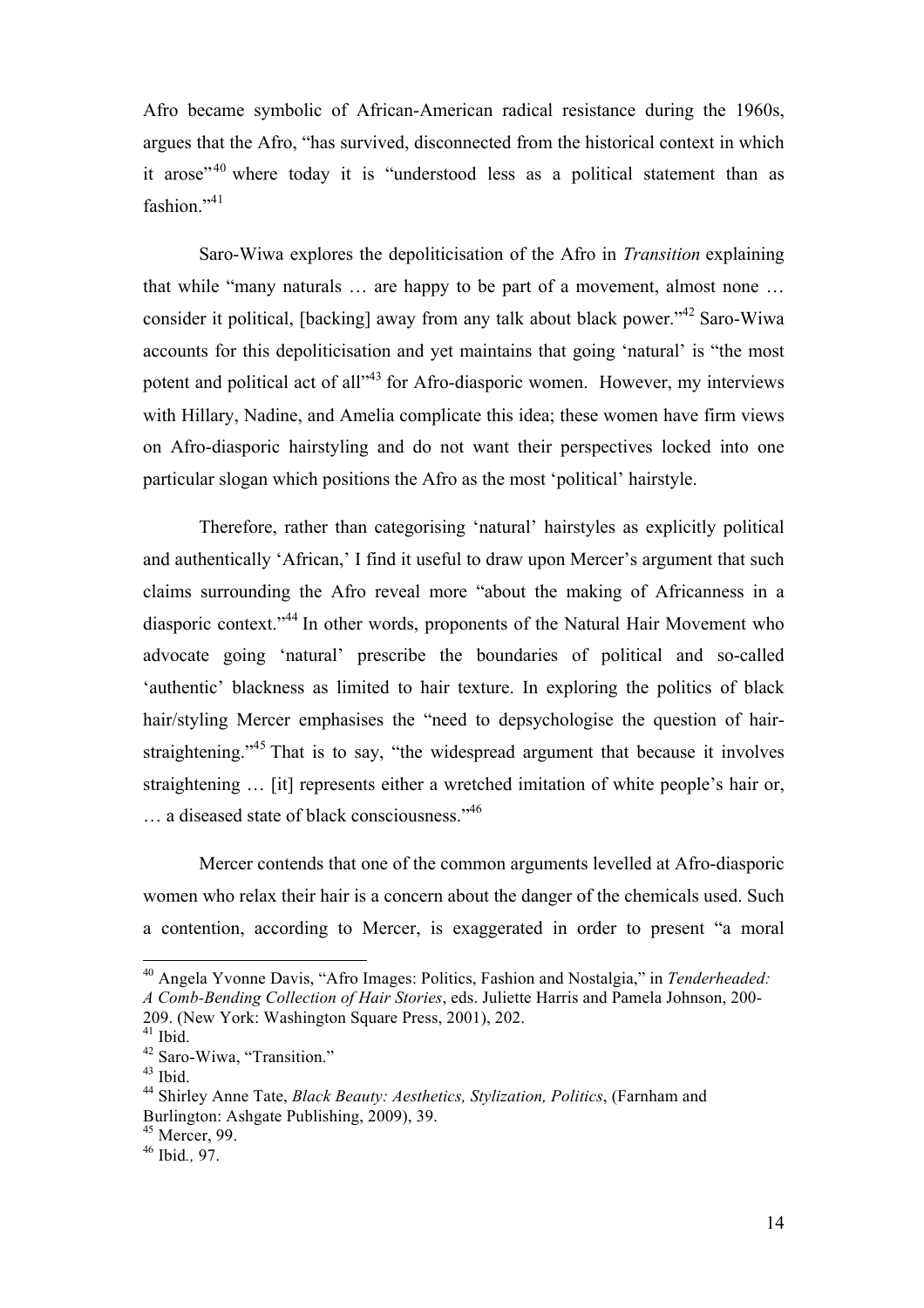Afro became symbolic of African-American radical resistance during the 1960s, argues that the Afro, "has survived, disconnected from the historical context in which it arose"<sup>40</sup> where today it is "understood less as a political statement than as fashion."<sup>41</sup>

Saro-Wiwa explores the depoliticisation of the Afro in *Transition* explaining that while "many naturals … are happy to be part of a movement, almost none … consider it political, [backing] away from any talk about black power."<sup>42</sup> Saro-Wiwa accounts for this depoliticisation and yet maintains that going 'natural' is "the most potent and political act of all<sup>143</sup> for Afro-diasporic women. However, my interviews with Hillary, Nadine, and Amelia complicate this idea; these women have firm views on Afro-diasporic hairstyling and do not want their perspectives locked into one particular slogan which positions the Afro as the most 'political' hairstyle.

Therefore, rather than categorising 'natural' hairstyles as explicitly political and authentically 'African,' I find it useful to draw upon Mercer's argument that such claims surrounding the Afro reveal more "about the making of Africanness in a diasporic context."<sup>44</sup> In other words, proponents of the Natural Hair Movement who advocate going 'natural' prescribe the boundaries of political and so-called 'authentic' blackness as limited to hair texture. In exploring the politics of black hair/styling Mercer emphasises the "need to depsychologise the question of hairstraightening.<sup>345</sup> That is to say, "the widespread argument that because it involves straightening … [it] represents either a wretched imitation of white people's hair or, ... a diseased state of black consciousness."<sup>46</sup>

Mercer contends that one of the common arguments levelled at Afro-diasporic women who relax their hair is a concern about the danger of the chemicals used. Such a contention, according to Mercer, is exaggerated in order to present "a moral

<sup>&</sup>lt;sup>40</sup> Angela Yvonne Davis, "Afro Images: Politics, Fashion and Nostalgia," in *Tenderheaded: A Comb-Bending Collection of Hair Stories*, eds. Juliette Harris and Pamela Johnson, 200- 209. (New York: Washington Square Press, 2001), 202.

 $^{41}$  Ibid.<br> $^{42}$  Saro-Wiwa, "Transition."

<sup>&</sup>lt;sup>43</sup> Ibid. <sup>44</sup> Shirley Anne Tate, *Black Beauty: Aesthetics, Stylization, Politics*, (Farnham and Burlington: Ashgate Publishing, 2009), 39.

<sup>45</sup> Mercer, 99.

<sup>46</sup> Ibid*.,* 97.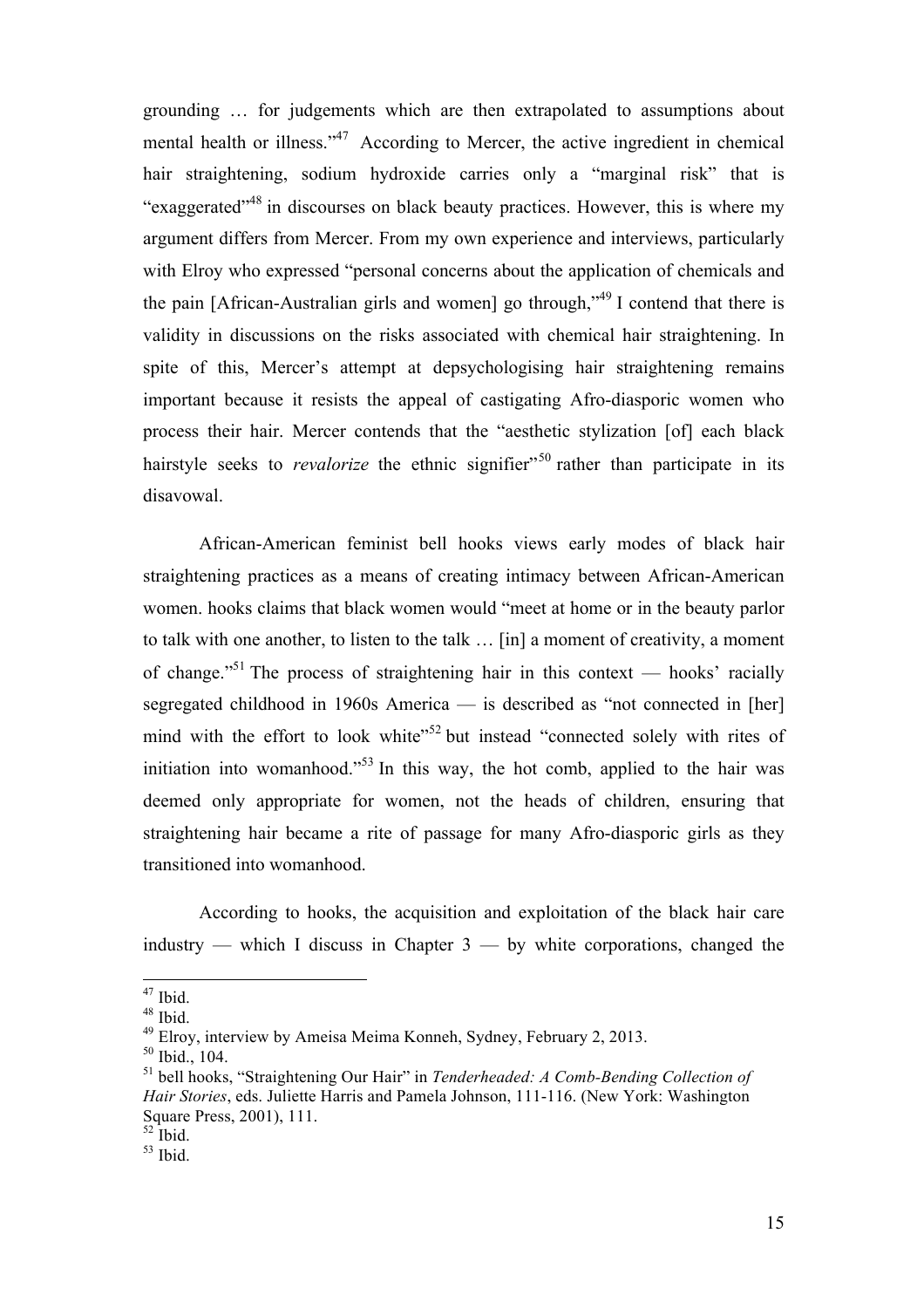grounding … for judgements which are then extrapolated to assumptions about mental health or illness."<sup>47</sup> According to Mercer, the active ingredient in chemical hair straightening, sodium hydroxide carries only a "marginal risk" that is "exaggerated"<sup>48</sup> in discourses on black beauty practices. However, this is where my argument differs from Mercer. From my own experience and interviews, particularly with Elroy who expressed "personal concerns about the application of chemicals and the pain [African-Australian girls and women] go through,"49 I contend that there is validity in discussions on the risks associated with chemical hair straightening. In spite of this, Mercer's attempt at depsychologising hair straightening remains important because it resists the appeal of castigating Afro-diasporic women who process their hair. Mercer contends that the "aesthetic stylization [of] each black hairstyle seeks to *revalorize* the ethnic signifier<sup>"50</sup> rather than participate in its disavowal.

African-American feminist bell hooks views early modes of black hair straightening practices as a means of creating intimacy between African-American women. hooks claims that black women would "meet at home or in the beauty parlor to talk with one another, to listen to the talk … [in] a moment of creativity, a moment of change."<sup>51</sup> The process of straightening hair in this context — hooks' racially segregated childhood in 1960s America — is described as "not connected in [her] mind with the effort to look white"<sup>52</sup> but instead "connected solely with rites of initiation into womanhood.<sup>553</sup> In this way, the hot comb, applied to the hair was deemed only appropriate for women, not the heads of children, ensuring that straightening hair became a rite of passage for many Afro-diasporic girls as they transitioned into womanhood.

According to hooks, the acquisition and exploitation of the black hair care industry — which I discuss in Chapter  $3$  — by white corporations, changed the

 $^{47}$  Ibid.

<sup>48</sup> Ibid.

 $49$  Elroy, interview by Ameisa Meima Konneh, Sydney, February 2, 2013.

 $50$  Ibid., 104.

<sup>51</sup> bell hooks, "Straightening Our Hair" in *Tenderheaded: A Comb-Bending Collection of Hair Stories*, eds. Juliette Harris and Pamela Johnson, 111-116. (New York: Washington Square Press, 2001), 111.

 $52$  Ibid.

 $53$  Ibid.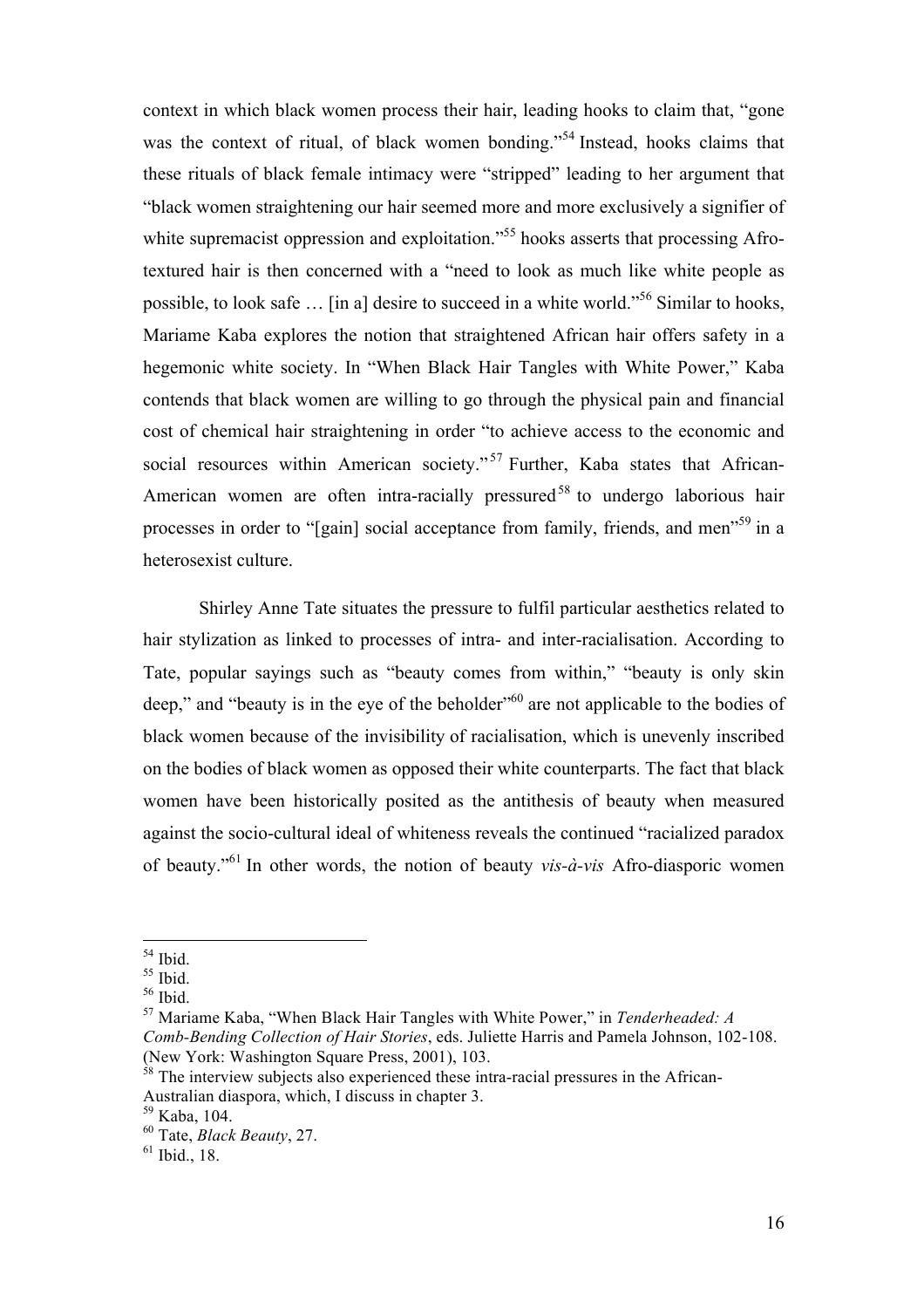context in which black women process their hair, leading hooks to claim that, "gone was the context of ritual, of black women bonding."<sup>54</sup> Instead, hooks claims that these rituals of black female intimacy were "stripped" leading to her argument that "black women straightening our hair seemed more and more exclusively a signifier of white supremacist oppression and exploitation."<sup>55</sup> hooks asserts that processing Afrotextured hair is then concerned with a "need to look as much like white people as possible, to look safe … [in a] desire to succeed in a white world."<sup>56</sup> Similar to hooks, Mariame Kaba explores the notion that straightened African hair offers safety in a hegemonic white society. In "When Black Hair Tangles with White Power," Kaba contends that black women are willing to go through the physical pain and financial cost of chemical hair straightening in order "to achieve access to the economic and social resources within American society."<sup>57</sup> Further, Kaba states that African-American women are often intra-racially pressured<sup>58</sup> to undergo laborious hair processes in order to "[gain] social acceptance from family, friends, and men<sup>759</sup> in a heterosexist culture.

Shirley Anne Tate situates the pressure to fulfil particular aesthetics related to hair stylization as linked to processes of intra- and inter-racialisation. According to Tate, popular sayings such as "beauty comes from within," "beauty is only skin deep," and "beauty is in the eye of the beholder"<sup>60</sup> are not applicable to the bodies of black women because of the invisibility of racialisation, which is unevenly inscribed on the bodies of black women as opposed their white counterparts. The fact that black women have been historically posited as the antithesis of beauty when measured against the socio-cultural ideal of whiteness reveals the continued "racialized paradox of beauty." <sup>61</sup> In other words, the notion of beauty *vis-à-vis* Afro-diasporic women

<sup>57</sup> Mariame Kaba, "When Black Hair Tangles with White Power," in *Tenderheaded: A Comb-Bending Collection of Hair Stories*, eds. Juliette Harris and Pamela Johnson, 102-108. (New York: Washington Square Press, 2001), 103.

 $^{54}$  Ibid.

 $55$  Ibid.

 $56$  Ibid.

 $58$  The interview subjects also experienced these intra-racial pressures in the African-Australian diaspora, which, I discuss in chapter 3.

<sup>59</sup> Kaba, 104.

<sup>60</sup> Tate, *Black Beauty*, 27.

 $61$  Ibid., 18.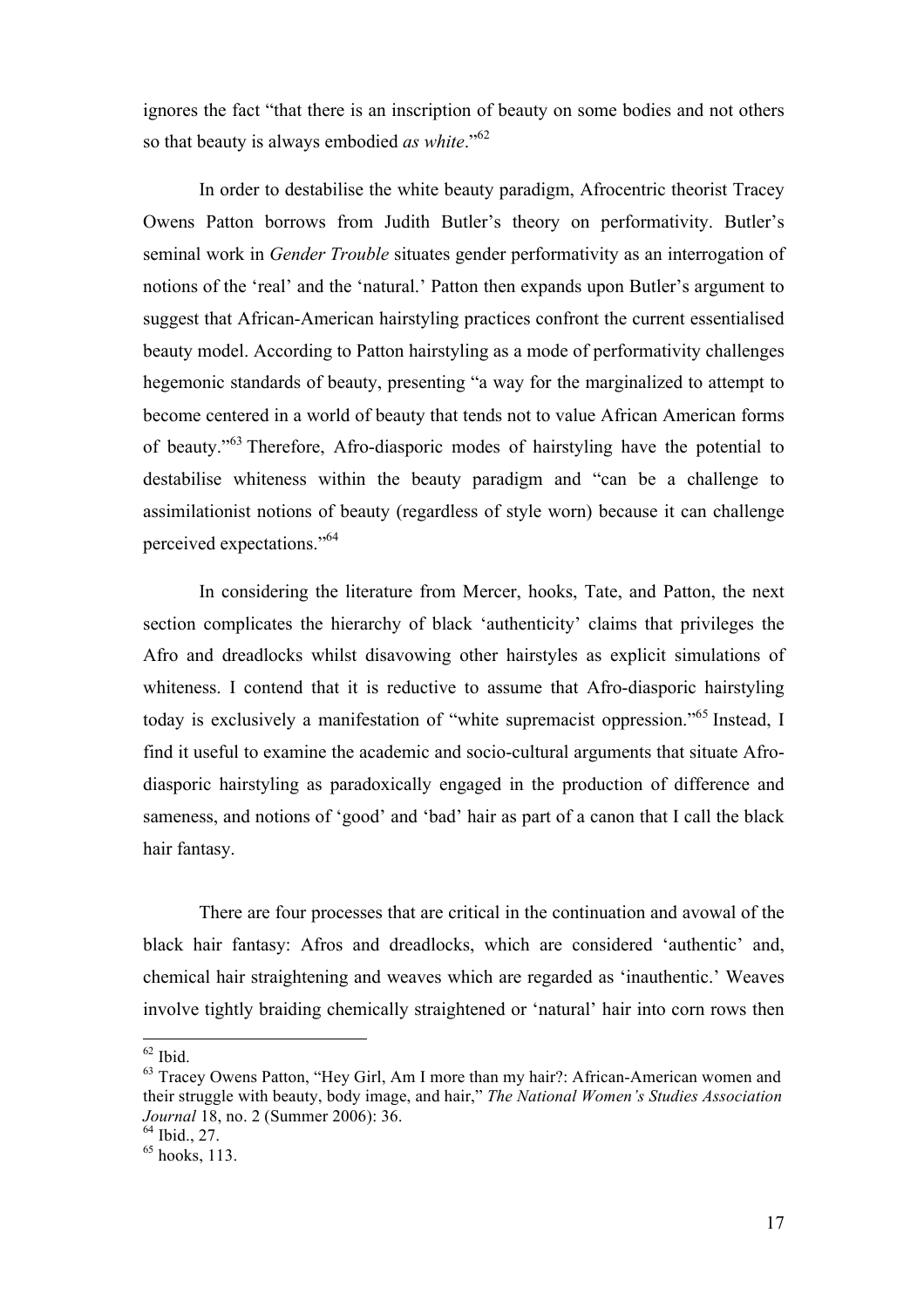ignores the fact "that there is an inscription of beauty on some bodies and not others so that beauty is always embodied *as white*." 62

In order to destabilise the white beauty paradigm, Afrocentric theorist Tracey Owens Patton borrows from Judith Butler's theory on performativity. Butler's seminal work in *Gender Trouble* situates gender performativity as an interrogation of notions of the 'real' and the 'natural.' Patton then expands upon Butler's argument to suggest that African-American hairstyling practices confront the current essentialised beauty model. According to Patton hairstyling as a mode of performativity challenges hegemonic standards of beauty, presenting "a way for the marginalized to attempt to become centered in a world of beauty that tends not to value African American forms of beauty."<sup>63</sup> Therefore, Afro-diasporic modes of hairstyling have the potential to destabilise whiteness within the beauty paradigm and "can be a challenge to assimilationist notions of beauty (regardless of style worn) because it can challenge perceived expectations." 64

In considering the literature from Mercer, hooks, Tate, and Patton, the next section complicates the hierarchy of black 'authenticity' claims that privileges the Afro and dreadlocks whilst disavowing other hairstyles as explicit simulations of whiteness. I contend that it is reductive to assume that Afro-diasporic hairstyling today is exclusively a manifestation of "white supremacist oppression."<sup>65</sup> Instead, I find it useful to examine the academic and socio-cultural arguments that situate Afrodiasporic hairstyling as paradoxically engaged in the production of difference and sameness, and notions of 'good' and 'bad' hair as part of a canon that I call the black hair fantasy.

There are four processes that are critical in the continuation and avowal of the black hair fantasy: Afros and dreadlocks, which are considered 'authentic' and, chemical hair straightening and weaves which are regarded as 'inauthentic.' Weaves involve tightly braiding chemically straightened or 'natural' hair into corn rows then

 $\frac{62}{3}$  Ibid.<br> $\frac{63}{3}$  Tracey Owens Patton, "Hey Girl, Am I more than my hair?: African-American women and their struggle with beauty, body image, and hair," *The National Women's Studies Association Journal* 18, no. 2 (Summer 2006): 36.

 $64$  Ibid., 27.

 $<sup>65</sup>$  hooks, 113.</sup>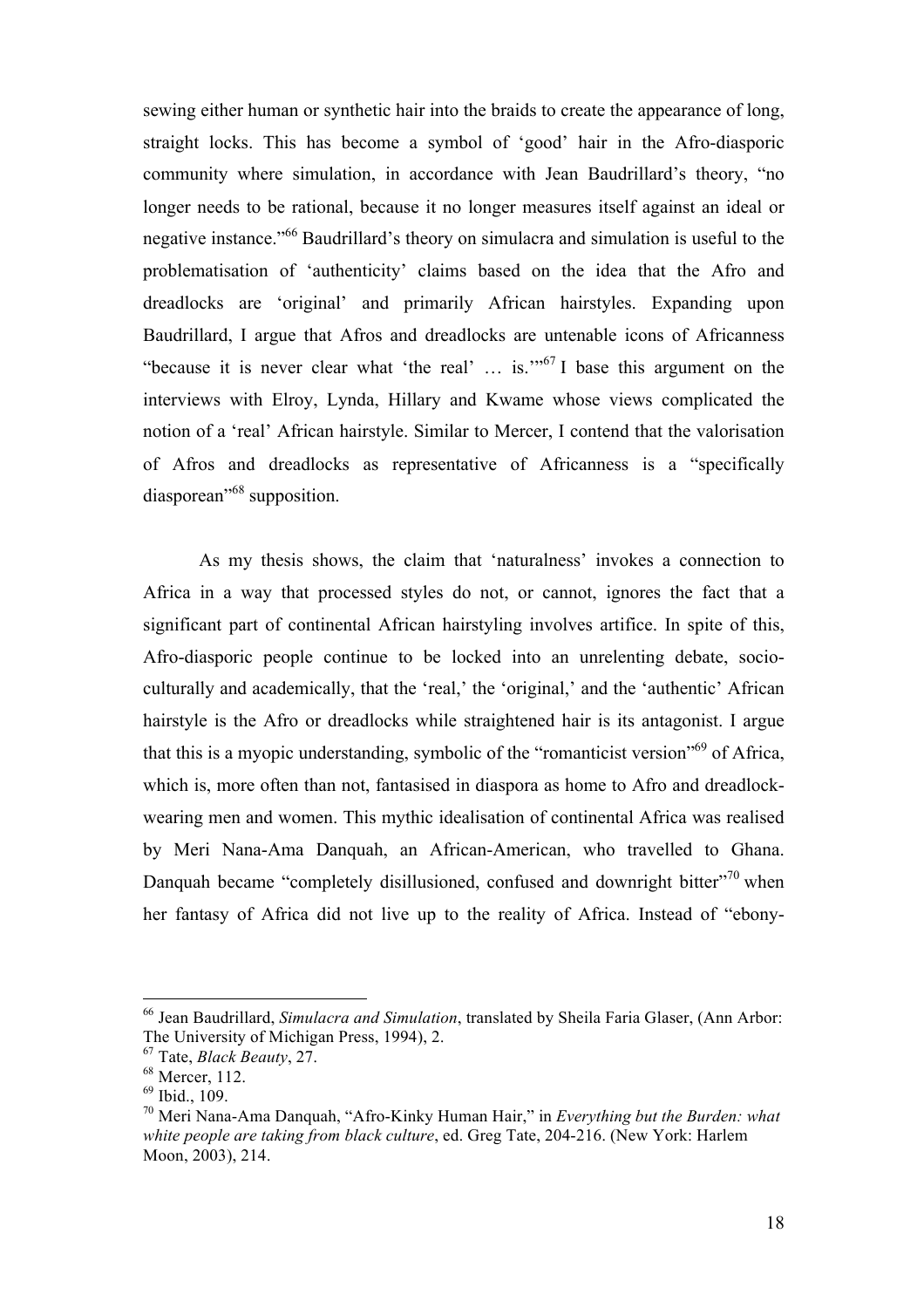sewing either human or synthetic hair into the braids to create the appearance of long, straight locks. This has become a symbol of 'good' hair in the Afro-diasporic community where simulation, in accordance with Jean Baudrillard's theory, "no longer needs to be rational, because it no longer measures itself against an ideal or negative instance."<sup>66</sup> Baudrillard's theory on simulacra and simulation is useful to the problematisation of 'authenticity' claims based on the idea that the Afro and dreadlocks are 'original' and primarily African hairstyles. Expanding upon Baudrillard, I argue that Afros and dreadlocks are untenable icons of Africanness "because it is never clear what 'the real'  $\ldots$  is."<sup>67</sup> I base this argument on the interviews with Elroy, Lynda, Hillary and Kwame whose views complicated the notion of a 'real' African hairstyle. Similar to Mercer, I contend that the valorisation of Afros and dreadlocks as representative of Africanness is a "specifically diasporean<sup>"68</sup> supposition.

As my thesis shows, the claim that 'naturalness' invokes a connection to Africa in a way that processed styles do not, or cannot, ignores the fact that a significant part of continental African hairstyling involves artifice. In spite of this, Afro-diasporic people continue to be locked into an unrelenting debate, socioculturally and academically, that the 'real,' the 'original,' and the 'authentic' African hairstyle is the Afro or dreadlocks while straightened hair is its antagonist. I argue that this is a myopic understanding, symbolic of the "romanticist version"<sup>69</sup> of Africa, which is, more often than not, fantasised in diaspora as home to Afro and dreadlockwearing men and women. This mythic idealisation of continental Africa was realised by Meri Nana-Ama Danquah, an African-American, who travelled to Ghana. Danquah became "completely disillusioned, confused and downright bitter"<sup>70</sup> when her fantasy of Africa did not live up to the reality of Africa. Instead of "ebony-

<sup>66</sup> Jean Baudrillard, *Simulacra and Simulation*, translated by Sheila Faria Glaser, (Ann Arbor: The University of Michigan Press, 1994), 2.

<sup>67</sup> Tate, *Black Beauty*, 27.

<sup>&</sup>lt;sup>68</sup> Mercer, 112.

<sup>69</sup> Ibid., 109.

<sup>70</sup> Meri Nana-Ama Danquah, "Afro-Kinky Human Hair," in *Everything but the Burden: what white people are taking from black culture*, ed. Greg Tate, 204-216. (New York: Harlem Moon, 2003), 214.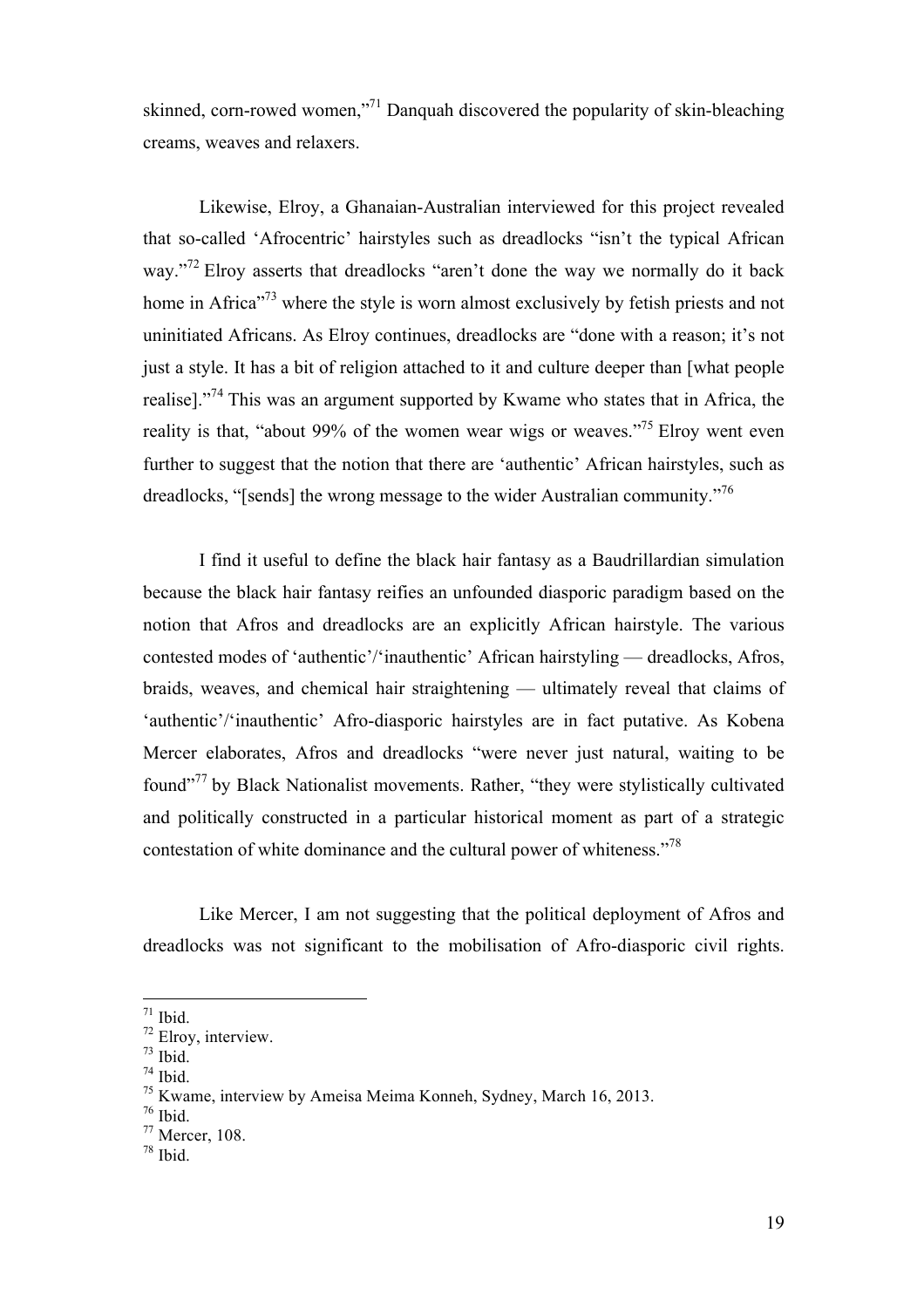skinned, corn-rowed women,"<sup>71</sup> Danquah discovered the popularity of skin-bleaching creams, weaves and relaxers.

Likewise, Elroy, a Ghanaian-Australian interviewed for this project revealed that so-called 'Afrocentric' hairstyles such as dreadlocks "isn't the typical African way."<sup>72</sup> Elroy asserts that dreadlocks "aren't done the way we normally do it back home in Africa<sup>773</sup> where the style is worn almost exclusively by fetish priests and not uninitiated Africans. As Elroy continues, dreadlocks are "done with a reason; it's not just a style. It has a bit of religion attached to it and culture deeper than [what people realise]."<sup>74</sup> This was an argument supported by Kwame who states that in Africa, the reality is that, "about 99% of the women wear wigs or weaves."<sup>75</sup> Elroy went even further to suggest that the notion that there are 'authentic' African hairstyles, such as dreadlocks, "[sends] the wrong message to the wider Australian community."<sup>76</sup>

I find it useful to define the black hair fantasy as a Baudrillardian simulation because the black hair fantasy reifies an unfounded diasporic paradigm based on the notion that Afros and dreadlocks are an explicitly African hairstyle. The various contested modes of 'authentic'/'inauthentic' African hairstyling — dreadlocks, Afros, braids, weaves, and chemical hair straightening — ultimately reveal that claims of 'authentic'/'inauthentic' Afro-diasporic hairstyles are in fact putative. As Kobena Mercer elaborates, Afros and dreadlocks "were never just natural, waiting to be found"<sup>77</sup> by Black Nationalist movements. Rather, "they were stylistically cultivated and politically constructed in a particular historical moment as part of a strategic contestation of white dominance and the cultural power of whiteness."<sup>78</sup>

Like Mercer, I am not suggesting that the political deployment of Afros and dreadlocks was not significant to the mobilisation of Afro-diasporic civil rights.

 $71$  Ibid.

<sup>72</sup> Elroy, interview.

 $73$  Ibid.

 $74$  Ibid.

<sup>75</sup> Kwame, interview by Ameisa Meima Konneh, Sydney, March 16, 2013.

<sup>76</sup> Ibid.

<sup>77</sup> Mercer, 108.

<sup>78</sup> Ibid.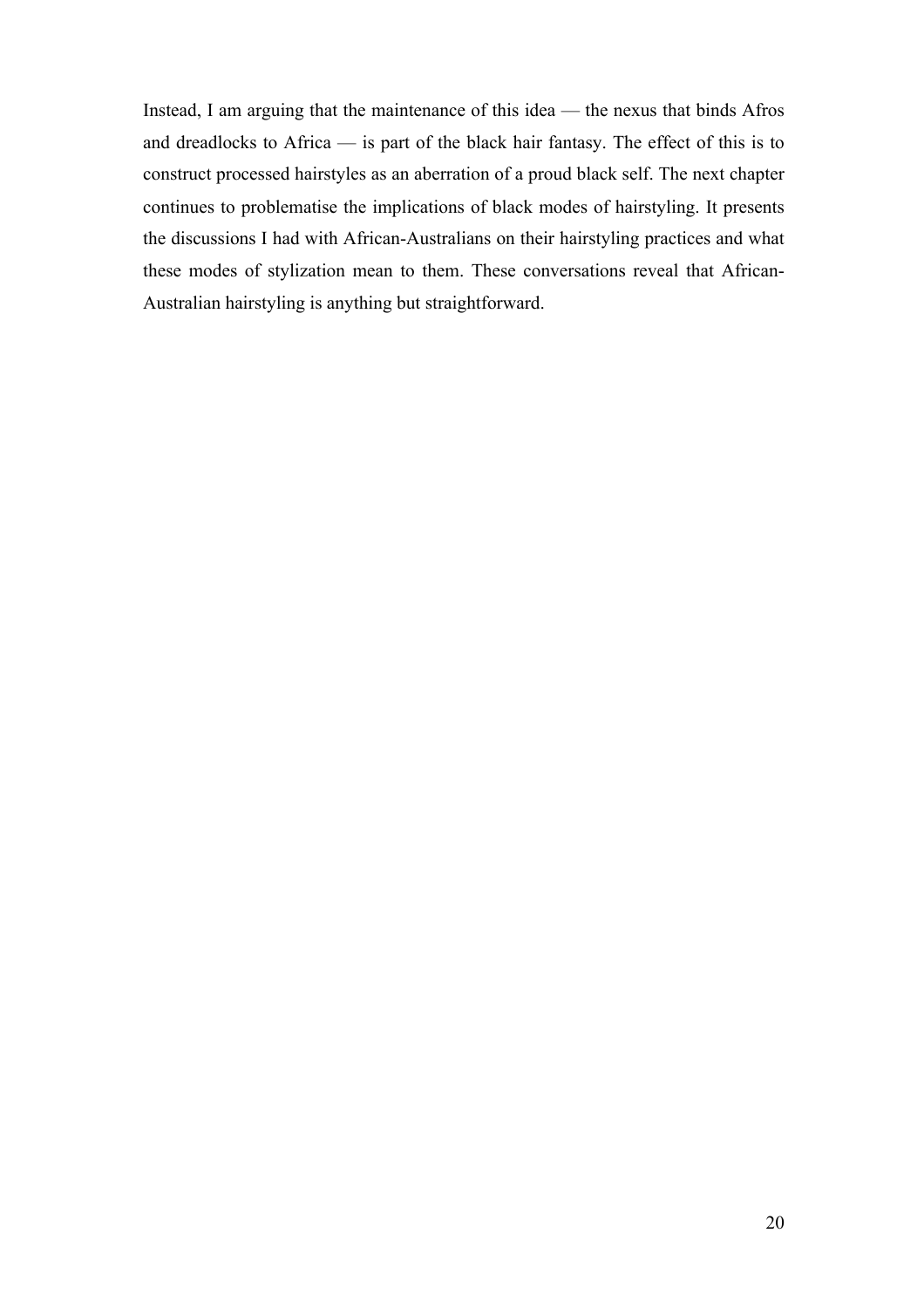Instead, I am arguing that the maintenance of this idea — the nexus that binds Afros and dreadlocks to Africa — is part of the black hair fantasy. The effect of this is to construct processed hairstyles as an aberration of a proud black self. The next chapter continues to problematise the implications of black modes of hairstyling. It presents the discussions I had with African-Australians on their hairstyling practices and what these modes of stylization mean to them. These conversations reveal that African-Australian hairstyling is anything but straightforward.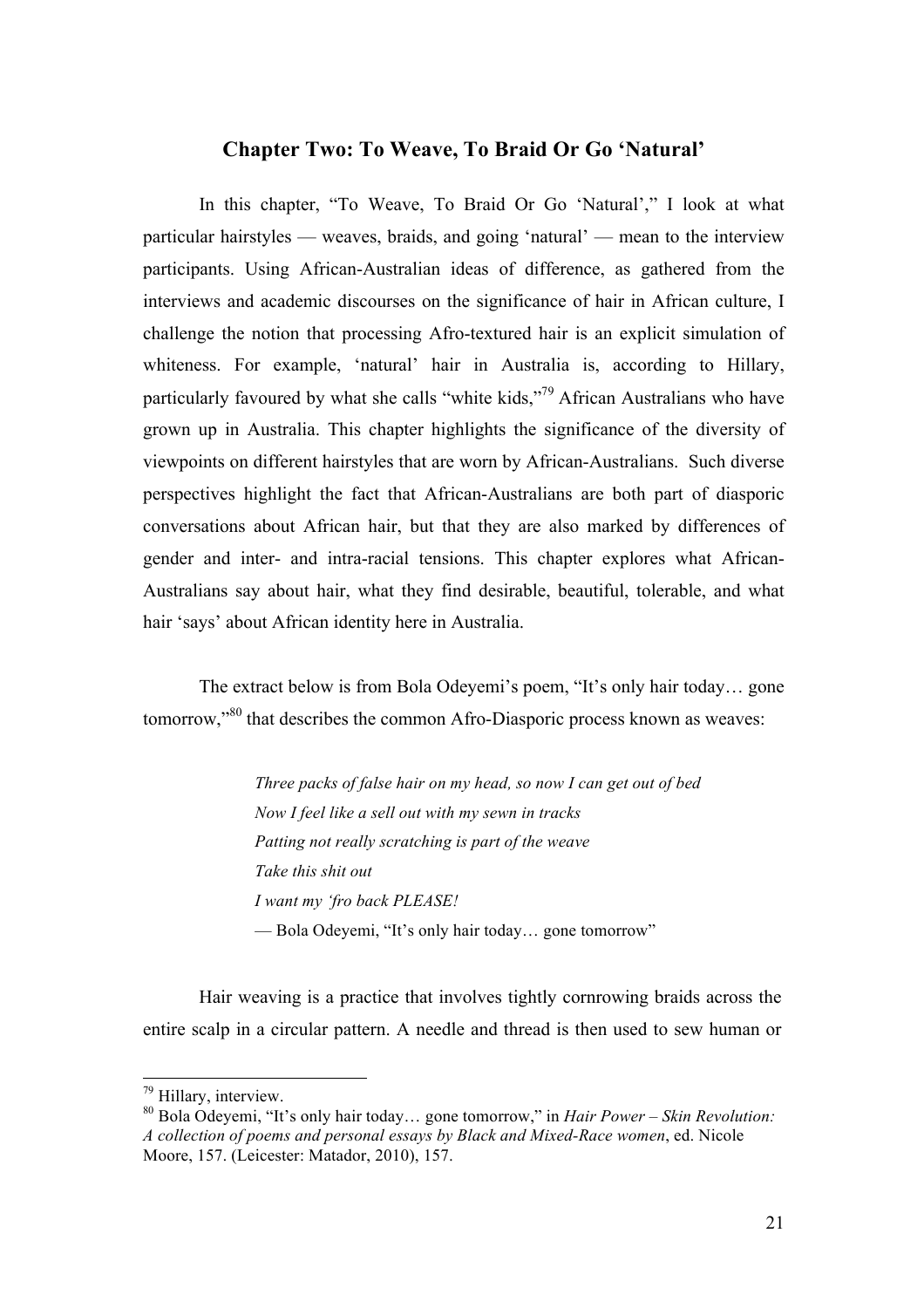#### **Chapter Two: To Weave, To Braid Or Go 'Natural'**

In this chapter, "To Weave, To Braid Or Go 'Natural'," I look at what particular hairstyles — weaves, braids, and going 'natural' — mean to the interview participants. Using African-Australian ideas of difference, as gathered from the interviews and academic discourses on the significance of hair in African culture, I challenge the notion that processing Afro-textured hair is an explicit simulation of whiteness. For example, 'natural' hair in Australia is, according to Hillary, particularly favoured by what she calls "white kids,"79 African Australians who have grown up in Australia. This chapter highlights the significance of the diversity of viewpoints on different hairstyles that are worn by African-Australians. Such diverse perspectives highlight the fact that African-Australians are both part of diasporic conversations about African hair, but that they are also marked by differences of gender and inter- and intra-racial tensions. This chapter explores what African-Australians say about hair, what they find desirable, beautiful, tolerable, and what hair 'says' about African identity here in Australia.

The extract below is from Bola Odeyemi's poem, "It's only hair today… gone tomorrow,"<sup>80</sup> that describes the common Afro-Diasporic process known as weaves:

> *Three packs of false hair on my head, so now I can get out of bed Now I feel like a sell out with my sewn in tracks Patting not really scratching is part of the weave Take this shit out I want my 'fro back PLEASE!* — Bola Odeyemi, "It's only hair today… gone tomorrow"

Hair weaving is a practice that involves tightly cornrowing braids across the entire scalp in a circular pattern. A needle and thread is then used to sew human or

<sup>&</sup>lt;sup>79</sup> Hillary, interview.

<sup>80</sup> Bola Odeyemi, "It's only hair today… gone tomorrow," in *Hair Power – Skin Revolution: A collection of poems and personal essays by Black and Mixed-Race women*, ed. Nicole Moore, 157. (Leicester: Matador, 2010), 157.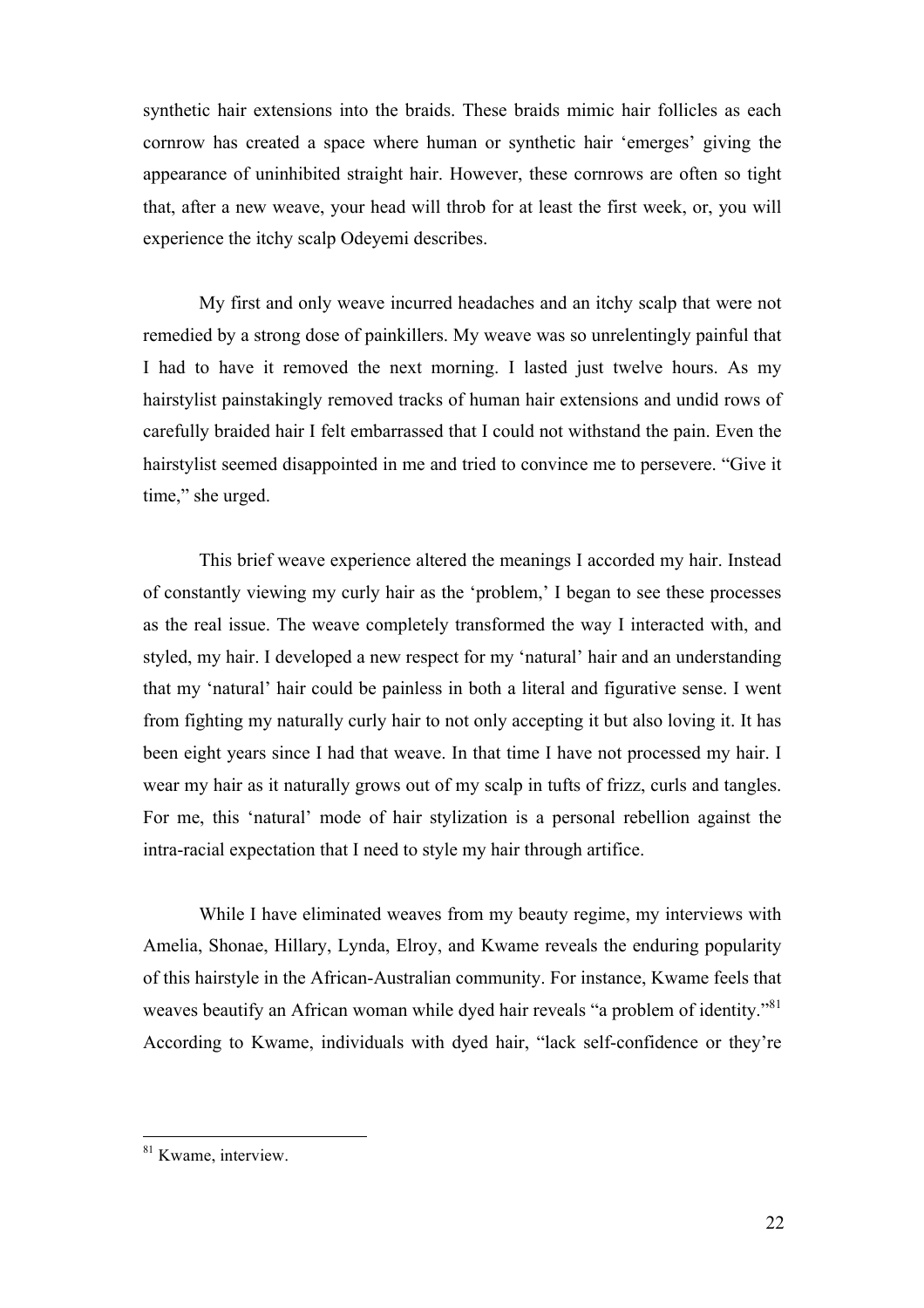synthetic hair extensions into the braids. These braids mimic hair follicles as each cornrow has created a space where human or synthetic hair 'emerges' giving the appearance of uninhibited straight hair. However, these cornrows are often so tight that, after a new weave, your head will throb for at least the first week, or, you will experience the itchy scalp Odeyemi describes.

My first and only weave incurred headaches and an itchy scalp that were not remedied by a strong dose of painkillers. My weave was so unrelentingly painful that I had to have it removed the next morning. I lasted just twelve hours. As my hairstylist painstakingly removed tracks of human hair extensions and undid rows of carefully braided hair I felt embarrassed that I could not withstand the pain. Even the hairstylist seemed disappointed in me and tried to convince me to persevere. "Give it time," she urged.

This brief weave experience altered the meanings I accorded my hair. Instead of constantly viewing my curly hair as the 'problem,' I began to see these processes as the real issue. The weave completely transformed the way I interacted with, and styled, my hair. I developed a new respect for my 'natural' hair and an understanding that my 'natural' hair could be painless in both a literal and figurative sense. I went from fighting my naturally curly hair to not only accepting it but also loving it. It has been eight years since I had that weave. In that time I have not processed my hair. I wear my hair as it naturally grows out of my scalp in tufts of frizz, curls and tangles. For me, this 'natural' mode of hair stylization is a personal rebellion against the intra-racial expectation that I need to style my hair through artifice.

While I have eliminated weaves from my beauty regime, my interviews with Amelia, Shonae, Hillary, Lynda, Elroy, and Kwame reveals the enduring popularity of this hairstyle in the African-Australian community. For instance, Kwame feels that weaves beautify an African woman while dyed hair reveals "a problem of identity."<sup>81</sup> According to Kwame, individuals with dyed hair, "lack self-confidence or they're

<sup>&</sup>lt;sup>81</sup> Kwame, interview.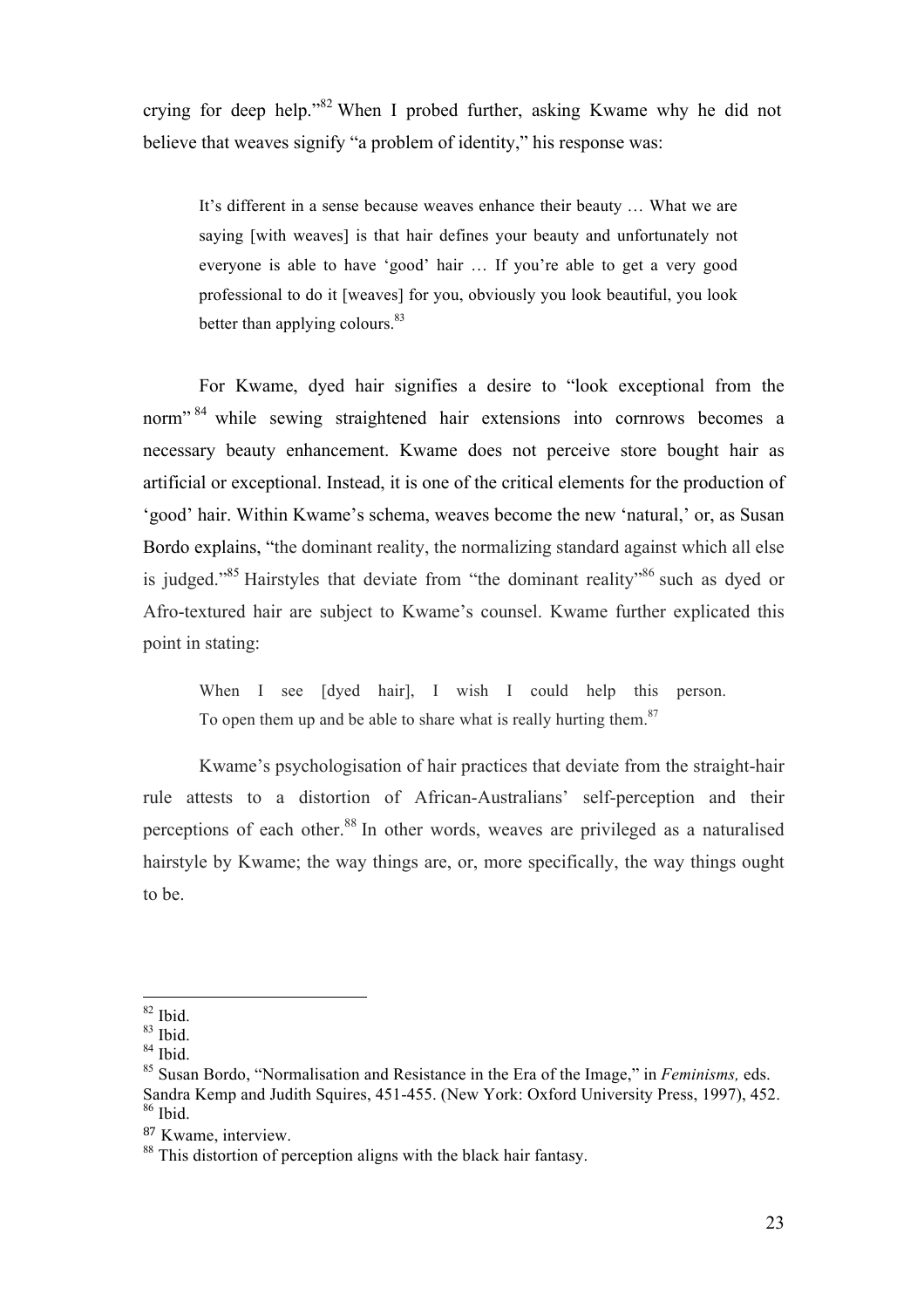crying for deep help."82 When I probed further, asking Kwame why he did not believe that weaves signify "a problem of identity," his response was:

It's different in a sense because weaves enhance their beauty … What we are saying [with weaves] is that hair defines your beauty and unfortunately not everyone is able to have 'good' hair … If you're able to get a very good professional to do it [weaves] for you, obviously you look beautiful, you look better than applying colours.<sup>83</sup>

For Kwame, dyed hair signifies a desire to "look exceptional from the norm"<sup>84</sup> while sewing straightened hair extensions into cornrows becomes a necessary beauty enhancement. Kwame does not perceive store bought hair as artificial or exceptional. Instead, it is one of the critical elements for the production of 'good' hair. Within Kwame's schema, weaves become the new 'natural,' or, as Susan Bordo explains, "the dominant reality, the normalizing standard against which all else is judged."<sup>85</sup> Hairstyles that deviate from "the dominant reality"<sup>86</sup> such as dyed or Afro-textured hair are subject to Kwame's counsel. Kwame further explicated this point in stating:

When I see [dyed hair], I wish I could help this person. To open them up and be able to share what is really hurting them.<sup>87</sup>

Kwame's psychologisation of hair practices that deviate from the straight-hair rule attests to a distortion of African-Australians' self-perception and their perceptions of each other.<sup>88</sup> In other words, weaves are privileged as a naturalised hairstyle by Kwame; the way things are, or, more specifically, the way things ought to be.

<sup>82</sup> Ibid.

 $83$  Ibid.

 $84$  Ibid.

<sup>85</sup> Susan Bordo, "Normalisation and Resistance in the Era of the Image," in *Feminisms,* eds. Sandra Kemp and Judith Squires, 451-455. (New York: Oxford University Press, 1997), 452.  $86$  Ibid.

<sup>87</sup> Kwame, interview.

<sup>&</sup>lt;sup>88</sup> This distortion of perception aligns with the black hair fantasy.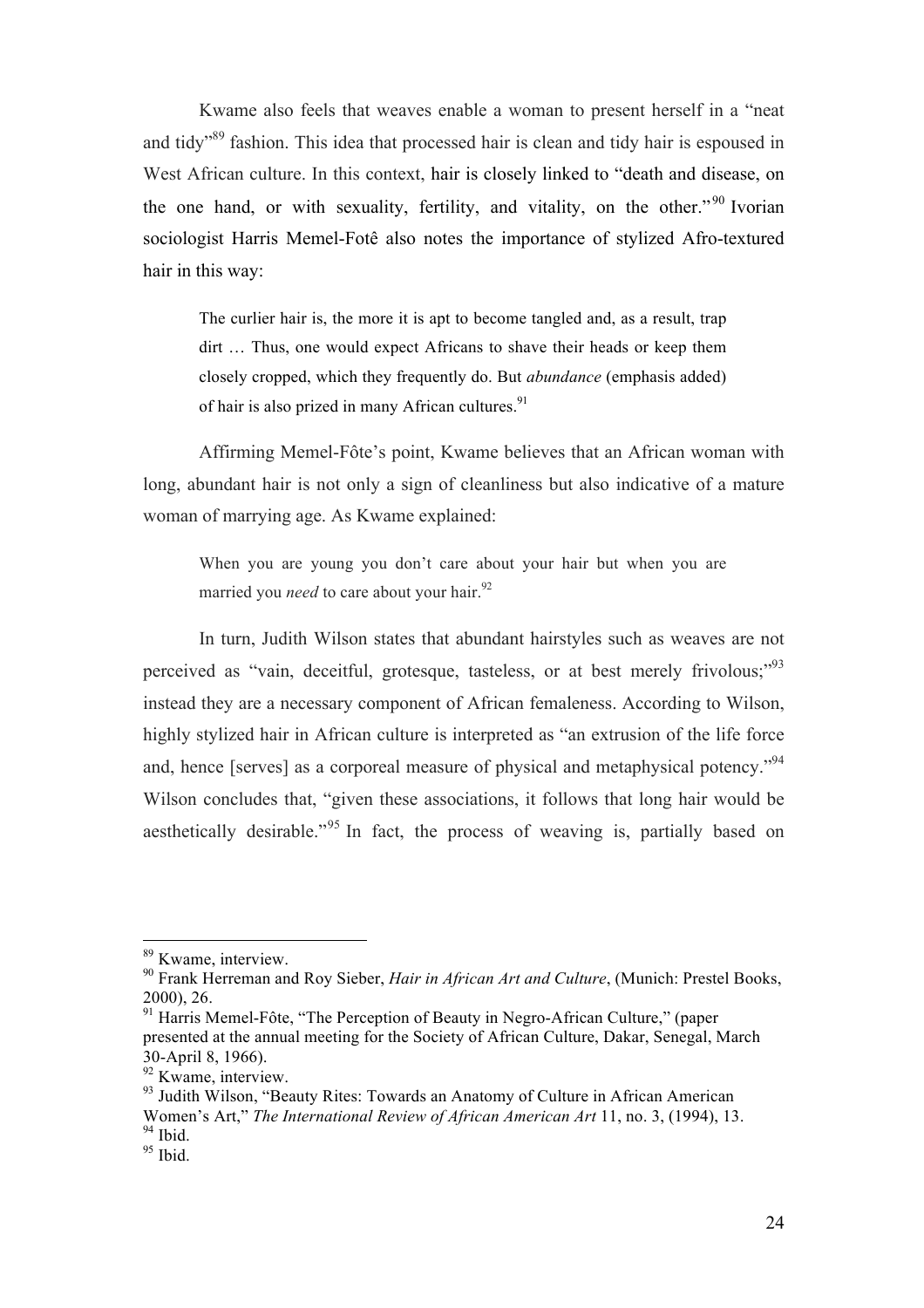Kwame also feels that weaves enable a woman to present herself in a "neat and tidy"89 fashion. This idea that processed hair is clean and tidy hair is espoused in West African culture. In this context, hair is closely linked to "death and disease, on the one hand, or with sexuality, fertility, and vitality, on the other."<sup>90</sup> Ivorian sociologist Harris Memel-Fotê also notes the importance of stylized Afro-textured hair in this way:

The curlier hair is, the more it is apt to become tangled and, as a result, trap dirt … Thus, one would expect Africans to shave their heads or keep them closely cropped, which they frequently do. But *abundance* (emphasis added) of hair is also prized in many African cultures. $91$ 

Affirming Memel-Fôte's point, Kwame believes that an African woman with long, abundant hair is not only a sign of cleanliness but also indicative of a mature woman of marrying age. As Kwame explained:

When you are young you don't care about your hair but when you are married you *need* to care about your hair.<sup>92</sup>

In turn, Judith Wilson states that abundant hairstyles such as weaves are not perceived as "vain, deceitful, grotesque, tasteless, or at best merely frivolous;"<sup>93</sup> instead they are a necessary component of African femaleness. According to Wilson, highly stylized hair in African culture is interpreted as "an extrusion of the life force and, hence [serves] as a corporeal measure of physical and metaphysical potency."<sup>94</sup> Wilson concludes that, "given these associations, it follows that long hair would be aesthetically desirable."<sup>95</sup> In fact, the process of weaving is, partially based on

<sup>89</sup> Kwame, interview.

<sup>90</sup> Frank Herreman and Roy Sieber, *Hair in African Art and Culture*, (Munich: Prestel Books, 2000), 26.

<sup>&</sup>lt;sup>91</sup> Harris Memel-Fôte, "The Perception of Beauty in Negro-African Culture," (paper presented at the annual meeting for the Society of African Culture, Dakar, Senegal, March 30-April 8, 1966).

<sup>92</sup> Kwame, interview.

<sup>&</sup>lt;sup>93</sup> Judith Wilson, "Beauty Rites: Towards an Anatomy of Culture in African American Women's Art," *The International Review of African American Art* 11, no. 3, (1994), 13.  $94$  Ibid.

 $95$  Ibid.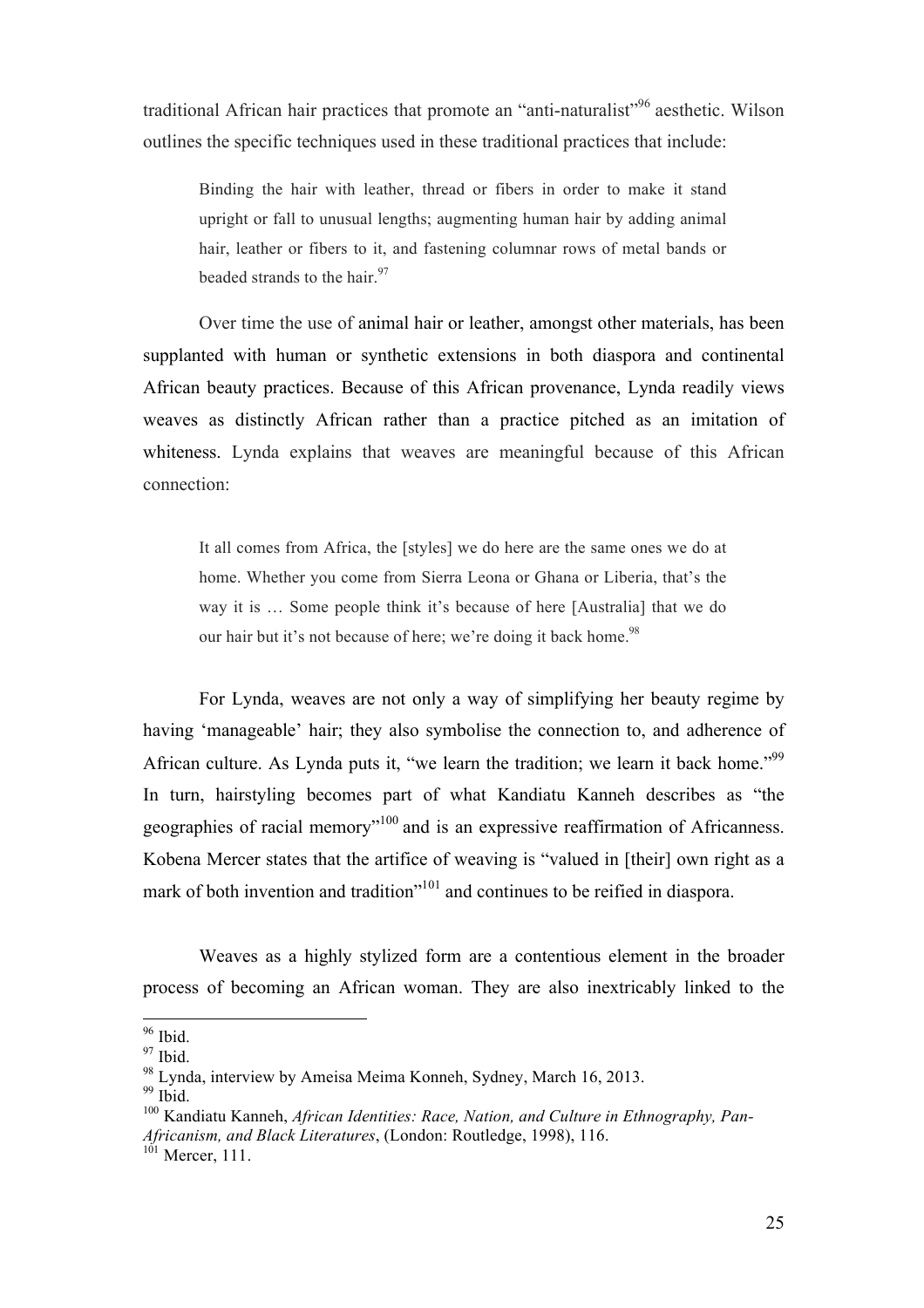traditional African hair practices that promote an "anti-naturalist"96 aesthetic. Wilson outlines the specific techniques used in these traditional practices that include:

Binding the hair with leather, thread or fibers in order to make it stand upright or fall to unusual lengths; augmenting human hair by adding animal hair, leather or fibers to it, and fastening columnar rows of metal bands or beaded strands to the hair. $97$ 

Over time the use of animal hair or leather, amongst other materials, has been supplanted with human or synthetic extensions in both diaspora and continental African beauty practices. Because of this African provenance, Lynda readily views weaves as distinctly African rather than a practice pitched as an imitation of whiteness. Lynda explains that weaves are meaningful because of this African connection:

It all comes from Africa, the [styles] we do here are the same ones we do at home. Whether you come from Sierra Leona or Ghana or Liberia, that's the way it is … Some people think it's because of here [Australia] that we do our hair but it's not because of here; we're doing it back home.<sup>98</sup>

For Lynda, weaves are not only a way of simplifying her beauty regime by having 'manageable' hair; they also symbolise the connection to, and adherence of African culture. As Lynda puts it, "we learn the tradition; we learn it back home."<sup>99</sup> In turn, hairstyling becomes part of what Kandiatu Kanneh describes as "the geographies of racial memory"<sup>100</sup> and is an expressive reaffirmation of Africanness. Kobena Mercer states that the artifice of weaving is "valued in [their] own right as a mark of both invention and tradition<sup>"101</sup> and continues to be reified in diaspora.

Weaves as a highly stylized form are a contentious element in the broader process of becoming an African woman. They are also inextricably linked to the

<sup>&</sup>lt;sup>96</sup> Ibid.

 $97$  Ibid.

<sup>98</sup> Lynda, interview by Ameisa Meima Konneh, Sydney, March 16, 2013.

 $99$  Ibid.

<sup>100</sup> Kandiatu Kanneh, *African Identities: Race, Nation, and Culture in Ethnography, Pan-Africanism, and Black Literatures*, (London: Routledge, 1998), 116.

 $101$  Mercer, 111.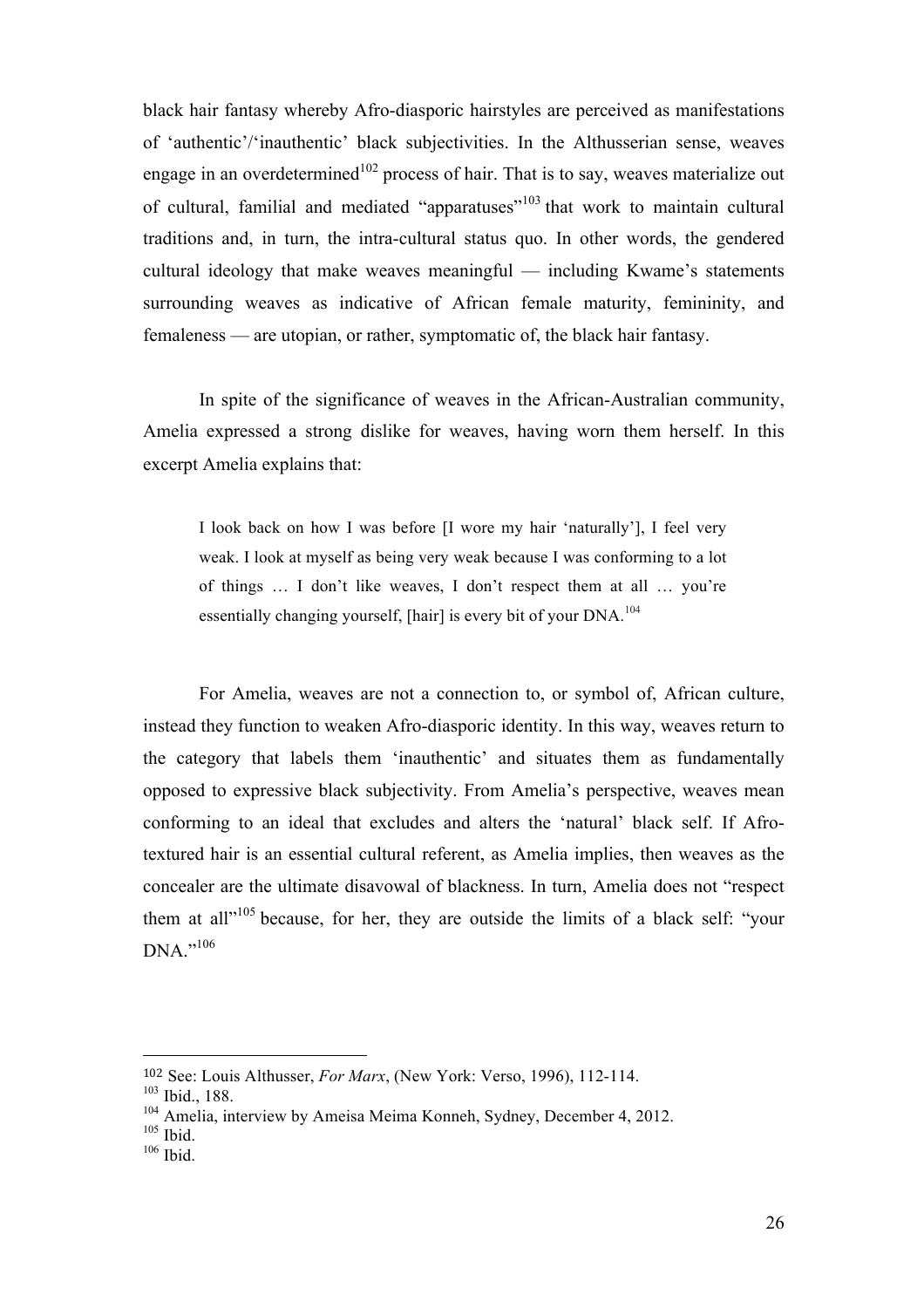black hair fantasy whereby Afro-diasporic hairstyles are perceived as manifestations of 'authentic'/'inauthentic' black subjectivities. In the Althusserian sense, weaves engage in an overdetermined $102$  process of hair. That is to say, weaves materialize out of cultural, familial and mediated "apparatuses"<sup>103</sup> that work to maintain cultural traditions and, in turn, the intra-cultural status quo. In other words, the gendered cultural ideology that make weaves meaningful — including Kwame's statements surrounding weaves as indicative of African female maturity, femininity, and femaleness — are utopian, or rather, symptomatic of, the black hair fantasy.

In spite of the significance of weaves in the African-Australian community, Amelia expressed a strong dislike for weaves, having worn them herself. In this excerpt Amelia explains that:

I look back on how I was before [I wore my hair 'naturally'], I feel very weak. I look at myself as being very weak because I was conforming to a lot of things … I don't like weaves, I don't respect them at all … you're essentially changing yourself, [hair] is every bit of your  $DNA$ <sup>104</sup>

For Amelia, weaves are not a connection to, or symbol of, African culture, instead they function to weaken Afro-diasporic identity. In this way, weaves return to the category that labels them 'inauthentic' and situates them as fundamentally opposed to expressive black subjectivity. From Amelia's perspective, weaves mean conforming to an ideal that excludes and alters the 'natural' black self. If Afrotextured hair is an essential cultural referent, as Amelia implies, then weaves as the concealer are the ultimate disavowal of blackness. In turn, Amelia does not "respect them at all"<sup>105</sup> because, for her, they are outside the limits of a black self: "your DNA."106

<sup>102</sup> See: Louis Althusser, *For Marx*, (New York: Verso, 1996), 112-114.

<sup>103</sup> Ibid., 188.

<sup>&</sup>lt;sup>104</sup> Amelia, interview by Ameisa Meima Konneh, Sydney, December 4, 2012.

 $105$  Ibid.

<sup>106</sup> Ibid.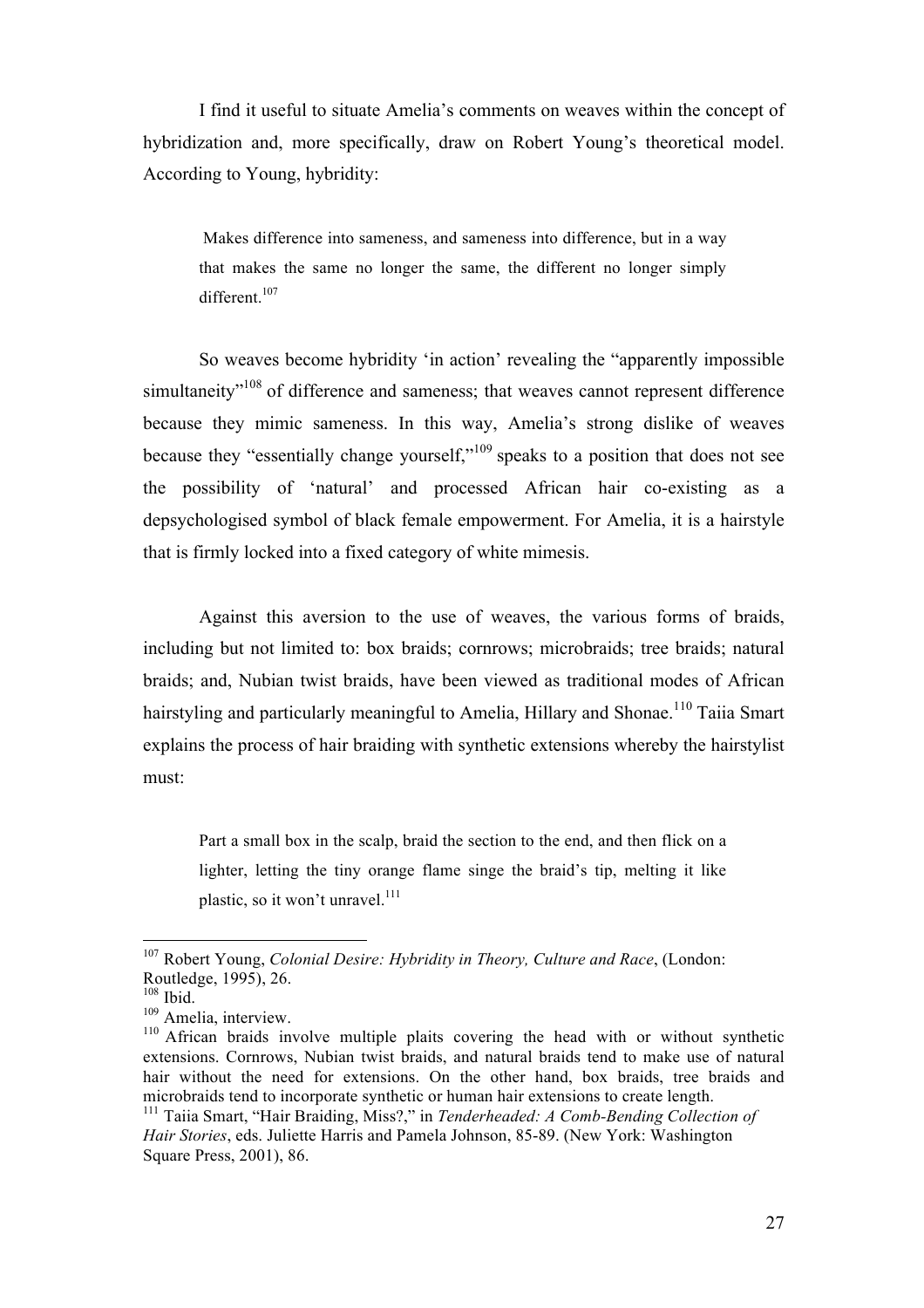I find it useful to situate Amelia's comments on weaves within the concept of hybridization and, more specifically, draw on Robert Young's theoretical model. According to Young, hybridity:

Makes difference into sameness, and sameness into difference, but in a way that makes the same no longer the same, the different no longer simply different.<sup>107</sup>

So weaves become hybridity 'in action' revealing the "apparently impossible simultaneity<sup>"108</sup> of difference and sameness; that weaves cannot represent difference because they mimic sameness. In this way, Amelia's strong dislike of weaves because they "essentially change yourself,"109 speaks to a position that does not see the possibility of 'natural' and processed African hair co-existing as a depsychologised symbol of black female empowerment. For Amelia, it is a hairstyle that is firmly locked into a fixed category of white mimesis.

Against this aversion to the use of weaves, the various forms of braids, including but not limited to: box braids; cornrows; microbraids; tree braids; natural braids; and, Nubian twist braids, have been viewed as traditional modes of African hairstyling and particularly meaningful to Amelia, Hillary and Shonae.<sup>110</sup> Taiia Smart explains the process of hair braiding with synthetic extensions whereby the hairstylist must:

Part a small box in the scalp, braid the section to the end, and then flick on a lighter, letting the tiny orange flame singe the braid's tip, melting it like plastic, so it won't unravel.<sup>111</sup>

<sup>107</sup> Robert Young, *Colonial Desire: Hybridity in Theory, Culture and Race*, (London: Routledge, 1995), 26.

 $108$  Ibid.

<sup>&</sup>lt;sup>109</sup> Amelia, interview.

<sup>&</sup>lt;sup>110</sup> African braids involve multiple plaits covering the head with or without synthetic extensions. Cornrows, Nubian twist braids, and natural braids tend to make use of natural hair without the need for extensions. On the other hand, box braids, tree braids and microbraids tend to incorporate synthetic or human hair extensions to create length.

<sup>111</sup> Taiia Smart, "Hair Braiding, Miss?," in *Tenderheaded: A Comb-Bending Collection of Hair Stories*, eds. Juliette Harris and Pamela Johnson, 85-89. (New York: Washington Square Press, 2001), 86.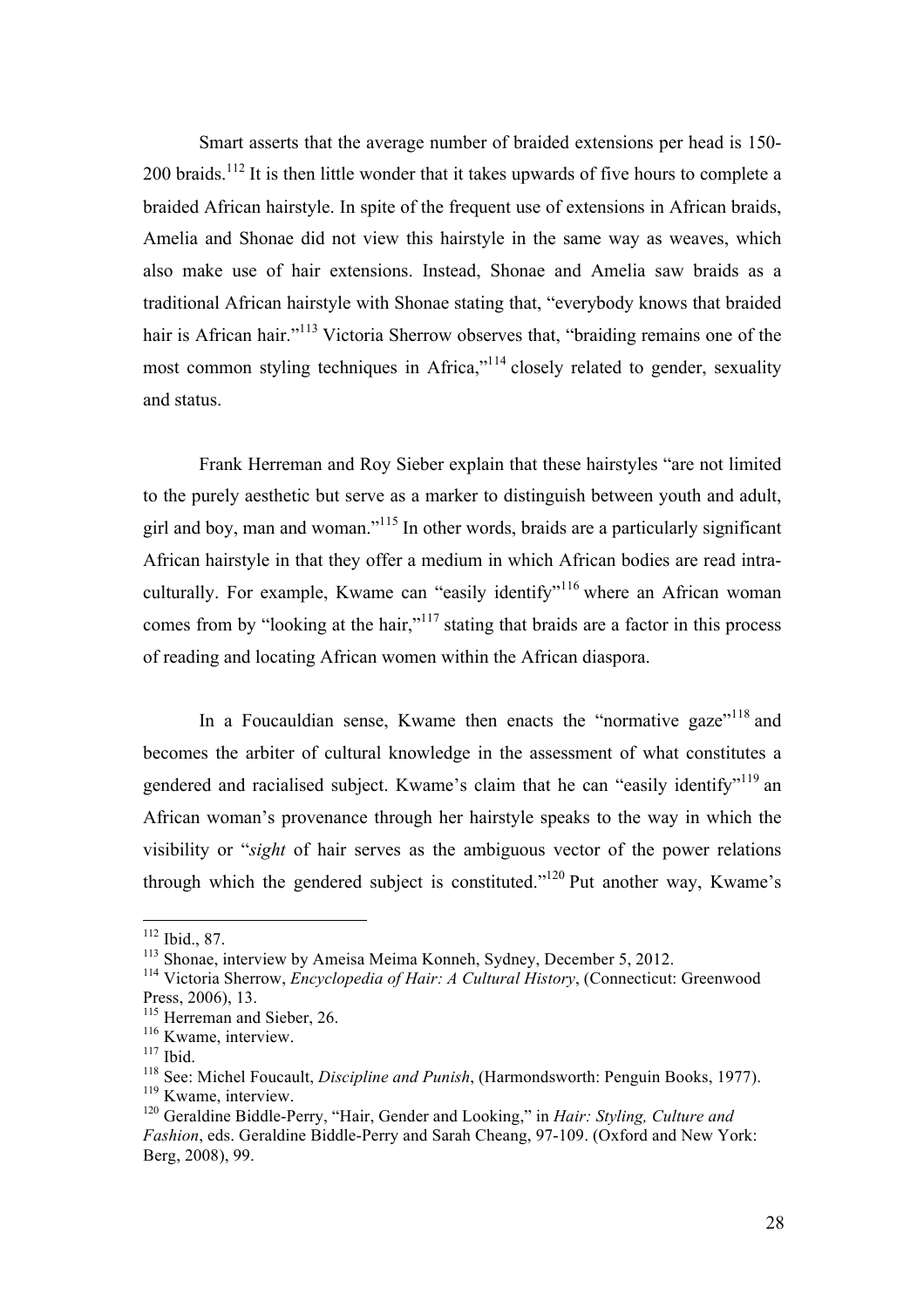Smart asserts that the average number of braided extensions per head is 150- 200 braids.<sup>112</sup> It is then little wonder that it takes upwards of five hours to complete a braided African hairstyle. In spite of the frequent use of extensions in African braids, Amelia and Shonae did not view this hairstyle in the same way as weaves, which also make use of hair extensions. Instead, Shonae and Amelia saw braids as a traditional African hairstyle with Shonae stating that, "everybody knows that braided hair is African hair."<sup>113</sup> Victoria Sherrow observes that, "braiding remains one of the most common styling techniques in Africa,"<sup>114</sup> closely related to gender, sexuality and status.

Frank Herreman and Roy Sieber explain that these hairstyles "are not limited to the purely aesthetic but serve as a marker to distinguish between youth and adult, girl and boy, man and woman."<sup>115</sup> In other words, braids are a particularly significant African hairstyle in that they offer a medium in which African bodies are read intraculturally. For example, Kwame can "easily identify"<sup>116</sup> where an African woman comes from by "looking at the hair,"<sup>117</sup> stating that braids are a factor in this process of reading and locating African women within the African diaspora.

In a Foucauldian sense, Kwame then enacts the "normative gaze"<sup>118</sup> and becomes the arbiter of cultural knowledge in the assessment of what constitutes a gendered and racialised subject. Kwame's claim that he can "easily identify"<sup>119</sup> an African woman's provenance through her hairstyle speaks to the way in which the visibility or "*sight* of hair serves as the ambiguous vector of the power relations through which the gendered subject is constituted."<sup>120</sup> Put another way, Kwame's

<sup>112</sup> Ibid., 87.

<sup>113</sup> Shonae, interview by Ameisa Meima Konneh, Sydney, December 5, 2012.

<sup>114</sup> Victoria Sherrow, *Encyclopedia of Hair: A Cultural History*, (Connecticut: Greenwood Press, 2006), 13.

<sup>&</sup>lt;sup>115</sup> Herreman and Sieber, 26.

<sup>&</sup>lt;sup>116</sup> Kwame, interview.

 $117$  Ibid.

<sup>118</sup> See: Michel Foucault, *Discipline and Punish*, (Harmondsworth: Penguin Books, 1977). <sup>119</sup> Kwame, interview.

<sup>120</sup> Geraldine Biddle-Perry, "Hair, Gender and Looking," in *Hair: Styling, Culture and Fashion*, eds. Geraldine Biddle-Perry and Sarah Cheang, 97-109. (Oxford and New York: Berg, 2008), 99.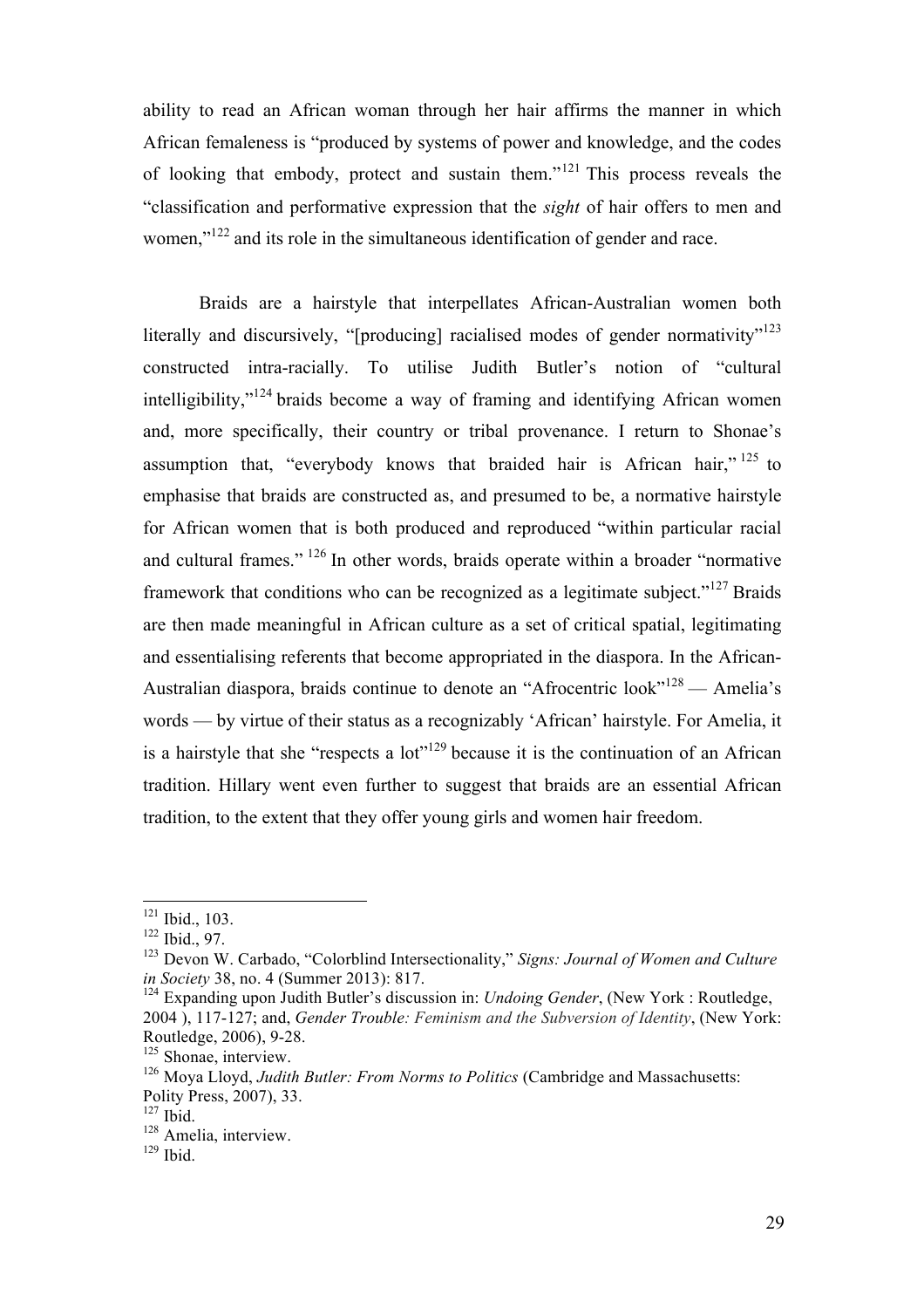ability to read an African woman through her hair affirms the manner in which African femaleness is "produced by systems of power and knowledge, and the codes of looking that embody, protect and sustain them."<sup>121</sup> This process reveals the "classification and performative expression that the *sight* of hair offers to men and women."<sup>122</sup> and its role in the simultaneous identification of gender and race.

Braids are a hairstyle that interpellates African-Australian women both literally and discursively, "[producing] racialised modes of gender normativity"<sup>123</sup> constructed intra-racially. To utilise Judith Butler's notion of "cultural intelligibility," $124$  braids become a way of framing and identifying African women and, more specifically, their country or tribal provenance. I return to Shonae's assumption that, "everybody knows that braided hair is African hair,"  $^{125}$  to emphasise that braids are constructed as, and presumed to be, a normative hairstyle for African women that is both produced and reproduced "within particular racial and cultural frames." 126 In other words, braids operate within a broader "normative framework that conditions who can be recognized as a legitimate subject."<sup>127</sup> Braids are then made meaningful in African culture as a set of critical spatial, legitimating and essentialising referents that become appropriated in the diaspora. In the African-Australian diaspora, braids continue to denote an "Afrocentric look"<sup>128</sup> — Amelia's words — by virtue of their status as a recognizably 'African' hairstyle. For Amelia, it is a hairstyle that she "respects a lot"<sup>129</sup> because it is the continuation of an African tradition. Hillary went even further to suggest that braids are an essential African tradition, to the extent that they offer young girls and women hair freedom.

<sup>&</sup>lt;sup>121</sup> Ibid., 103.

<sup>122</sup> Ibid., 97.

<sup>123</sup> Devon W. Carbado, "Colorblind Intersectionality," *Signs: Journal of Women and Culture in Society* 38, no. 4 (Summer 2013): 817.

<sup>124</sup> Expanding upon Judith Butler's discussion in: *Undoing Gender*, (New York : Routledge, 2004 ), 117-127; and, *Gender Trouble: Feminism and the Subversion of Identity*, (New York: Routledge, 2006), 9-28.

<sup>&</sup>lt;sup>125</sup> Shonae, interview.

<sup>&</sup>lt;sup>126</sup> Mova Llovd. *Judith Butler: From Norms to Politics* (Cambridge and Massachusetts: Polity Press, 2007), 33.

 $127$  Ibid.

<sup>&</sup>lt;sup>128</sup> Amelia, interview.

 $129$  Ibid.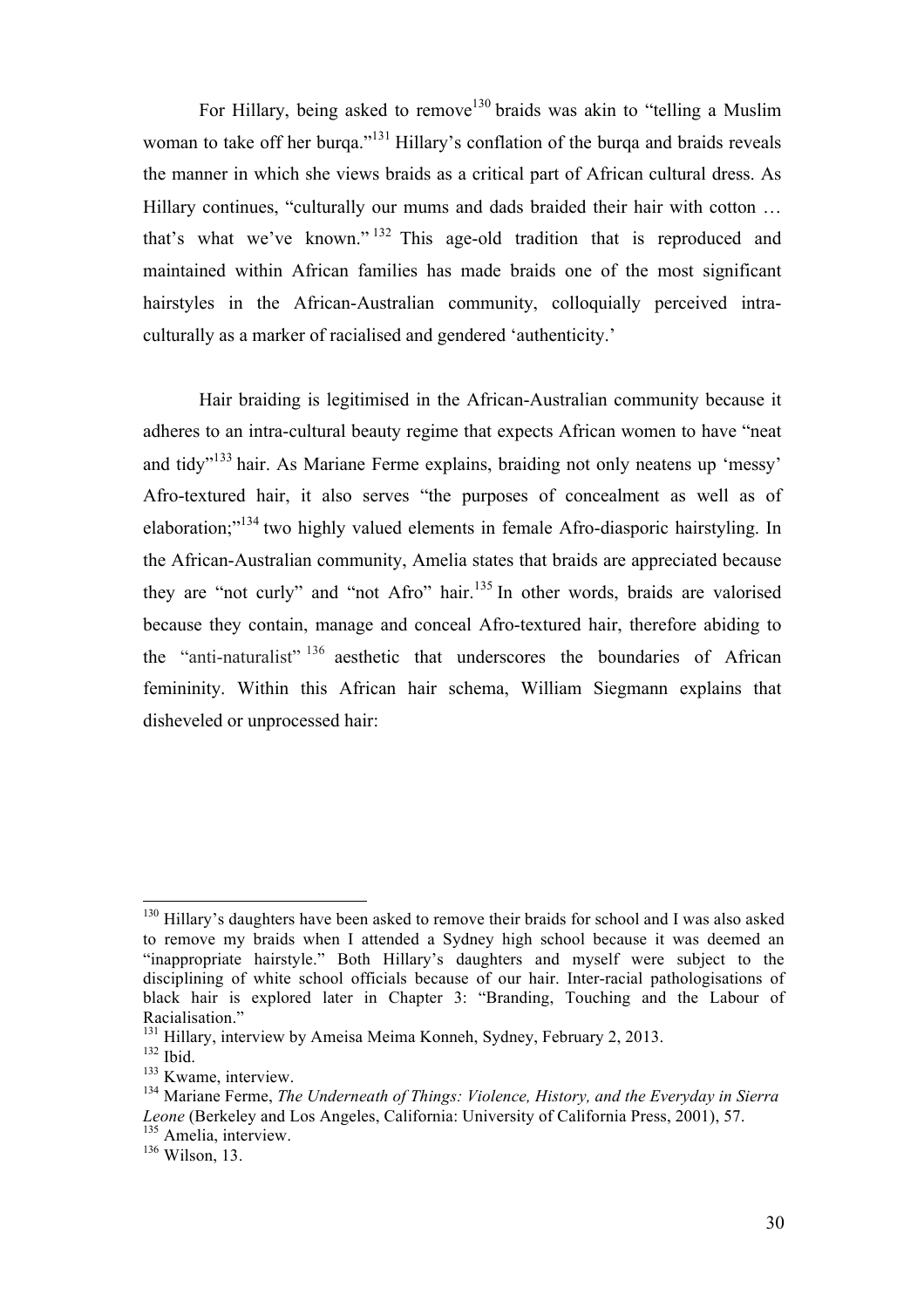For Hillary, being asked to remove<sup>130</sup> braids was akin to "telling a Muslim" woman to take off her burga."<sup>131</sup> Hillary's conflation of the burga and braids reveals the manner in which she views braids as a critical part of African cultural dress. As Hillary continues, "culturally our mums and dads braided their hair with cotton ... that's what we've known." <sup>132</sup> This age-old tradition that is reproduced and maintained within African families has made braids one of the most significant hairstyles in the African-Australian community, colloquially perceived intraculturally as a marker of racialised and gendered 'authenticity.'

Hair braiding is legitimised in the African-Australian community because it adheres to an intra-cultural beauty regime that expects African women to have "neat and tidy" <sup>133</sup> hair. As Mariane Ferme explains, braiding not only neatens up 'messy' Afro-textured hair, it also serves "the purposes of concealment as well as of elaboration;"<sup>134</sup> two highly valued elements in female Afro-diasporic hairstyling. In the African-Australian community, Amelia states that braids are appreciated because they are "not curly" and "not Afro" hair. <sup>135</sup> In other words, braids are valorised because they contain, manage and conceal Afro-textured hair, therefore abiding to the "anti-naturalist" <sup>136</sup> aesthetic that underscores the boundaries of African femininity. Within this African hair schema, William Siegmann explains that disheveled or unprocessed hair:

 $130$  Hillary's daughters have been asked to remove their braids for school and I was also asked to remove my braids when I attended a Sydney high school because it was deemed an "inappropriate hairstyle." Both Hillary's daughters and myself were subject to the disciplining of white school officials because of our hair. Inter-racial pathologisations of black hair is explored later in Chapter 3: "Branding, Touching and the Labour of Racialisation."

<sup>&</sup>lt;sup>131</sup> Hillary, interview by Ameisa Meima Konneh, Sydney, February 2, 2013.

 $132$  Ibid.

<sup>&</sup>lt;sup>133</sup> Kwame, interview.

<sup>134</sup> Mariane Ferme, *The Underneath of Things: Violence, History, and the Everyday in Sierra Leone* (Berkeley and Los Angeles, California: University of California Press, 2001), 57. <sup>135</sup> Amelia, interview.

<sup>136</sup> Wilson, 13.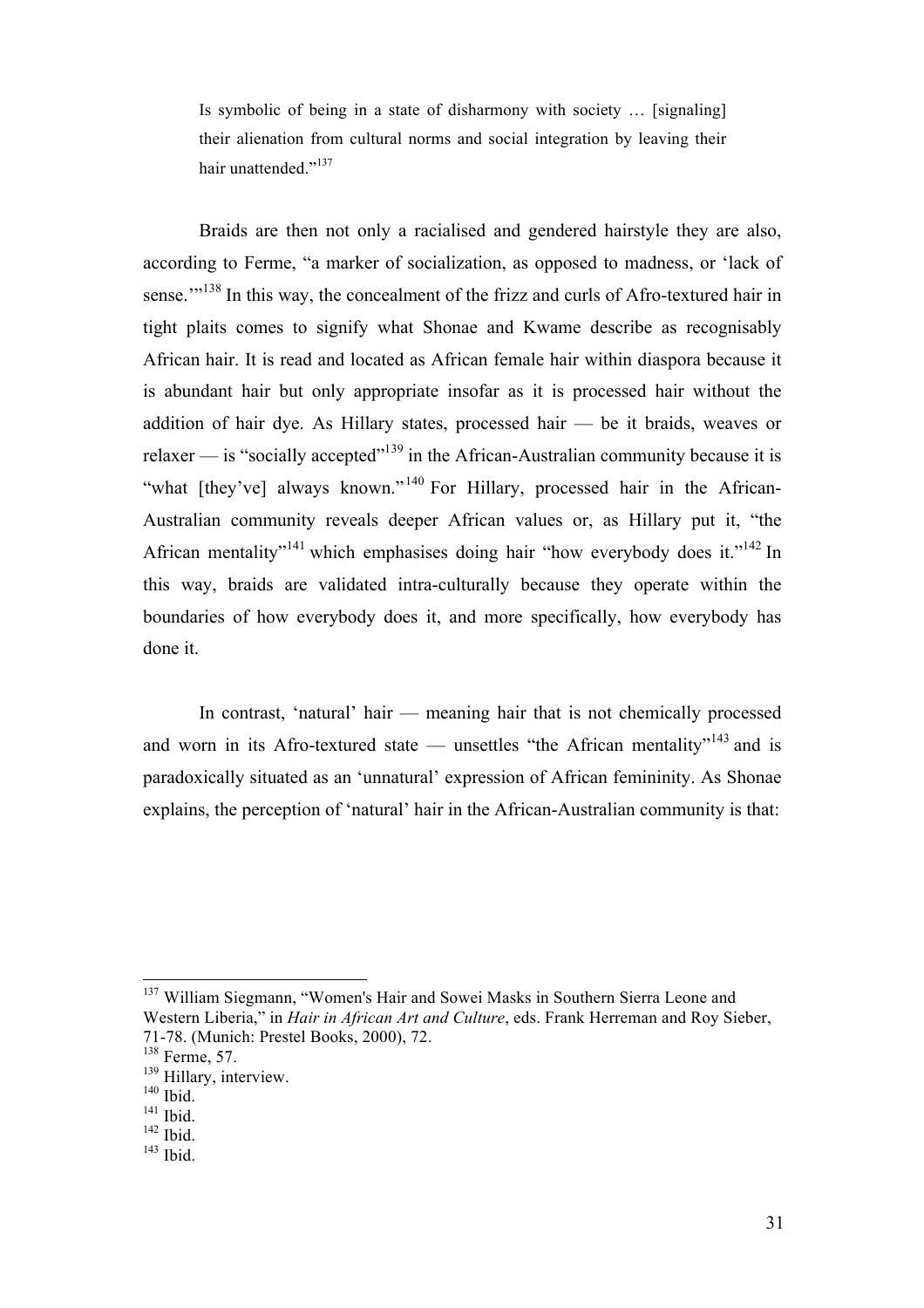Is symbolic of being in a state of disharmony with society … [signaling] their alienation from cultural norms and social integration by leaving their hair unattended."<sup>137</sup>

Braids are then not only a racialised and gendered hairstyle they are also, according to Ferme, "a marker of socialization, as opposed to madness, or 'lack of sense."<sup>138</sup> In this way, the concealment of the frizz and curls of Afro-textured hair in tight plaits comes to signify what Shonae and Kwame describe as recognisably African hair. It is read and located as African female hair within diaspora because it is abundant hair but only appropriate insofar as it is processed hair without the addition of hair dye. As Hillary states, processed hair — be it braids, weaves or relaxer — is "socially accepted"139 in the African-Australian community because it is "what [they've] always known."<sup>140</sup> For Hillary, processed hair in the African-Australian community reveals deeper African values or, as Hillary put it, "the African mentality"<sup>141</sup> which emphasises doing hair "how everybody does it."<sup>142</sup> In this way, braids are validated intra-culturally because they operate within the boundaries of how everybody does it, and more specifically, how everybody has done it.

In contrast, 'natural' hair — meaning hair that is not chemically processed and worn in its Afro-textured state — unsettles "the African mentality"<sup>143</sup> and is paradoxically situated as an 'unnatural' expression of African femininity. As Shonae explains, the perception of 'natural' hair in the African-Australian community is that:

<sup>137</sup> William Siegmann, "Women's Hair and Sowei Masks in Southern Sierra Leone and Western Liberia," in *Hair in African Art and Culture*, eds. Frank Herreman and Roy Sieber, 71-78. (Munich: Prestel Books, 2000), 72.

<sup>138</sup> Ferme, 57.

<sup>&</sup>lt;sup>139</sup> Hillary, interview.

 $140$  Ibid.

<sup>&</sup>lt;sup>141</sup> Ibid.

 $142$  Ibid.

 $143$  Ibid.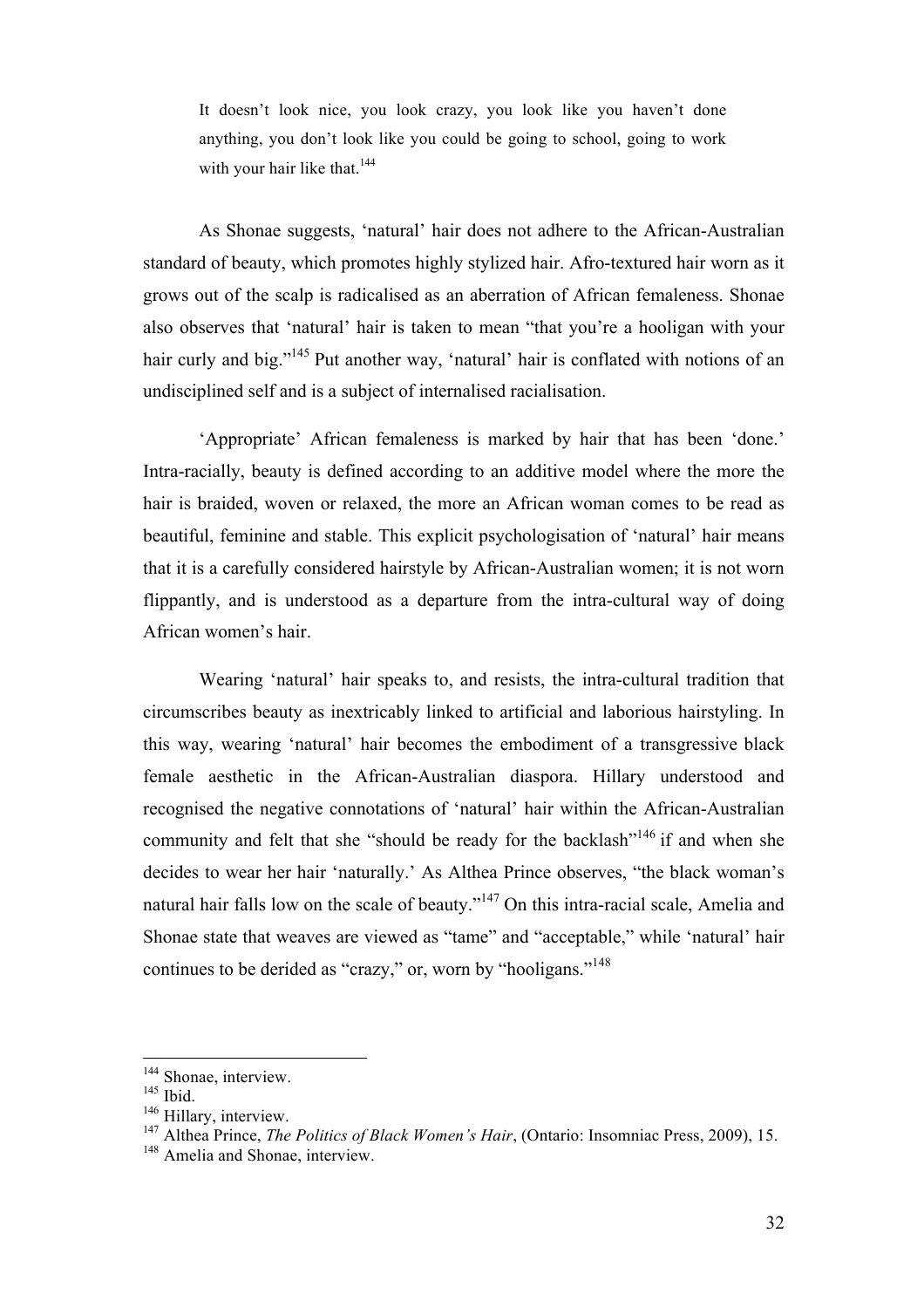It doesn't look nice, you look crazy, you look like you haven't done anything, you don't look like you could be going to school, going to work with your hair like that. $144$ 

As Shonae suggests, 'natural' hair does not adhere to the African-Australian standard of beauty, which promotes highly stylized hair. Afro-textured hair worn as it grows out of the scalp is radicalised as an aberration of African femaleness. Shonae also observes that 'natural' hair is taken to mean "that you're a hooligan with your hair curly and big."<sup>145</sup> Put another way, 'natural' hair is conflated with notions of an undisciplined self and is a subject of internalised racialisation.

'Appropriate' African femaleness is marked by hair that has been 'done.' Intra-racially, beauty is defined according to an additive model where the more the hair is braided, woven or relaxed, the more an African woman comes to be read as beautiful, feminine and stable. This explicit psychologisation of 'natural' hair means that it is a carefully considered hairstyle by African-Australian women; it is not worn flippantly, and is understood as a departure from the intra-cultural way of doing African women's hair.

Wearing 'natural' hair speaks to, and resists, the intra-cultural tradition that circumscribes beauty as inextricably linked to artificial and laborious hairstyling. In this way, wearing 'natural' hair becomes the embodiment of a transgressive black female aesthetic in the African-Australian diaspora. Hillary understood and recognised the negative connotations of 'natural' hair within the African-Australian community and felt that she "should be ready for the backlash"<sup>146</sup> if and when she decides to wear her hair 'naturally.' As Althea Prince observes, "the black woman's natural hair falls low on the scale of beauty." $147$  On this intra-racial scale, Amelia and Shonae state that weaves are viewed as "tame" and "acceptable," while 'natural' hair continues to be derided as "crazy," or, worn by "hooligans."<sup>148</sup>

<sup>&</sup>lt;sup>144</sup> Shonae, interview.

 $145$  Ibid.

<sup>&</sup>lt;sup>146</sup> Hillary, interview.

<sup>147</sup> Althea Prince, *The Politics of Black Women's Hair*, (Ontario: Insomniac Press, 2009), 15.

<sup>&</sup>lt;sup>148</sup> Amelia and Shonae, interview.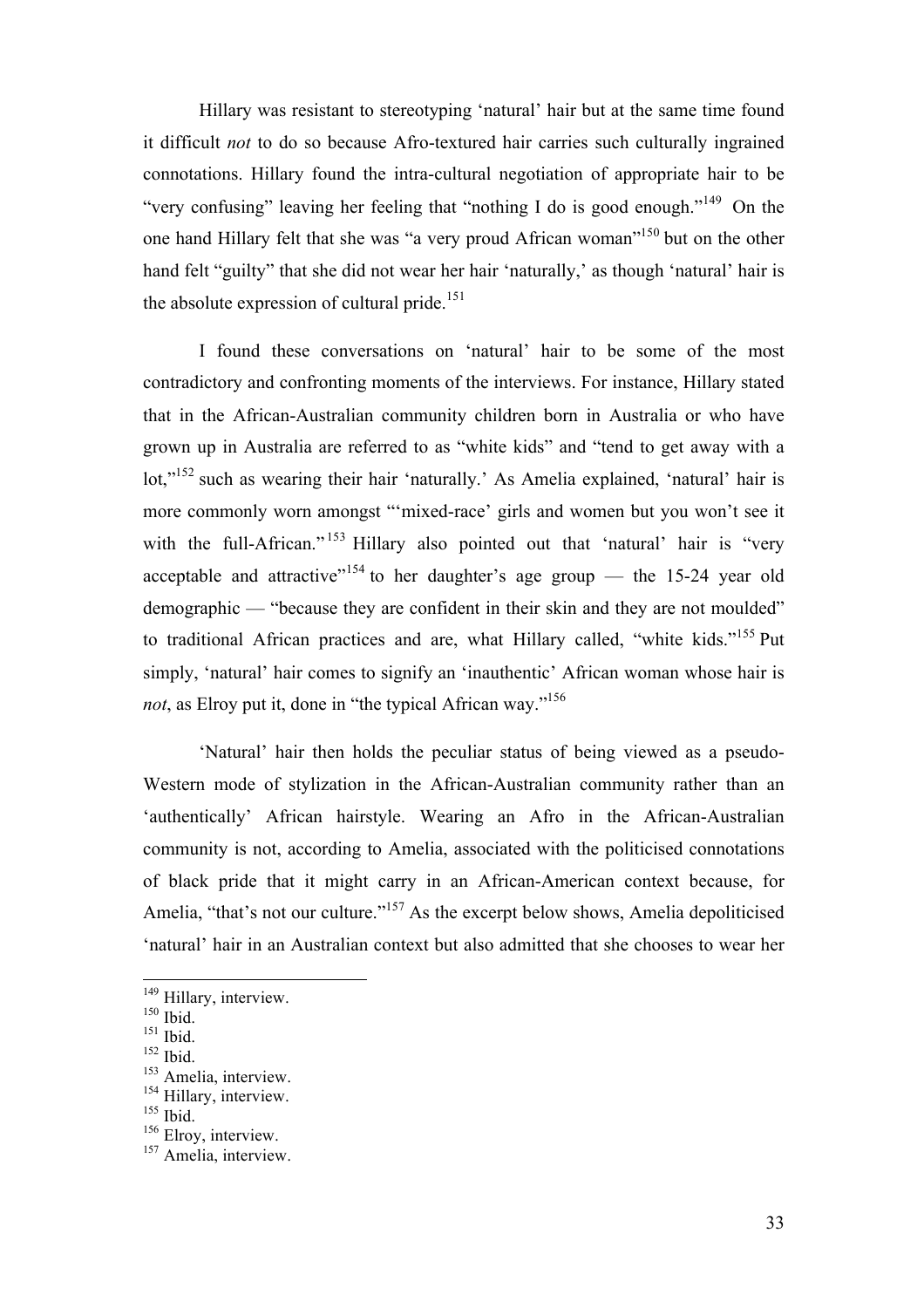Hillary was resistant to stereotyping 'natural' hair but at the same time found it difficult *not* to do so because Afro-textured hair carries such culturally ingrained connotations. Hillary found the intra-cultural negotiation of appropriate hair to be "very confusing" leaving her feeling that "nothing I do is good enough."149 On the one hand Hillary felt that she was "a very proud African woman"150 but on the other hand felt "guilty" that she did not wear her hair 'naturally,' as though 'natural' hair is the absolute expression of cultural pride.<sup>151</sup>

I found these conversations on 'natural' hair to be some of the most contradictory and confronting moments of the interviews. For instance, Hillary stated that in the African-Australian community children born in Australia or who have grown up in Australia are referred to as "white kids" and "tend to get away with a lot,"<sup>152</sup> such as wearing their hair 'naturally.' As Amelia explained, 'natural' hair is more commonly worn amongst "'mixed-race' girls and women but you won't see it with the full-African."<sup>153</sup> Hillary also pointed out that 'natural' hair is "very acceptable and attractive<sup> $154$ </sup> to her daughter's age group — the 15-24 year old demographic — "because they are confident in their skin and they are not moulded" to traditional African practices and are, what Hillary called, "white kids."<sup>155</sup> Put simply, 'natural' hair comes to signify an 'inauthentic' African woman whose hair is *not*, as Elroy put it, done in "the typical African way."156

'Natural' hair then holds the peculiar status of being viewed as a pseudo-Western mode of stylization in the African-Australian community rather than an 'authentically' African hairstyle. Wearing an Afro in the African-Australian community is not, according to Amelia, associated with the politicised connotations of black pride that it might carry in an African-American context because, for Amelia, "that's not our culture."<sup>157</sup> As the excerpt below shows, Amelia depoliticised 'natural' hair in an Australian context but also admitted that she chooses to wear her

<sup>&</sup>lt;sup>149</sup> Hillary, interview.

<sup>&</sup>lt;sup>150</sup> Ibid.

<sup>&</sup>lt;sup>151</sup> Ibid.

 $152$  Ibid.

<sup>&</sup>lt;sup>153</sup> Amelia, interview.

<sup>&</sup>lt;sup>154</sup> Hillary, interview.

<sup>&</sup>lt;sup>155</sup> Ibid.

<sup>&</sup>lt;sup>156</sup> Elroy, interview.

<sup>&</sup>lt;sup>157</sup> Amelia, interview.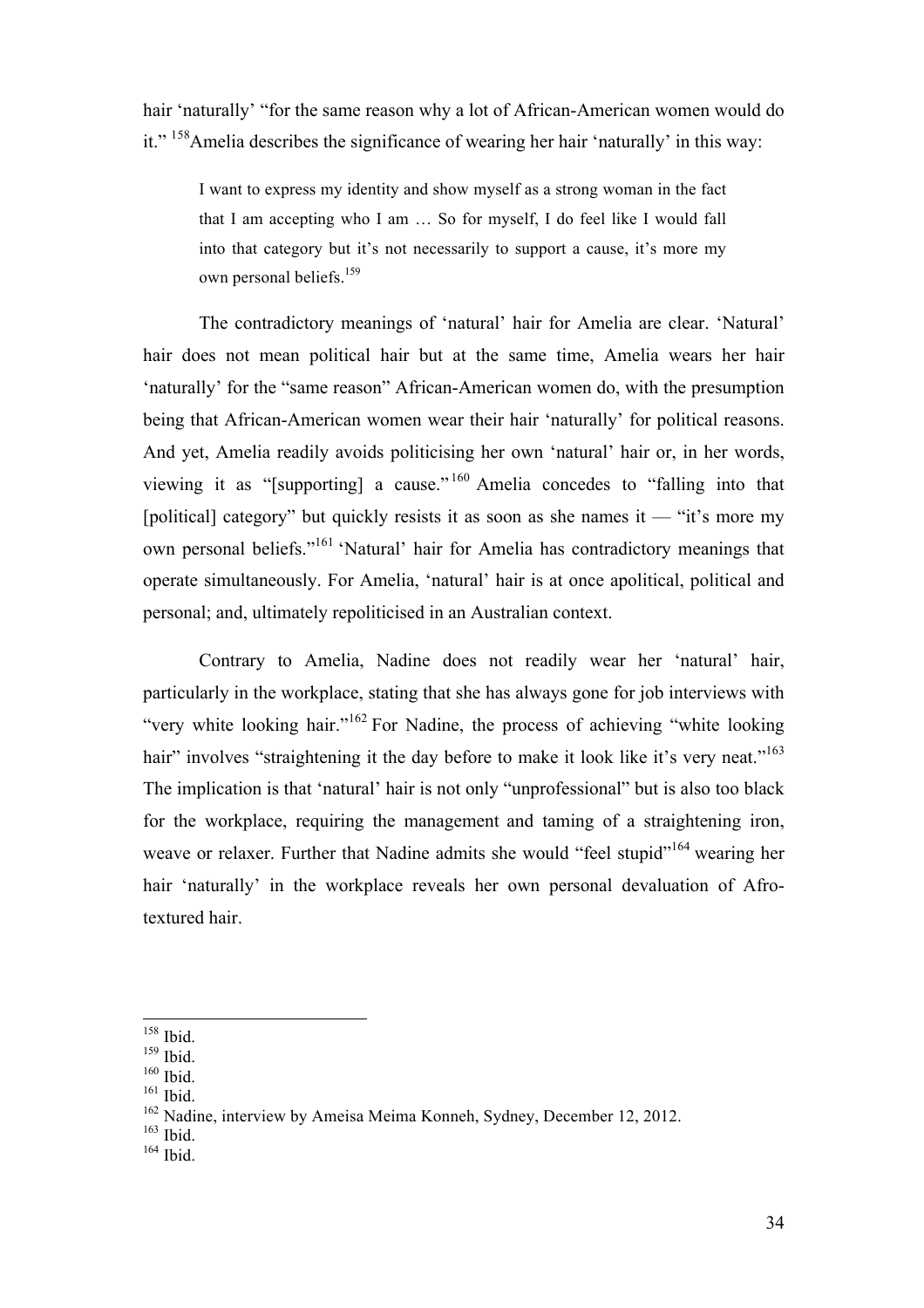hair 'naturally' "for the same reason why a lot of African-American women would do it." 158Amelia describes the significance of wearing her hair 'naturally' in this way:

I want to express my identity and show myself as a strong woman in the fact that I am accepting who I am … So for myself, I do feel like I would fall into that category but it's not necessarily to support a cause, it's more my own personal beliefs.<sup>159</sup>

The contradictory meanings of 'natural' hair for Amelia are clear. 'Natural' hair does not mean political hair but at the same time, Amelia wears her hair 'naturally' for the "same reason" African-American women do, with the presumption being that African-American women wear their hair 'naturally' for political reasons. And yet, Amelia readily avoids politicising her own 'natural' hair or, in her words, viewing it as "[supporting] a cause." <sup>160</sup> Amelia concedes to "falling into that [political] category" but quickly resists it as soon as she names it — "it's more my own personal beliefs."<sup>161</sup> 'Natural' hair for Amelia has contradictory meanings that operate simultaneously. For Amelia, 'natural' hair is at once apolitical, political and personal; and, ultimately repoliticised in an Australian context.

Contrary to Amelia, Nadine does not readily wear her 'natural' hair, particularly in the workplace, stating that she has always gone for job interviews with "very white looking hair."<sup>162</sup> For Nadine, the process of achieving "white looking hair" involves "straightening it the day before to make it look like it's very neat."<sup>163</sup> The implication is that 'natural' hair is not only "unprofessional" but is also too black for the workplace, requiring the management and taming of a straightening iron, weave or relaxer. Further that Nadine admits she would "feel stupid"<sup>164</sup> wearing her hair 'naturally' in the workplace reveals her own personal devaluation of Afrotextured hair.

 $158$  Ibid.

 $159$  Ibid.

<sup>&</sup>lt;sup>160</sup> Ibid.

 $161$  Ibid.

<sup>&</sup>lt;sup>162</sup> Nadine, interview by Ameisa Meima Konneh, Sydney, December 12, 2012.

 $163$  Ibid.

 $164$  Ibid.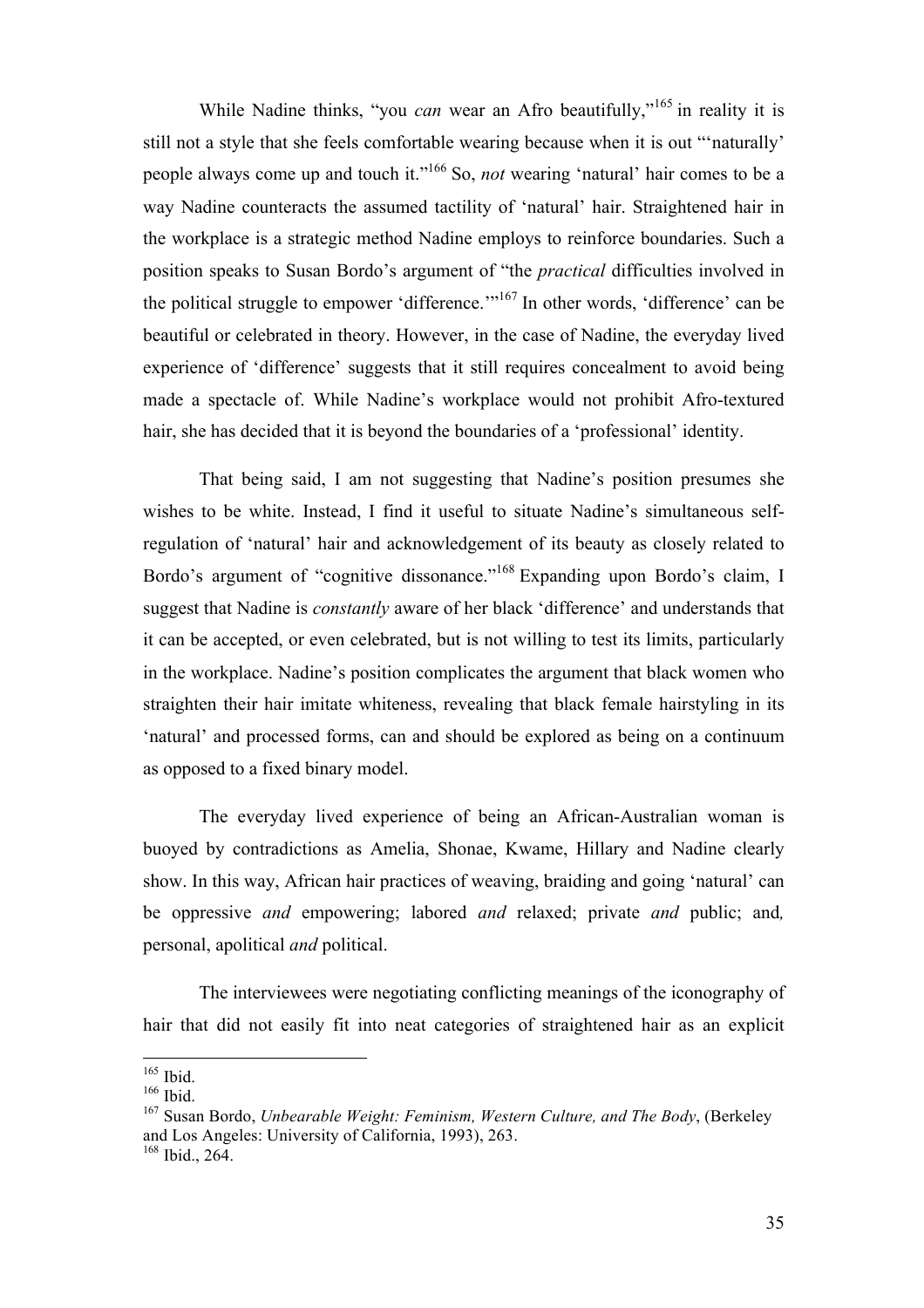While Nadine thinks, "you *can* wear an Afro beautifully,"<sup>165</sup> in reality it is still not a style that she feels comfortable wearing because when it is out "'naturally' people always come up and touch it."<sup>166</sup> So, *not* wearing 'natural' hair comes to be a way Nadine counteracts the assumed tactility of 'natural' hair. Straightened hair in the workplace is a strategic method Nadine employs to reinforce boundaries. Such a position speaks to Susan Bordo's argument of "the *practical* difficulties involved in the political struggle to empower 'difference.'"<sup>167</sup> In other words, 'difference' can be beautiful or celebrated in theory. However, in the case of Nadine, the everyday lived experience of 'difference' suggests that it still requires concealment to avoid being made a spectacle of. While Nadine's workplace would not prohibit Afro-textured hair, she has decided that it is beyond the boundaries of a 'professional' identity.

That being said, I am not suggesting that Nadine's position presumes she wishes to be white. Instead, I find it useful to situate Nadine's simultaneous selfregulation of 'natural' hair and acknowledgement of its beauty as closely related to Bordo's argument of "cognitive dissonance."168 Expanding upon Bordo's claim, I suggest that Nadine is *constantly* aware of her black 'difference' and understands that it can be accepted, or even celebrated, but is not willing to test its limits, particularly in the workplace. Nadine's position complicates the argument that black women who straighten their hair imitate whiteness, revealing that black female hairstyling in its 'natural' and processed forms, can and should be explored as being on a continuum as opposed to a fixed binary model.

The everyday lived experience of being an African-Australian woman is buoyed by contradictions as Amelia, Shonae, Kwame, Hillary and Nadine clearly show. In this way, African hair practices of weaving, braiding and going 'natural' can be oppressive *and* empowering; labored *and* relaxed; private *and* public; and*,* personal, apolitical *and* political.

The interviewees were negotiating conflicting meanings of the iconography of hair that did not easily fit into neat categories of straightened hair as an explicit

<sup>&</sup>lt;sup>165</sup> Ibid.

<sup>&</sup>lt;sup>166</sup> Ibid.

<sup>167</sup> Susan Bordo, *Unbearable Weight: Feminism, Western Culture, and The Body*, (Berkeley and Los Angeles: University of California, 1993), 263.  $168$  Ibid., 264.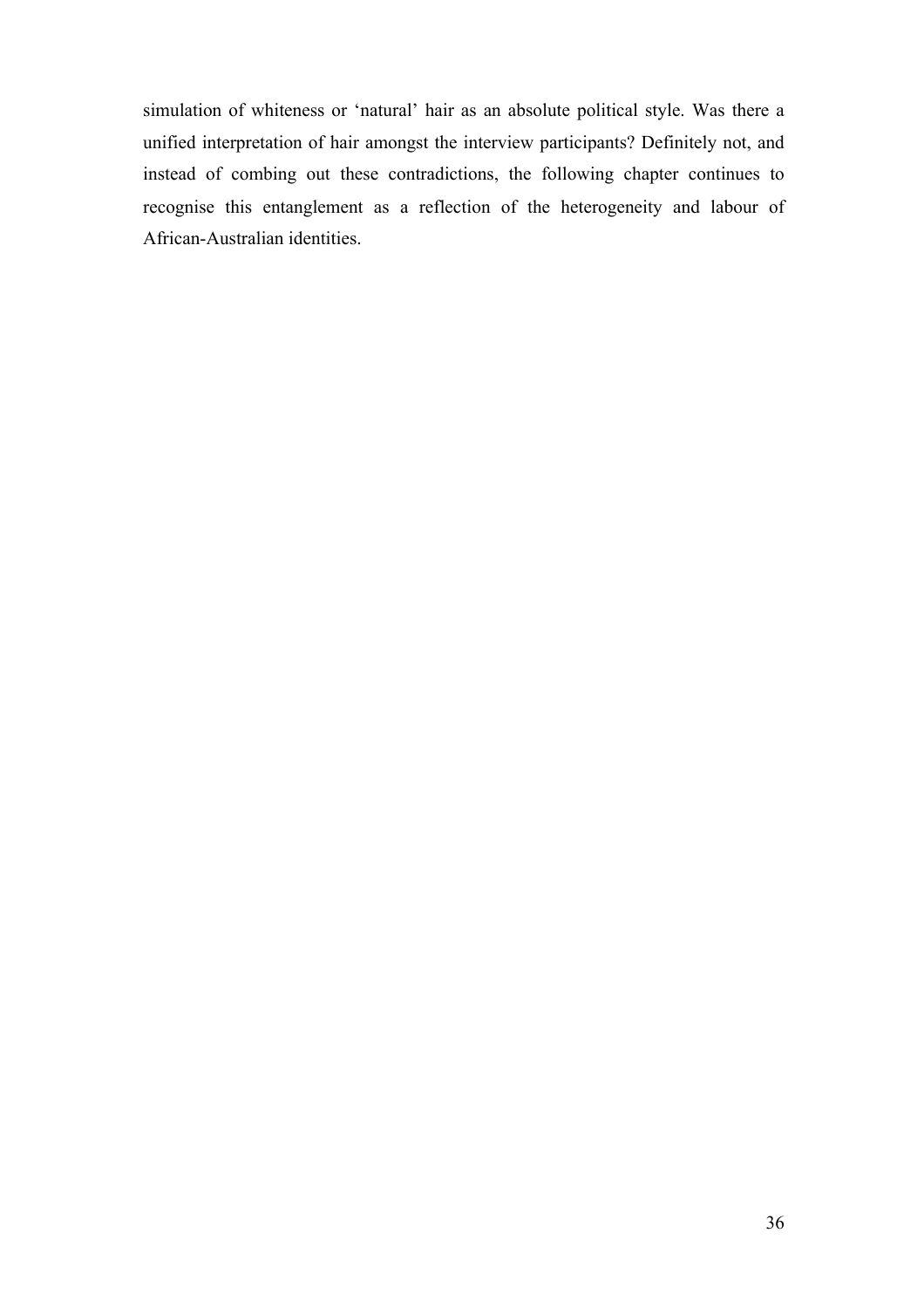simulation of whiteness or 'natural' hair as an absolute political style. Was there a unified interpretation of hair amongst the interview participants? Definitely not, and instead of combing out these contradictions, the following chapter continues to recognise this entanglement as a reflection of the heterogeneity and labour of African-Australian identities.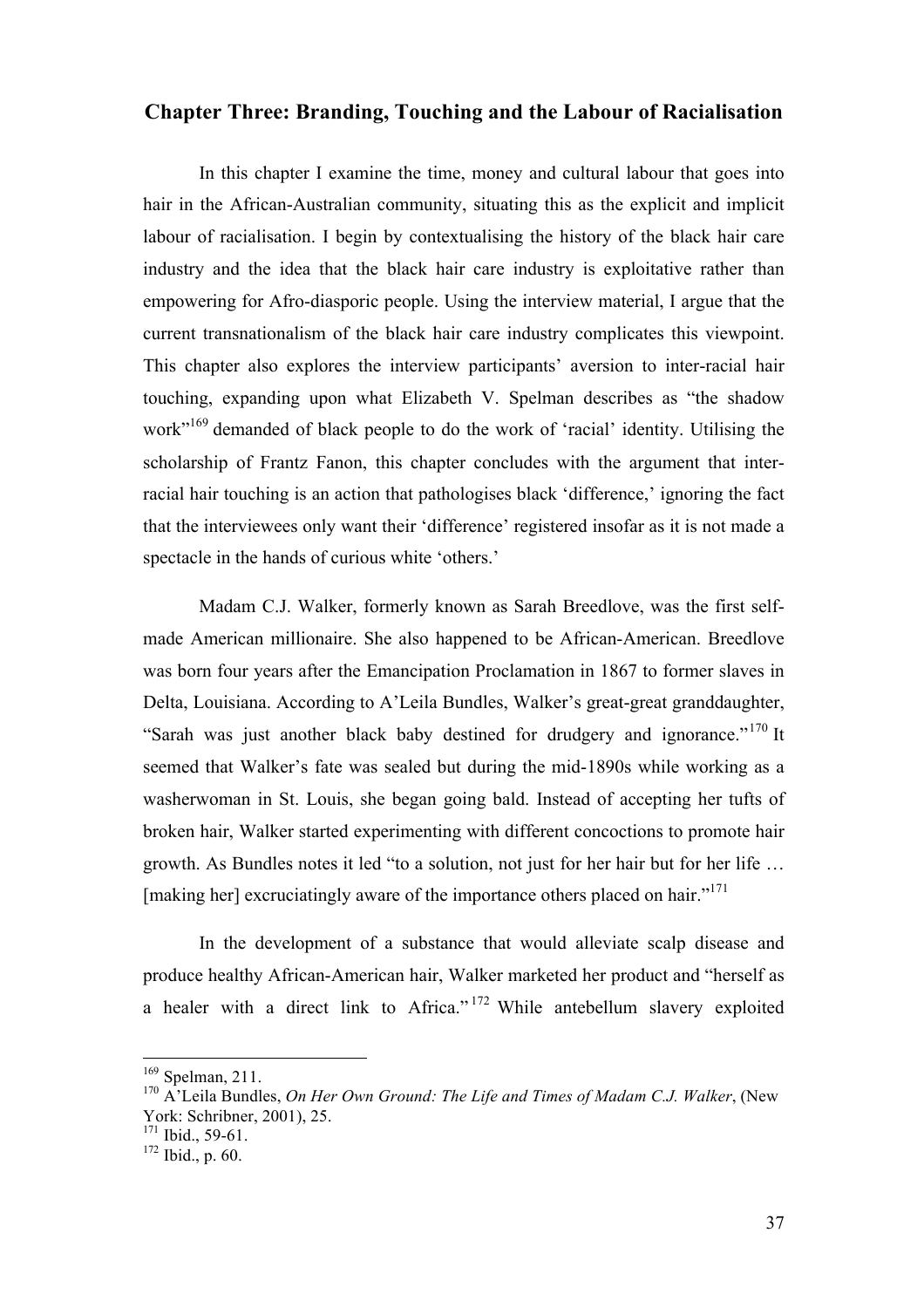#### **Chapter Three: Branding, Touching and the Labour of Racialisation**

In this chapter I examine the time, money and cultural labour that goes into hair in the African-Australian community, situating this as the explicit and implicit labour of racialisation. I begin by contextualising the history of the black hair care industry and the idea that the black hair care industry is exploitative rather than empowering for Afro-diasporic people. Using the interview material, I argue that the current transnationalism of the black hair care industry complicates this viewpoint. This chapter also explores the interview participants' aversion to inter-racial hair touching, expanding upon what Elizabeth V. Spelman describes as "the shadow work"<sup>169</sup> demanded of black people to do the work of 'racial' identity. Utilising the scholarship of Frantz Fanon, this chapter concludes with the argument that interracial hair touching is an action that pathologises black 'difference,' ignoring the fact that the interviewees only want their 'difference' registered insofar as it is not made a spectacle in the hands of curious white 'others.'

Madam C.J. Walker, formerly known as Sarah Breedlove, was the first selfmade American millionaire. She also happened to be African-American. Breedlove was born four years after the Emancipation Proclamation in 1867 to former slaves in Delta, Louisiana. According to A'Leila Bundles, Walker's great-great granddaughter, "Sarah was just another black baby destined for drudgery and ignorance."<sup>170</sup> It seemed that Walker's fate was sealed but during the mid-1890s while working as a washerwoman in St. Louis, she began going bald. Instead of accepting her tufts of broken hair, Walker started experimenting with different concoctions to promote hair growth. As Bundles notes it led "to a solution, not just for her hair but for her life … [making her] excruciatingly aware of the importance others placed on hair."<sup>171</sup>

In the development of a substance that would alleviate scalp disease and produce healthy African-American hair, Walker marketed her product and "herself as a healer with a direct link to Africa." <sup>172</sup> While antebellum slavery exploited

<sup>169</sup> Spelman, 211.

<sup>170</sup> A'Leila Bundles, *On Her Own Ground: The Life and Times of Madam C.J. Walker*, (New York: Schribner, 2001), 25.

 $171$  Ibid., 59-61.

<sup>172</sup> Ibid., p. 60.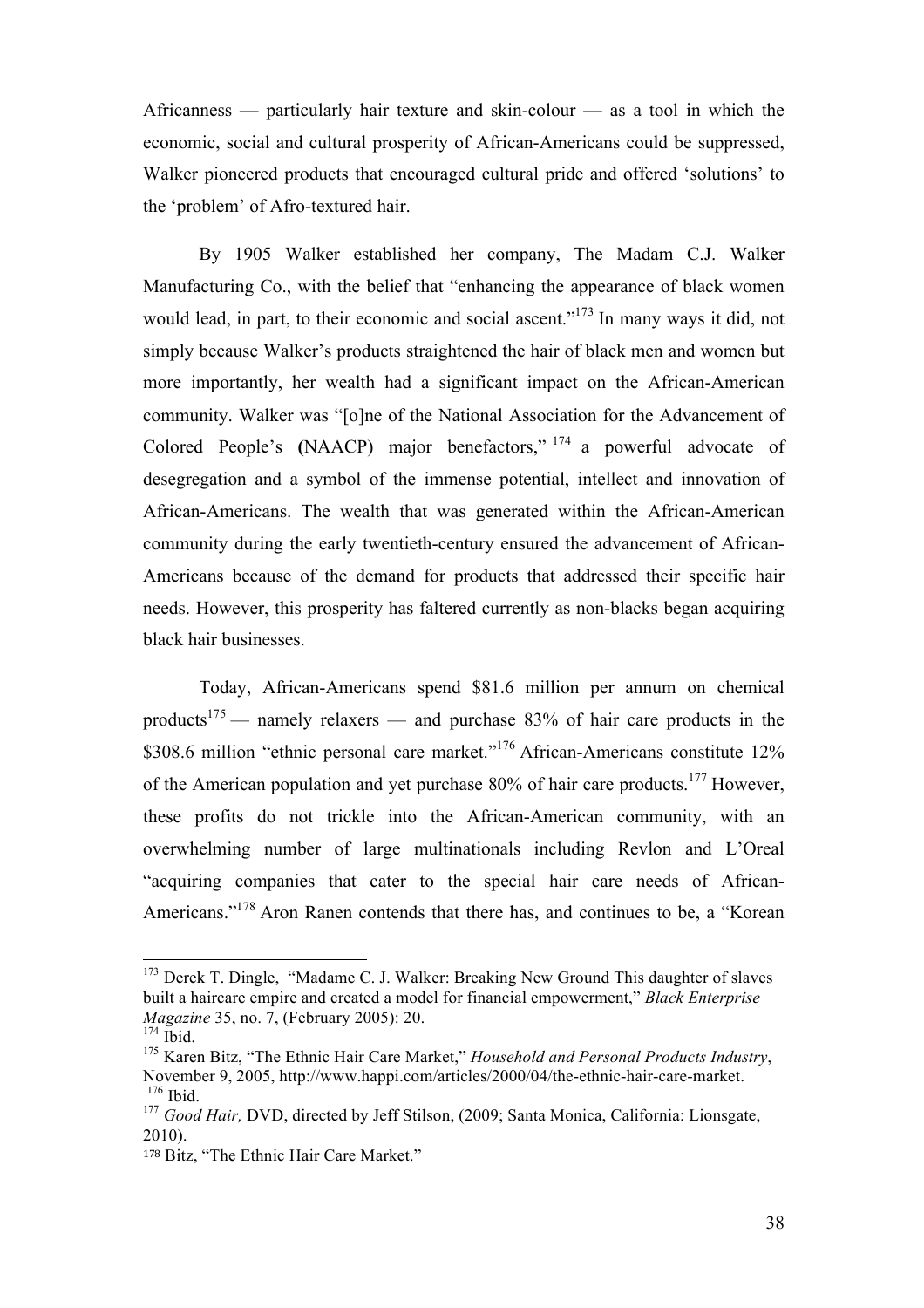Africanness — particularly hair texture and skin-colour — as a tool in which the economic, social and cultural prosperity of African-Americans could be suppressed, Walker pioneered products that encouraged cultural pride and offered 'solutions' to the 'problem' of Afro-textured hair.

By 1905 Walker established her company, The Madam C.J. Walker Manufacturing Co., with the belief that "enhancing the appearance of black women would lead, in part, to their economic and social ascent."<sup>173</sup> In many ways it did, not simply because Walker's products straightened the hair of black men and women but more importantly, her wealth had a significant impact on the African-American community. Walker was "[o]ne of the National Association for the Advancement of Colored People's **(**NAACP) major benefactors," <sup>174</sup> a powerful advocate of desegregation and a symbol of the immense potential, intellect and innovation of African-Americans. The wealth that was generated within the African-American community during the early twentieth-century ensured the advancement of African-Americans because of the demand for products that addressed their specific hair needs. However, this prosperity has faltered currently as non-blacks began acquiring black hair businesses.

Today, African-Americans spend \$81.6 million per annum on chemical products<sup>175</sup> — namely relaxers — and purchase 83% of hair care products in the \$308.6 million "ethnic personal care market."<sup>176</sup> African-Americans constitute 12% of the American population and yet purchase 80% of hair care products.<sup>177</sup> However, these profits do not trickle into the African-American community, with an overwhelming number of large multinationals including Revlon and L'Oreal "acquiring companies that cater to the special hair care needs of African-Americans."<sup>178</sup> Aron Ranen contends that there has, and continues to be, a "Korean

<sup>&</sup>lt;sup>173</sup> Derek T. Dingle, "Madame C. J. Walker: Breaking New Ground This daughter of slaves built a haircare empire and created a model for financial empowerment," *Black Enterprise Magazine* 35, no. 7, (February 2005): 20.

 $174$  Ibid.

<sup>175</sup> Karen Bitz, "The Ethnic Hair Care Market," *Household and Personal Products Industry*, November 9, 2005, http://www.happi.com/articles/2000/04/the-ethnic-hair-care-market.  $176$  Ibid.

<sup>&</sup>lt;sup>177</sup> *Good Hair*, DVD, directed by Jeff Stilson, (2009; Santa Monica, California: Lionsgate, 2010).

<sup>178</sup> Bitz, "The Ethnic Hair Care Market."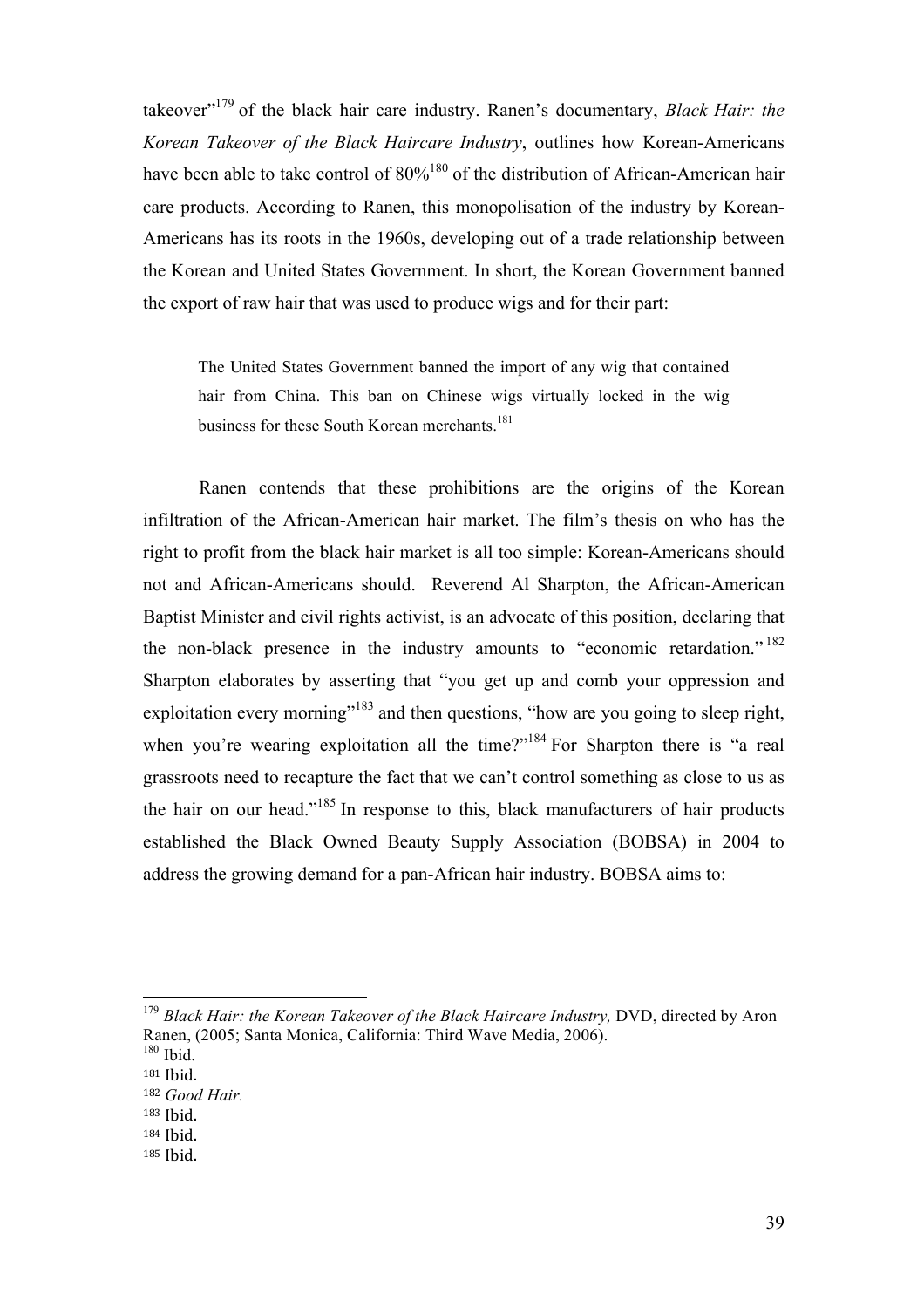takeover"179 of the black hair care industry. Ranen's documentary, *Black Hair: the Korean Takeover of the Black Haircare Industry*, outlines how Korean-Americans have been able to take control of  $80\%^{180}$  of the distribution of African-American hair care products. According to Ranen, this monopolisation of the industry by Korean-Americans has its roots in the 1960s, developing out of a trade relationship between the Korean and United States Government. In short, the Korean Government banned the export of raw hair that was used to produce wigs and for their part:

The United States Government banned the import of any wig that contained hair from China. This ban on Chinese wigs virtually locked in the wig business for these South Korean merchants.<sup>181</sup>

Ranen contends that these prohibitions are the origins of the Korean infiltration of the African-American hair market. The film's thesis on who has the right to profit from the black hair market is all too simple: Korean-Americans should not and African-Americans should. Reverend Al Sharpton, the African-American Baptist Minister and civil rights activist, is an advocate of this position, declaring that the non-black presence in the industry amounts to "economic retardation."<sup>182</sup> Sharpton elaborates by asserting that "you get up and comb your oppression and exploitation every morning"<sup>183</sup> and then questions, "how are you going to sleep right, when you're wearing exploitation all the time?"<sup>184</sup> For Sharpton there is "a real grassroots need to recapture the fact that we can't control something as close to us as the hair on our head."185 In response to this, black manufacturers of hair products established the Black Owned Beauty Supply Association (BOBSA) in 2004 to address the growing demand for a pan-African hair industry. BOBSA aims to:

<sup>&</sup>lt;sup>179</sup> Black Hair: the Korean Takeover of the Black Haircare Industry, DVD, directed by Aron Ranen, (2005; Santa Monica, California: Third Wave Media, 2006).

 $180$  Ibid. <sup>181</sup> Ibid.

<sup>182</sup> *Good Hair.*

<sup>183</sup> Ibid.

<sup>184</sup> Ibid.!

<sup>185</sup> Ibid.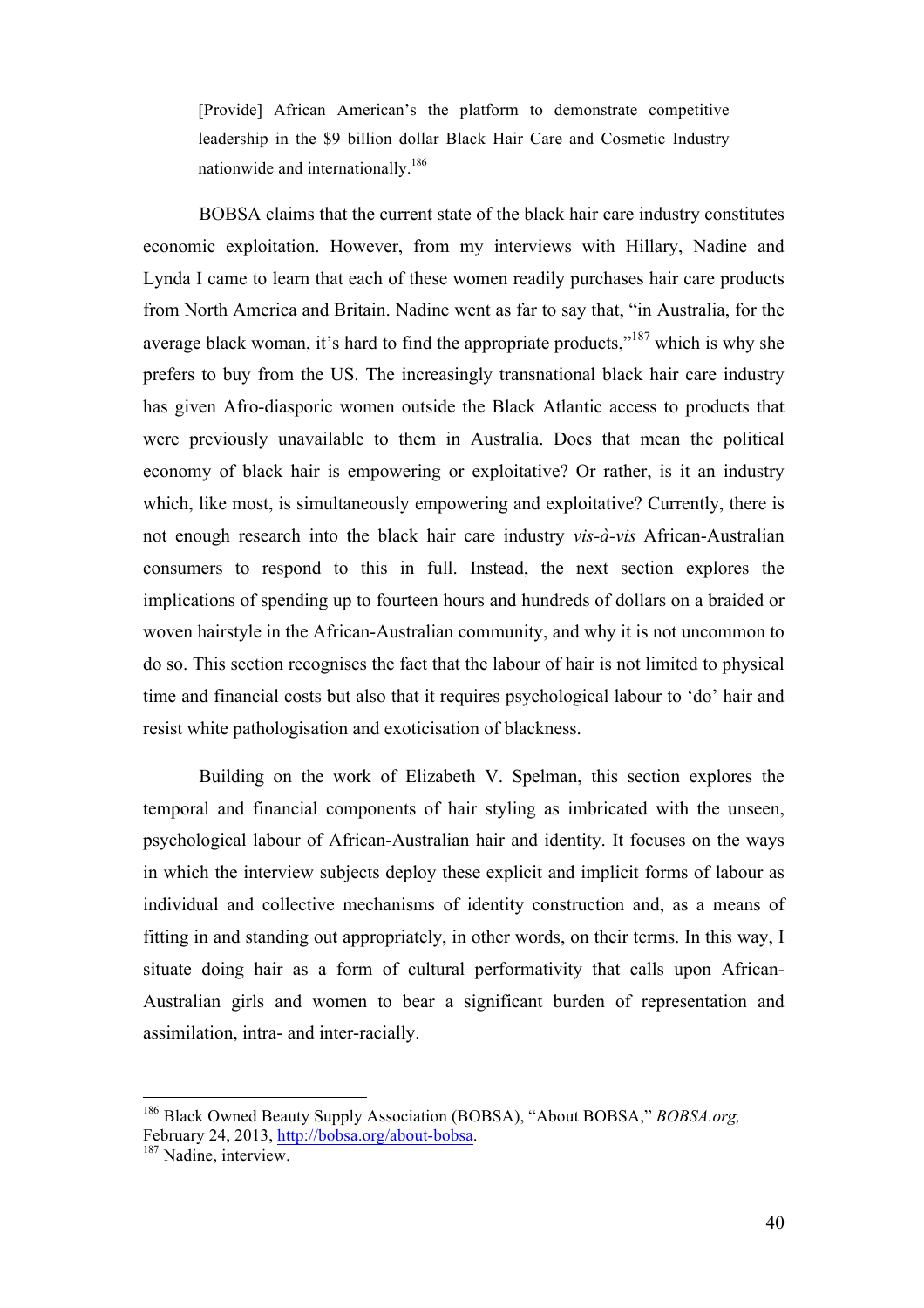[Provide] African American's the platform to demonstrate competitive leadership in the \$9 billion dollar Black Hair Care and Cosmetic Industry nationwide and internationally.<sup>186</sup>

BOBSA claims that the current state of the black hair care industry constitutes economic exploitation. However, from my interviews with Hillary, Nadine and Lynda I came to learn that each of these women readily purchases hair care products from North America and Britain. Nadine went as far to say that, "in Australia, for the average black woman, it's hard to find the appropriate products,"<sup>187</sup> which is why she prefers to buy from the US. The increasingly transnational black hair care industry has given Afro-diasporic women outside the Black Atlantic access to products that were previously unavailable to them in Australia. Does that mean the political economy of black hair is empowering or exploitative? Or rather, is it an industry which, like most, is simultaneously empowering and exploitative? Currently, there is not enough research into the black hair care industry *vis-à-vis* African-Australian consumers to respond to this in full. Instead, the next section explores the implications of spending up to fourteen hours and hundreds of dollars on a braided or woven hairstyle in the African-Australian community, and why it is not uncommon to do so. This section recognises the fact that the labour of hair is not limited to physical time and financial costs but also that it requires psychological labour to 'do' hair and resist white pathologisation and exoticisation of blackness.

Building on the work of Elizabeth V. Spelman, this section explores the temporal and financial components of hair styling as imbricated with the unseen, psychological labour of African-Australian hair and identity. It focuses on the ways in which the interview subjects deploy these explicit and implicit forms of labour as individual and collective mechanisms of identity construction and, as a means of fitting in and standing out appropriately, in other words, on their terms. In this way, I situate doing hair as a form of cultural performativity that calls upon African-Australian girls and women to bear a significant burden of representation and assimilation, intra- and inter-racially.

<sup>&</sup>lt;sup>186</sup> Black Owned Beauty Supply Association (BOBSA), "About BOBSA," *BOBSA.org,* February 24, 2013, http://bobsa.org/about-bobsa.<br><sup>187</sup> Nadine, interview.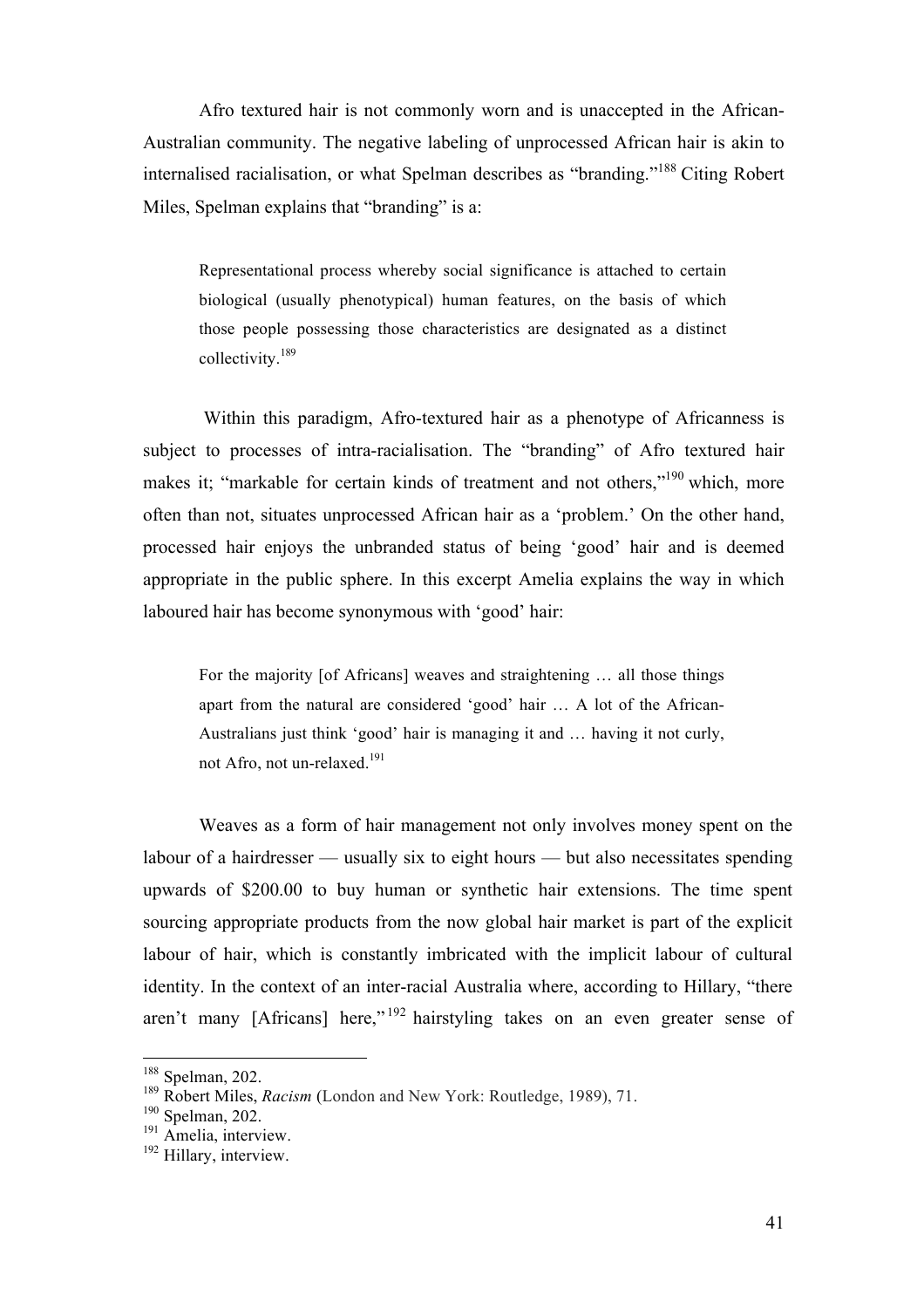Afro textured hair is not commonly worn and is unaccepted in the African-Australian community. The negative labeling of unprocessed African hair is akin to internalised racialisation, or what Spelman describes as "branding."<sup>188</sup> Citing Robert Miles, Spelman explains that "branding" is a:

Representational process whereby social significance is attached to certain biological (usually phenotypical) human features, on the basis of which those people possessing those characteristics are designated as a distinct collectivity.<sup>189</sup>

Within this paradigm, Afro-textured hair as a phenotype of Africanness is subject to processes of intra-racialisation. The "branding" of Afro textured hair makes it; "markable for certain kinds of treatment and not others,"<sup>190</sup> which, more often than not, situates unprocessed African hair as a 'problem.' On the other hand, processed hair enjoys the unbranded status of being 'good' hair and is deemed appropriate in the public sphere. In this excerpt Amelia explains the way in which laboured hair has become synonymous with 'good' hair:

For the majority [of Africans] weaves and straightening … all those things apart from the natural are considered 'good' hair … A lot of the African-Australians just think 'good' hair is managing it and … having it not curly, not Afro, not un-relaxed.<sup>191</sup>

Weaves as a form of hair management not only involves money spent on the labour of a hairdresser — usually six to eight hours — but also necessitates spending upwards of \$200.00 to buy human or synthetic hair extensions. The time spent sourcing appropriate products from the now global hair market is part of the explicit labour of hair, which is constantly imbricated with the implicit labour of cultural identity. In the context of an inter-racial Australia where, according to Hillary, "there aren't many [Africans] here,"<sup>192</sup> hairstyling takes on an even greater sense of

<sup>188</sup> Spelman, 202.

<sup>189</sup> Robert Miles, *Racism* (London and New York: Routledge, 1989), 71.

<sup>&</sup>lt;sup>190</sup> Spelman, 202.

 $191$  Amelia, interview.

<sup>&</sup>lt;sup>192</sup> Hillary, interview.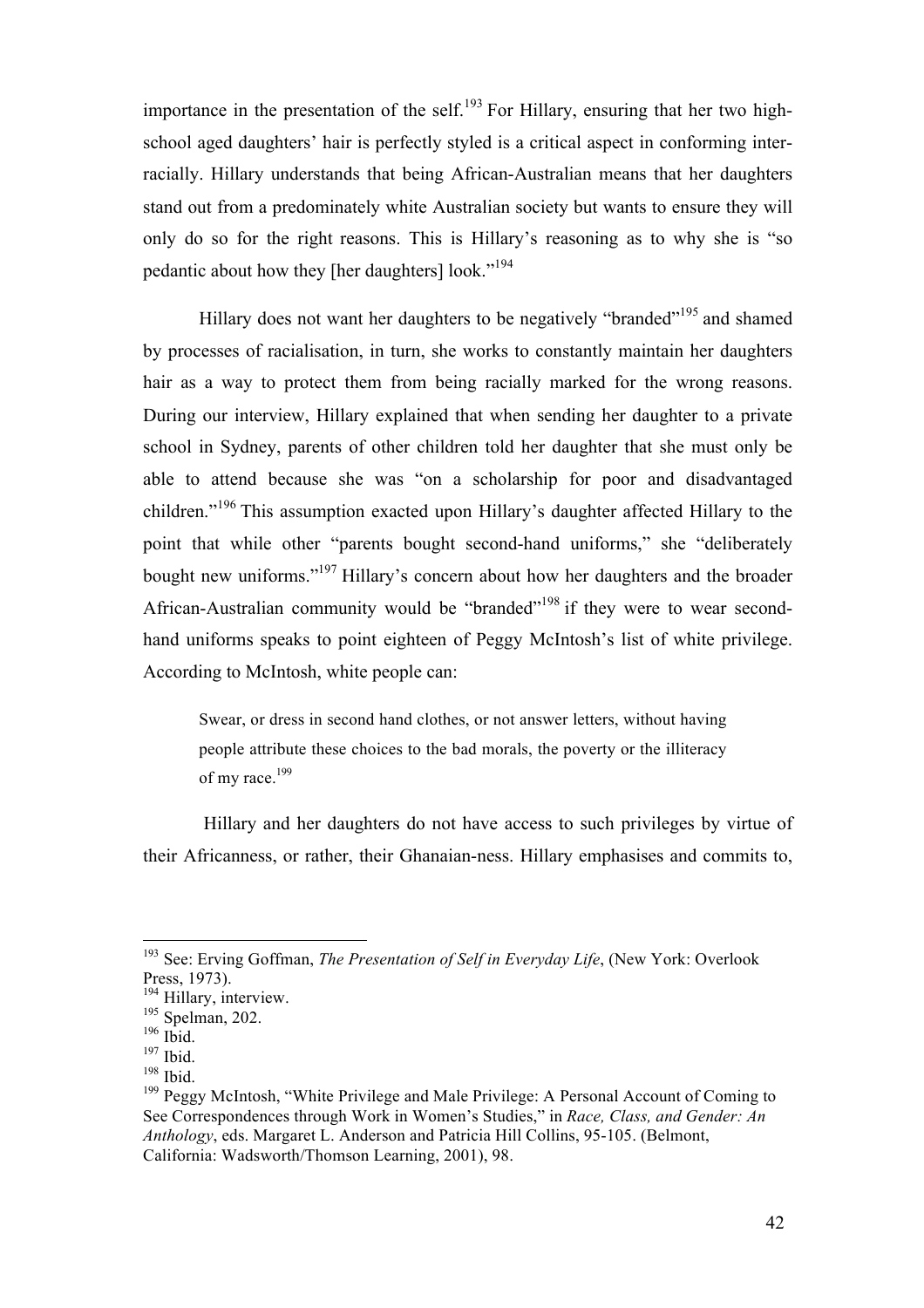importance in the presentation of the self.<sup>193</sup> For Hillary, ensuring that her two highschool aged daughters' hair is perfectly styled is a critical aspect in conforming interracially. Hillary understands that being African-Australian means that her daughters stand out from a predominately white Australian society but wants to ensure they will only do so for the right reasons. This is Hillary's reasoning as to why she is "so pedantic about how they [her daughters] look."<sup>194</sup>

Hillary does not want her daughters to be negatively "branded"<sup>195</sup> and shamed by processes of racialisation, in turn, she works to constantly maintain her daughters hair as a way to protect them from being racially marked for the wrong reasons. During our interview, Hillary explained that when sending her daughter to a private school in Sydney, parents of other children told her daughter that she must only be able to attend because she was "on a scholarship for poor and disadvantaged children."<sup>196</sup> This assumption exacted upon Hillary's daughter affected Hillary to the point that while other "parents bought second-hand uniforms," she "deliberately bought new uniforms."197 Hillary's concern about how her daughters and the broader African-Australian community would be "branded"<sup>198</sup> if they were to wear secondhand uniforms speaks to point eighteen of Peggy McIntosh's list of white privilege. According to McIntosh, white people can:

Swear, or dress in second hand clothes, or not answer letters, without having people attribute these choices to the bad morals, the poverty or the illiteracy of my race.<sup>199</sup>

Hillary and her daughters do not have access to such privileges by virtue of their Africanness, or rather, their Ghanaian-ness. Hillary emphasises and commits to,

<sup>193</sup> See: Erving Goffman, *The Presentation of Self in Everyday Life*, (New York: Overlook Press, 1973).

<sup>&</sup>lt;sup>194</sup> Hillary, interview.

<sup>195</sup> Spelman, 202.  $196$  Ibid.

 $197$  Ibid.

<sup>198</sup> Ibid.

<sup>&</sup>lt;sup>199</sup> Peggy McIntosh, "White Privilege and Male Privilege: A Personal Account of Coming to See Correspondences through Work in Women's Studies," in *Race, Class, and Gender: An Anthology*, eds. Margaret L. Anderson and Patricia Hill Collins, 95-105. (Belmont, California: Wadsworth/Thomson Learning, 2001), 98.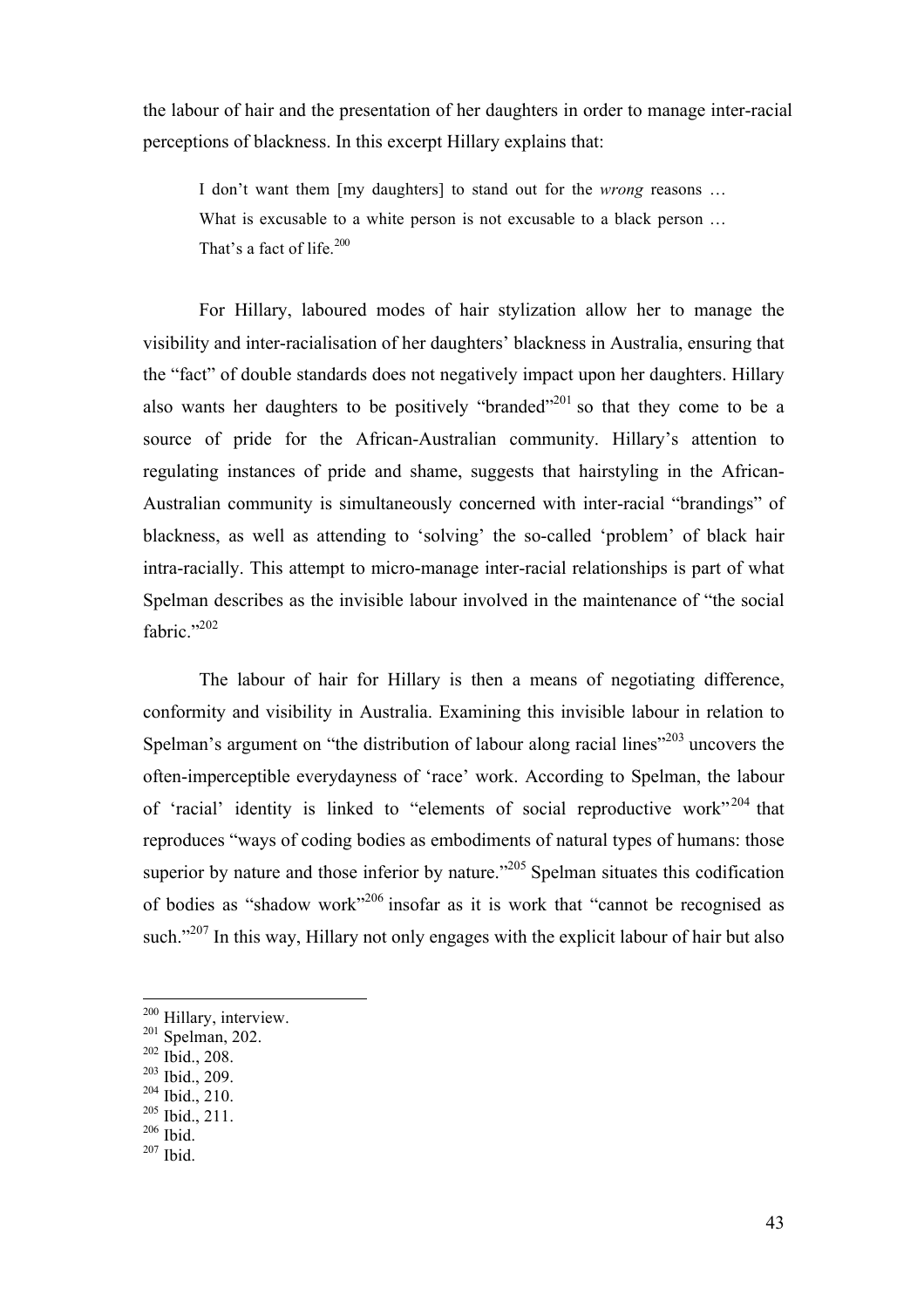the labour of hair and the presentation of her daughters in order to manage inter-racial perceptions of blackness. In this excerpt Hillary explains that:

I don't want them [my daughters] to stand out for the *wrong* reasons … What is excusable to a white person is not excusable to a black person … That's a fact of life.<sup>200</sup>

For Hillary, laboured modes of hair stylization allow her to manage the visibility and inter-racialisation of her daughters' blackness in Australia, ensuring that the "fact" of double standards does not negatively impact upon her daughters. Hillary also wants her daughters to be positively "branded"<sup>201</sup> so that they come to be a source of pride for the African-Australian community. Hillary's attention to regulating instances of pride and shame, suggests that hairstyling in the African-Australian community is simultaneously concerned with inter-racial "brandings" of blackness, as well as attending to 'solving' the so-called 'problem' of black hair intra-racially. This attempt to micro-manage inter-racial relationships is part of what Spelman describes as the invisible labour involved in the maintenance of "the social fabric."<sup>202</sup>

The labour of hair for Hillary is then a means of negotiating difference, conformity and visibility in Australia. Examining this invisible labour in relation to Spelman's argument on "the distribution of labour along racial lines"<sup>203</sup> uncovers the often-imperceptible everydayness of 'race' work. According to Spelman, the labour of 'racial' identity is linked to "elements of social reproductive work"<sup>204</sup> that reproduces "ways of coding bodies as embodiments of natural types of humans: those superior by nature and those inferior by nature."<sup>205</sup> Spelman situates this codification of bodies as "shadow work"206 insofar as it is work that "cannot be recognised as such."<sup>207</sup> In this way, Hillary not only engages with the explicit labour of hair but also

!!!!!!!!!!!!!!!!!!!!!!!!!!!!!!!!!!!!!!!!!!!!!!!!!!!!!!!

- <sup>202</sup> Ibid., 208.
- <sup>203</sup> Ibid., 209.

<sup>205</sup> Ibid., 211.

 $207$  Ibid.

<sup>&</sup>lt;sup>200</sup> Hillary, interview.

 $201$  Spelman, 202.

 $204$  Ibid., 210.

 $206$  Ibid.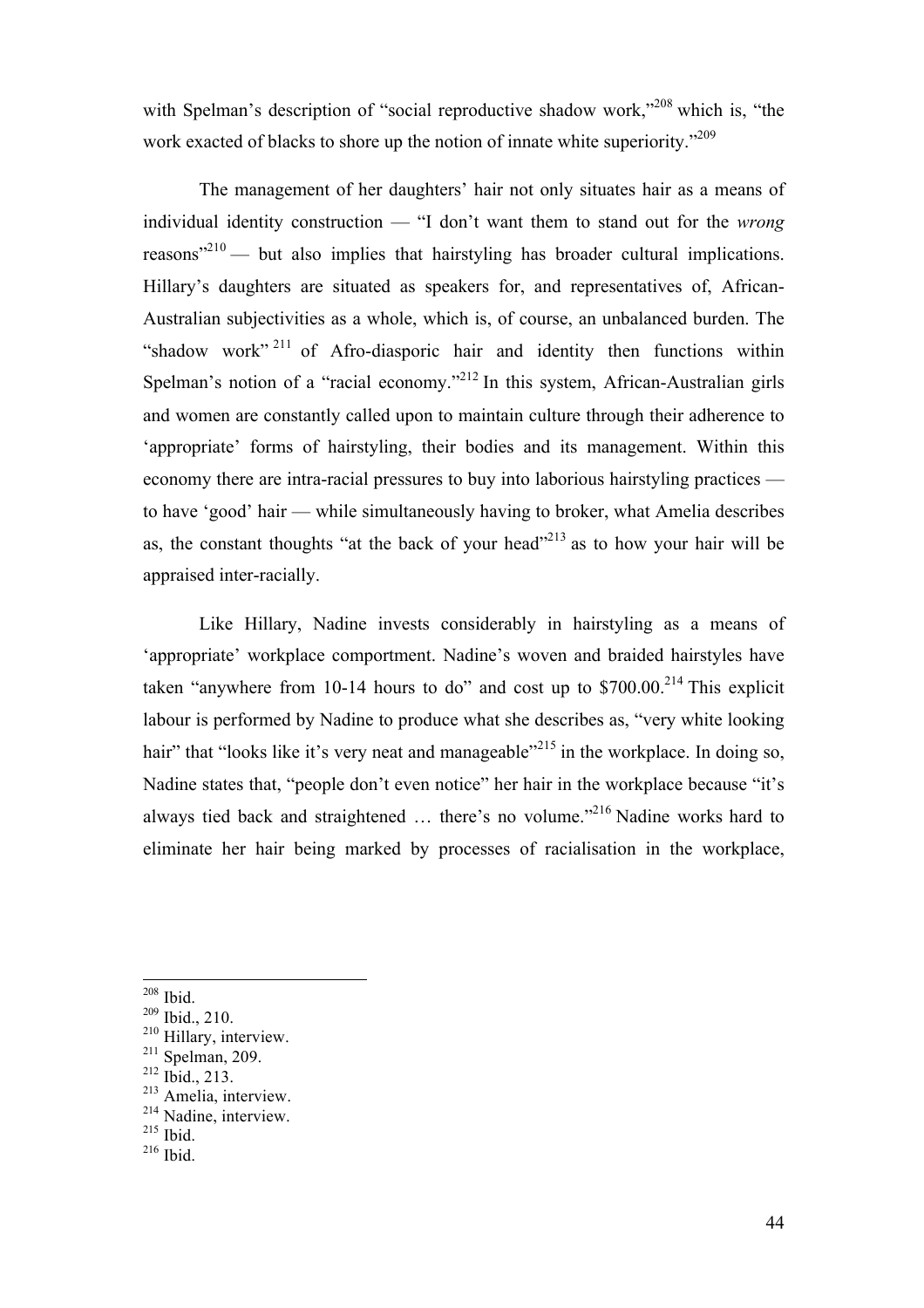with Spelman's description of "social reproductive shadow work,"<sup>208</sup> which is, "the work exacted of blacks to shore up the notion of innate white superiority.<sup>209</sup>

The management of her daughters' hair not only situates hair as a means of individual identity construction — "I don't want them to stand out for the *wrong* reasons $^{210}$  — but also implies that hairstyling has broader cultural implications. Hillary's daughters are situated as speakers for, and representatives of, African-Australian subjectivities as a whole, which is, of course, an unbalanced burden. The "shadow work"<sup>211</sup> of Afro-diasporic hair and identity then functions within Spelman's notion of a "racial economy."<sup>212</sup> In this system, African-Australian girls and women are constantly called upon to maintain culture through their adherence to 'appropriate' forms of hairstyling, their bodies and its management. Within this economy there are intra-racial pressures to buy into laborious hairstyling practices to have 'good' hair — while simultaneously having to broker, what Amelia describes as, the constant thoughts "at the back of your head"<sup>213</sup> as to how your hair will be appraised inter-racially.

Like Hillary, Nadine invests considerably in hairstyling as a means of 'appropriate' workplace comportment. Nadine's woven and braided hairstyles have taken "anywhere from 10-14 hours to do" and cost up to  $$700.00<sup>214</sup>$  This explicit labour is performed by Nadine to produce what she describes as, "very white looking hair" that "looks like it's very neat and manageable"<sup>215</sup> in the workplace. In doing so, Nadine states that, "people don't even notice" her hair in the workplace because "it's always tied back and straightened … there's no volume."216 Nadine works hard to eliminate her hair being marked by processes of racialisation in the workplace,

<sup>208</sup> Ibid.

<sup>209</sup> Ibid., 210.

<sup>210</sup> Hillary, interview.

 $211$  Spelman, 209.

<sup>212</sup> Ibid., 213.

<sup>&</sup>lt;sup>213</sup> Amelia, interview.

<sup>214</sup> Nadine, interview.

<sup>215</sup> Ibid.

<sup>216</sup> Ibid.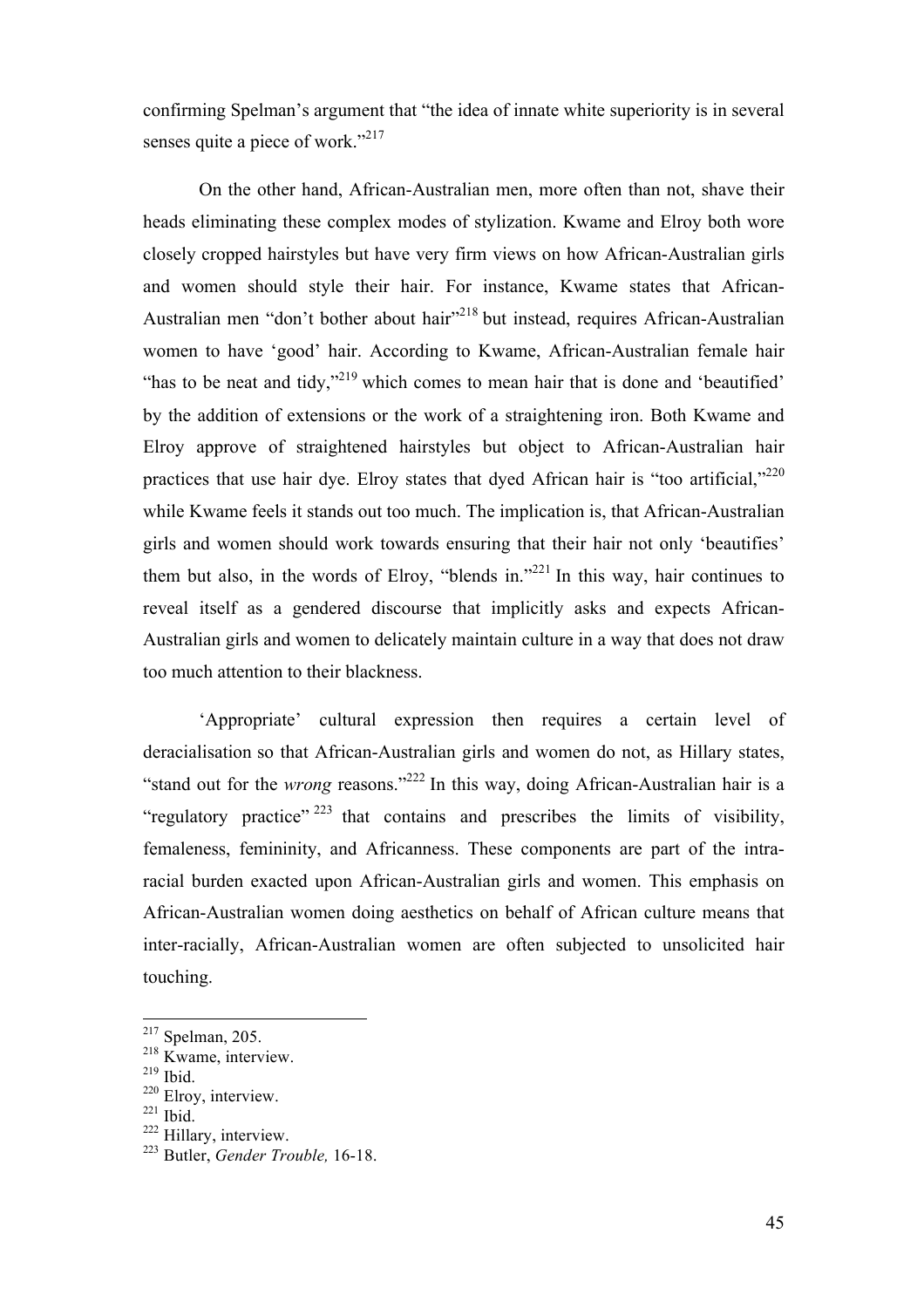confirming Spelman's argument that "the idea of innate white superiority is in several senses quite a piece of work."<sup>217</sup>

On the other hand, African-Australian men, more often than not, shave their heads eliminating these complex modes of stylization. Kwame and Elroy both wore closely cropped hairstyles but have very firm views on how African-Australian girls and women should style their hair. For instance, Kwame states that African-Australian men "don't bother about hair"<sup>218</sup> but instead, requires African-Australian women to have 'good' hair. According to Kwame, African-Australian female hair "has to be neat and tidy,"<sup>219</sup> which comes to mean hair that is done and 'beautified' by the addition of extensions or the work of a straightening iron. Both Kwame and Elroy approve of straightened hairstyles but object to African-Australian hair practices that use hair dye. Elroy states that dyed African hair is "too artificial," $^{220}$ while Kwame feels it stands out too much. The implication is, that African-Australian girls and women should work towards ensuring that their hair not only 'beautifies' them but also, in the words of Elroy, "blends in."<sup>221</sup> In this way, hair continues to reveal itself as a gendered discourse that implicitly asks and expects African-Australian girls and women to delicately maintain culture in a way that does not draw too much attention to their blackness.

'Appropriate' cultural expression then requires a certain level of deracialisation so that African-Australian girls and women do not, as Hillary states, "stand out for the *wrong* reasons."<sup>222</sup> In this way, doing African-Australian hair is a "regulatory practice"  $223$  that contains and prescribes the limits of visibility, femaleness, femininity, and Africanness. These components are part of the intraracial burden exacted upon African-Australian girls and women. This emphasis on African-Australian women doing aesthetics on behalf of African culture means that inter-racially, African-Australian women are often subjected to unsolicited hair touching.

 $217$  Spelman, 205.

 $218$  Kwame, interview.

<sup>219</sup> Ibid.

<sup>&</sup>lt;sup>220</sup> Elroy, interview.

 $221$  Ibid.

<sup>&</sup>lt;sup>222</sup> Hillary, interview.

<sup>223</sup> Butler, *Gender Trouble,* 16-18.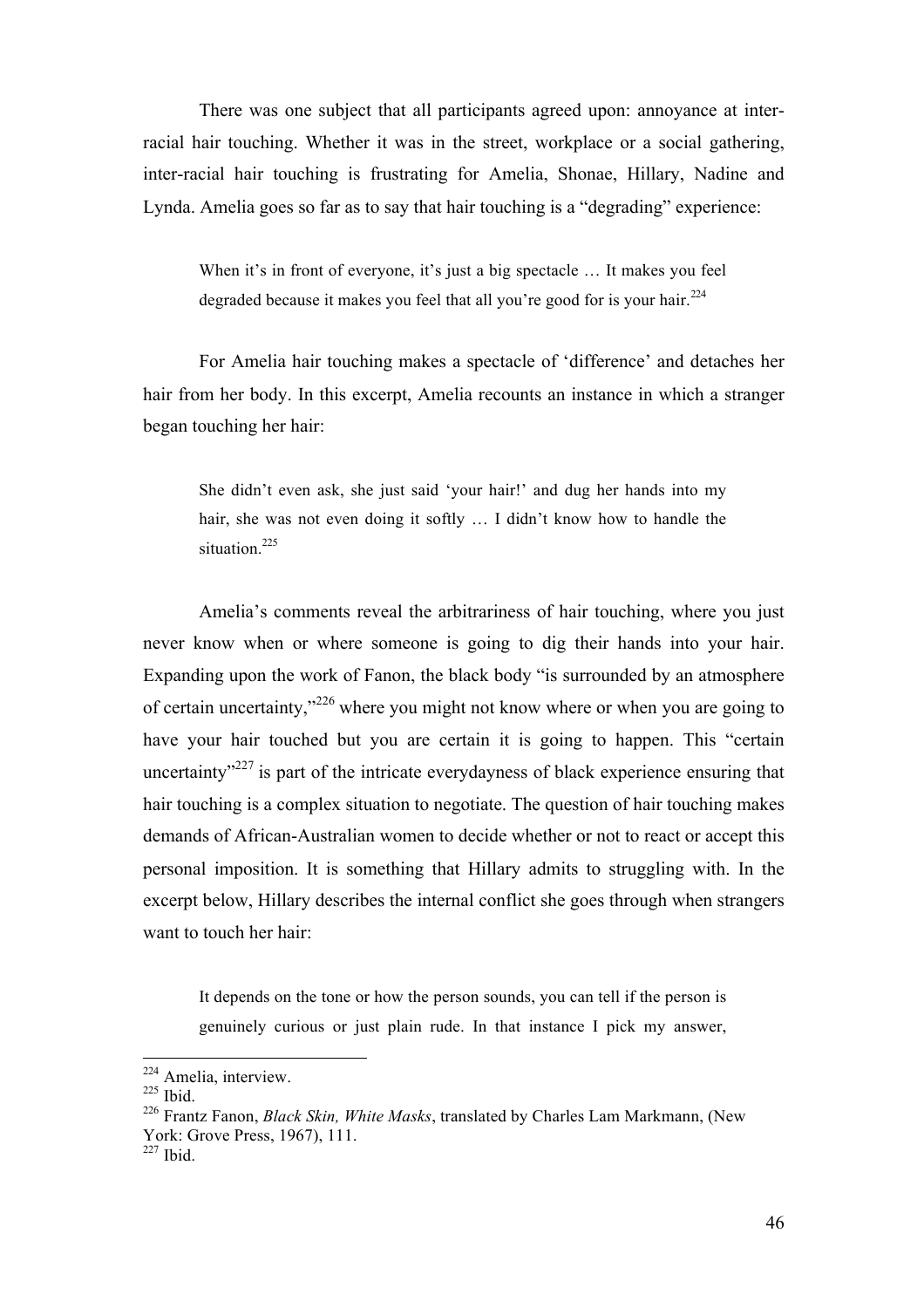There was one subject that all participants agreed upon: annoyance at interracial hair touching. Whether it was in the street, workplace or a social gathering, inter-racial hair touching is frustrating for Amelia, Shonae, Hillary, Nadine and Lynda. Amelia goes so far as to say that hair touching is a "degrading" experience:

When it's in front of everyone, it's just a big spectacle ... It makes you feel degraded because it makes you feel that all you're good for is your hair.<sup>224</sup>

For Amelia hair touching makes a spectacle of 'difference' and detaches her hair from her body. In this excerpt, Amelia recounts an instance in which a stranger began touching her hair:

She didn't even ask, she just said 'your hair!' and dug her hands into my hair, she was not even doing it softly ... I didn't know how to handle the situation.<sup>225</sup>

Amelia's comments reveal the arbitrariness of hair touching, where you just never know when or where someone is going to dig their hands into your hair. Expanding upon the work of Fanon, the black body "is surrounded by an atmosphere of certain uncertainty,"<sup>226</sup> where you might not know where or when you are going to have your hair touched but you are certain it is going to happen. This "certain uncertainty $v^{227}$  is part of the intricate everydayness of black experience ensuring that hair touching is a complex situation to negotiate. The question of hair touching makes demands of African-Australian women to decide whether or not to react or accept this personal imposition. It is something that Hillary admits to struggling with. In the excerpt below, Hillary describes the internal conflict she goes through when strangers want to touch her hair:

It depends on the tone or how the person sounds, you can tell if the person is genuinely curious or just plain rude. In that instance I pick my answer,

<sup>224</sup> Amelia, interview.

 $225$  Ibid.

<sup>226</sup> Frantz Fanon, *Black Skin, White Masks*, translated by Charles Lam Markmann, (New York: Grove Press, 1967), 111.

 $227$  Ibid.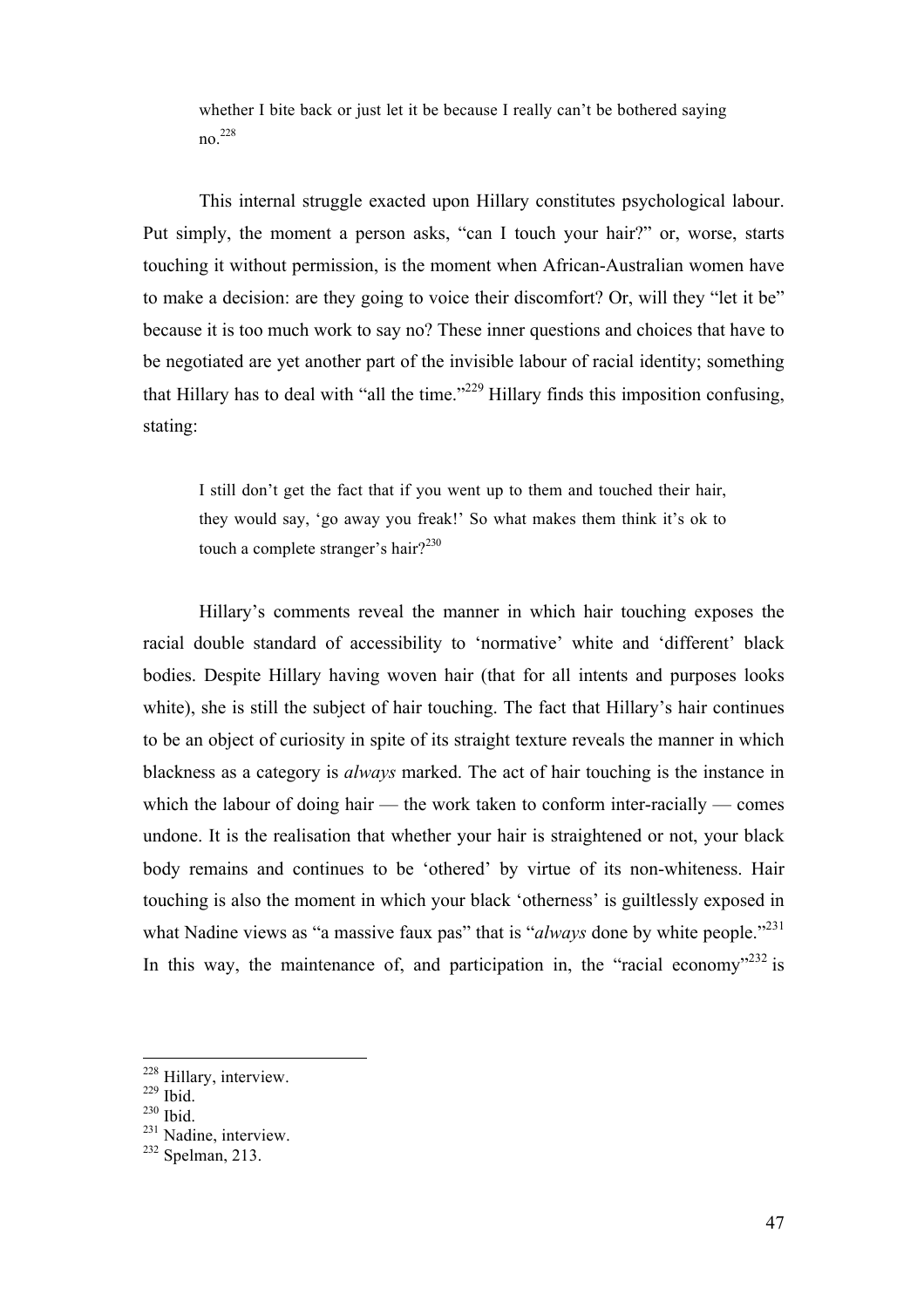whether I bite back or just let it be because I really can't be bothered saying no.228

This internal struggle exacted upon Hillary constitutes psychological labour. Put simply, the moment a person asks, "can I touch your hair?" or, worse, starts touching it without permission, is the moment when African-Australian women have to make a decision: are they going to voice their discomfort? Or, will they "let it be" because it is too much work to say no? These inner questions and choices that have to be negotiated are yet another part of the invisible labour of racial identity; something that Hillary has to deal with "all the time."<sup>229</sup> Hillary finds this imposition confusing, stating:

I still don't get the fact that if you went up to them and touched their hair, they would say, 'go away you freak!' So what makes them think it's ok to touch a complete stranger's hair? $2^{230}$ 

Hillary's comments reveal the manner in which hair touching exposes the racial double standard of accessibility to 'normative' white and 'different' black bodies. Despite Hillary having woven hair (that for all intents and purposes looks white), she is still the subject of hair touching. The fact that Hillary's hair continues to be an object of curiosity in spite of its straight texture reveals the manner in which blackness as a category is *always* marked. The act of hair touching is the instance in which the labour of doing hair — the work taken to conform inter-racially — comes undone. It is the realisation that whether your hair is straightened or not, your black body remains and continues to be 'othered' by virtue of its non-whiteness. Hair touching is also the moment in which your black 'otherness' is guiltlessly exposed in what Nadine views as "a massive faux pas" that is "*always* done by white people."<sup>231</sup> In this way, the maintenance of, and participation in, the "racial economy"<sup>232</sup> is

<sup>&</sup>lt;sup>228</sup> Hillary, interview.

 $229$  Ibid.

 $^{230}$  Ibid.

<sup>&</sup>lt;sup>231</sup> Nadine, interview.

 $232$  Spelman, 213.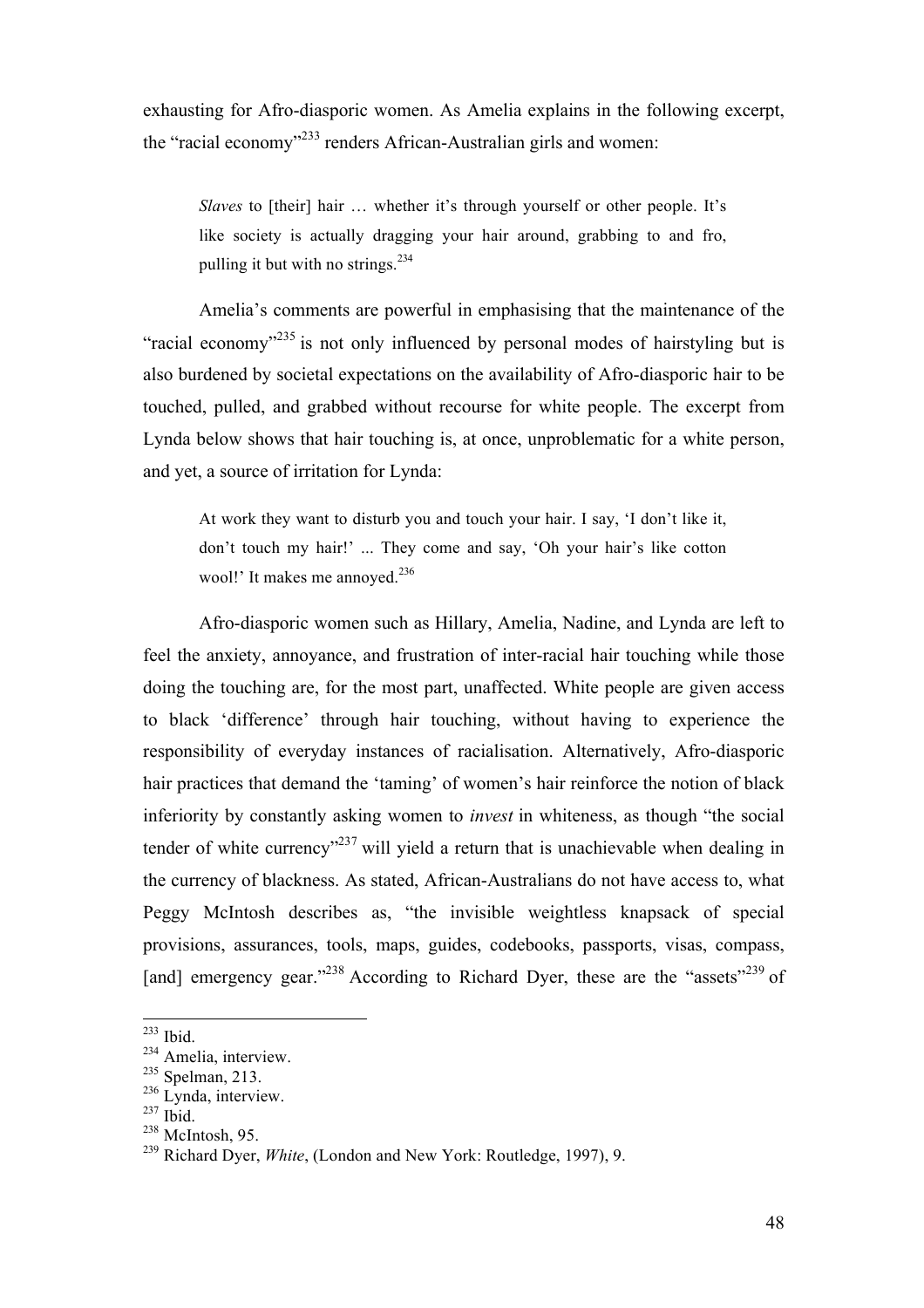exhausting for Afro-diasporic women. As Amelia explains in the following excerpt, the "racial economy"<sup>233</sup> renders African-Australian girls and women:

*Slaves* to [their] hair ... whether it's through yourself or other people. It's like society is actually dragging your hair around, grabbing to and fro, pulling it but with no strings. $234$ 

Amelia's comments are powerful in emphasising that the maintenance of the "racial economy"<sup>235</sup> is not only influenced by personal modes of hairstyling but is also burdened by societal expectations on the availability of Afro-diasporic hair to be touched, pulled, and grabbed without recourse for white people. The excerpt from Lynda below shows that hair touching is, at once, unproblematic for a white person, and yet, a source of irritation for Lynda:

At work they want to disturb you and touch your hair. I say, 'I don't like it, don't touch my hair!' ... They come and say, 'Oh your hair's like cotton wool!' It makes me annoved.<sup>236</sup>

Afro-diasporic women such as Hillary, Amelia, Nadine, and Lynda are left to feel the anxiety, annoyance, and frustration of inter-racial hair touching while those doing the touching are, for the most part, unaffected. White people are given access to black 'difference' through hair touching, without having to experience the responsibility of everyday instances of racialisation. Alternatively, Afro-diasporic hair practices that demand the 'taming' of women's hair reinforce the notion of black inferiority by constantly asking women to *invest* in whiteness, as though "the social tender of white currency<sup> $237$ </sup> will yield a return that is unachievable when dealing in the currency of blackness. As stated, African-Australians do not have access to, what Peggy McIntosh describes as, "the invisible weightless knapsack of special provisions, assurances, tools, maps, guides, codebooks, passports, visas, compass, [and] emergency gear."<sup>238</sup> According to Richard Dyer, these are the "assets"<sup>239</sup> of

<sup>233</sup> Ibid.

<sup>&</sup>lt;sup>234</sup> Amelia, interview.

<sup>&</sup>lt;sup>235</sup> Spelman, 213.

 $236$  Lynda, interview.

 $237$  Ibid.

 $238$  McIntosh, 95.

<sup>239</sup> Richard Dyer, *White*, (London and New York: Routledge, 1997), 9.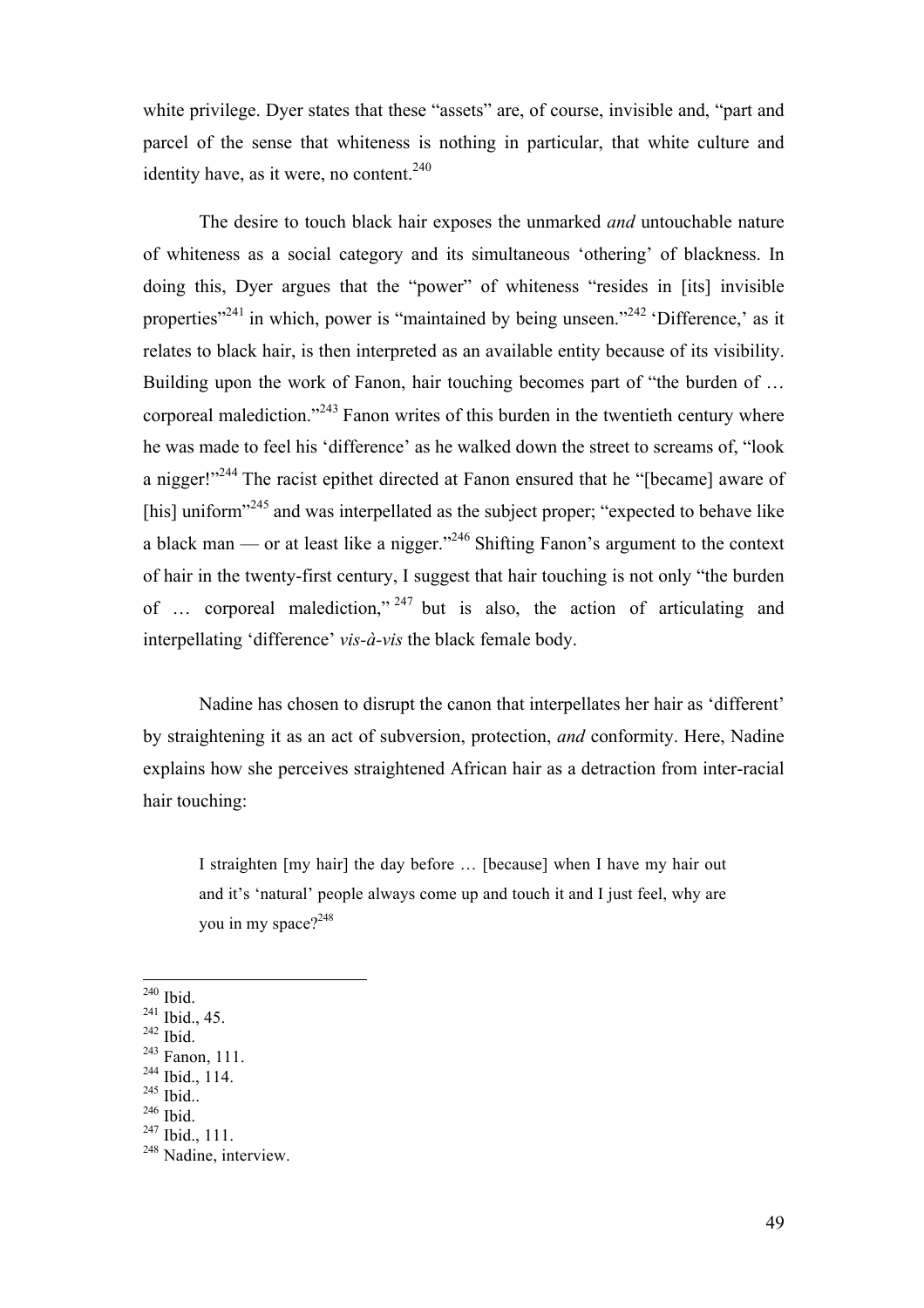white privilege. Dyer states that these "assets" are, of course, invisible and, "part and parcel of the sense that whiteness is nothing in particular, that white culture and identity have, as it were, no content.<sup>240</sup>

The desire to touch black hair exposes the unmarked *and* untouchable nature of whiteness as a social category and its simultaneous 'othering' of blackness. In doing this, Dyer argues that the "power" of whiteness "resides in [its] invisible properties"<sup>241</sup> in which, power is "maintained by being unseen."<sup>242</sup> 'Difference,' as it relates to black hair, is then interpreted as an available entity because of its visibility. Building upon the work of Fanon, hair touching becomes part of "the burden of ... corporeal malediction."<sup>243</sup> Fanon writes of this burden in the twentieth century where he was made to feel his 'difference' as he walked down the street to screams of, "look a nigger!"<sup>244</sup> The racist epithet directed at Fanon ensured that he "[became] aware of [his] uniform<sup>3245</sup> and was interpellated as the subject proper; "expected to behave like a black man — or at least like a nigger."<sup>246</sup> Shifting Fanon's argument to the context of hair in the twenty-first century, I suggest that hair touching is not only "the burden of  $\ldots$  corporeal malediction," <sup>247</sup> but is also, the action of articulating and interpellating 'difference' *vis-à-vis* the black female body.

Nadine has chosen to disrupt the canon that interpellates her hair as 'different' by straightening it as an act of subversion, protection, *and* conformity. Here, Nadine explains how she perceives straightened African hair as a detraction from inter-racial hair touching:

I straighten [my hair] the day before … [because] when I have my hair out and it's 'natural' people always come up and touch it and I just feel, why are you in my space?<sup>248</sup>

 $240$  Ibid.

!!!!!!!!!!!!!!!!!!!!!!!!!!!!!!!!!!!!!!!!!!!!!!!!!!!!!!!

<sup>244</sup> Ibid., 114.

 $^{241}$  Ibid., 45.<br> $^{242}$  Ibid.

 $243$  Fanon, 111.

 $^{245}$  Ibid..<br> $^{246}$  Ibid.

<sup>247</sup> Ibid., 111.

<sup>&</sup>lt;sup>248</sup> Nadine, interview.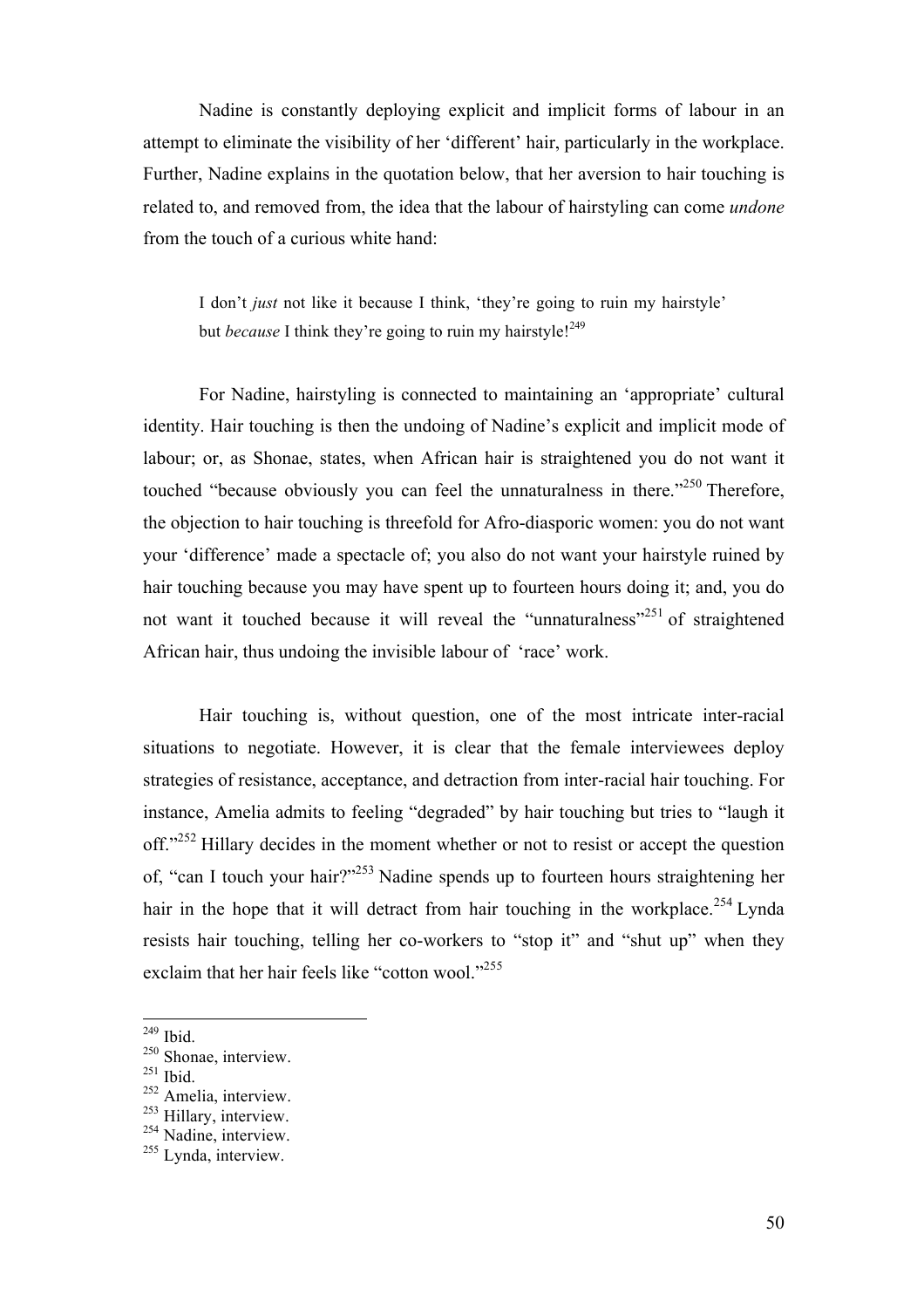Nadine is constantly deploying explicit and implicit forms of labour in an attempt to eliminate the visibility of her 'different' hair, particularly in the workplace. Further, Nadine explains in the quotation below, that her aversion to hair touching is related to, and removed from, the idea that the labour of hairstyling can come *undone* from the touch of a curious white hand:

I don't *just* not like it because I think, 'they're going to ruin my hairstyle' but *because* I think they're going to ruin my hairstyle!<sup>249</sup>

For Nadine, hairstyling is connected to maintaining an 'appropriate' cultural identity. Hair touching is then the undoing of Nadine's explicit and implicit mode of labour; or, as Shonae, states, when African hair is straightened you do not want it touched "because obviously you can feel the unnaturalness in there."<sup>250</sup> Therefore, the objection to hair touching is threefold for Afro-diasporic women: you do not want your 'difference' made a spectacle of; you also do not want your hairstyle ruined by hair touching because you may have spent up to fourteen hours doing it; and, you do not want it touched because it will reveal the "unnaturalness"<sup>251</sup> of straightened African hair, thus undoing the invisible labour of 'race' work.

Hair touching is, without question, one of the most intricate inter-racial situations to negotiate. However, it is clear that the female interviewees deploy strategies of resistance, acceptance, and detraction from inter-racial hair touching. For instance, Amelia admits to feeling "degraded" by hair touching but tries to "laugh it off."<sup>252</sup> Hillary decides in the moment whether or not to resist or accept the question of, "can I touch your hair?"<sup>253</sup> Nadine spends up to fourteen hours straightening her hair in the hope that it will detract from hair touching in the workplace.<sup>254</sup> Lynda resists hair touching, telling her co-workers to "stop it" and "shut up" when they exclaim that her hair feels like "cotton wool."<sup>255</sup>

 $249$  Ibid.

<sup>&</sup>lt;sup>250</sup> Shonae, interview.

<sup>251</sup> Ibid.

<sup>&</sup>lt;sup>252</sup> Amelia, interview.

<sup>&</sup>lt;sup>253</sup> Hillary, interview.

<sup>&</sup>lt;sup>254</sup> Nadine, interview.

<sup>&</sup>lt;sup>255</sup> Lynda, interview.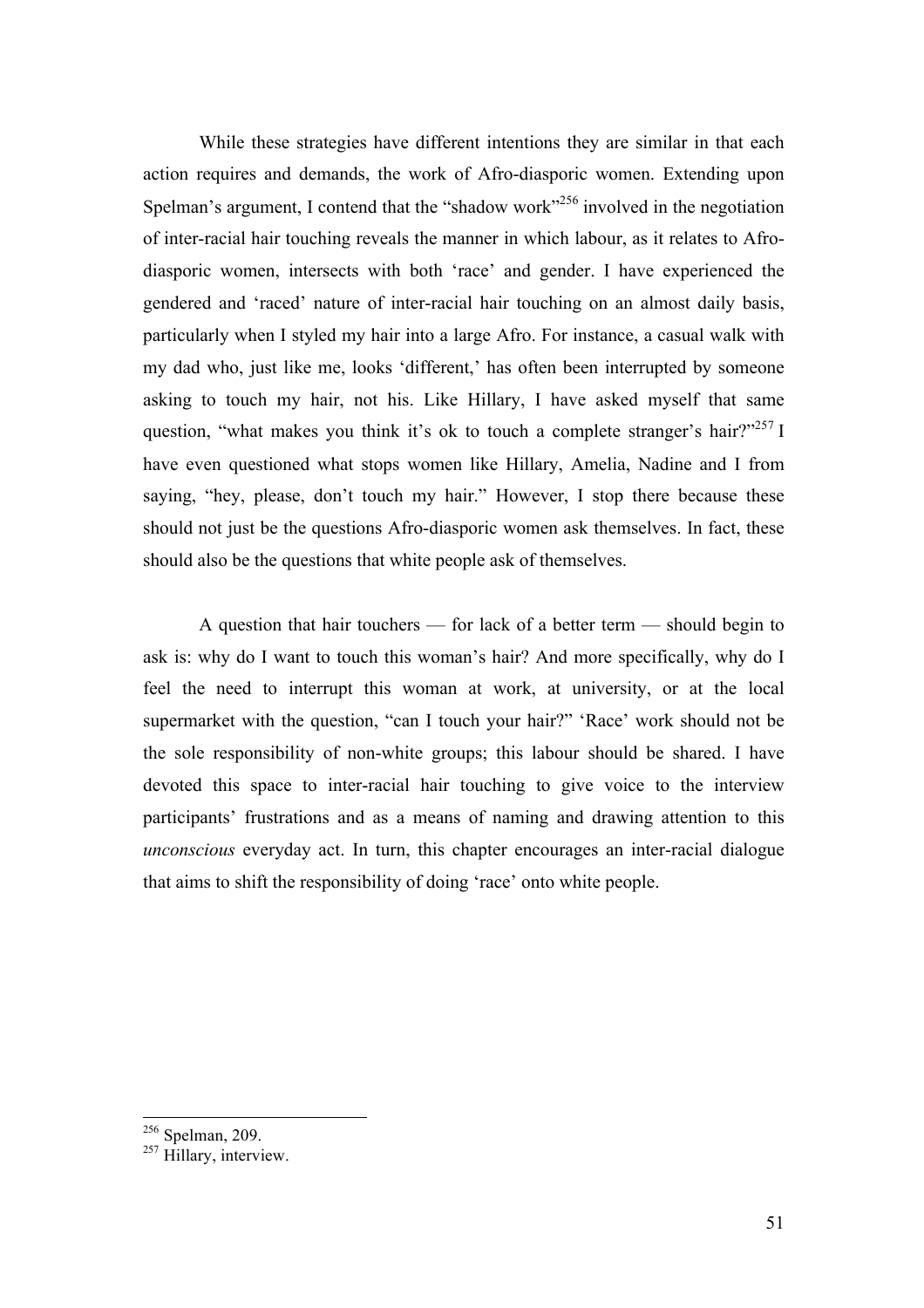While these strategies have different intentions they are similar in that each action requires and demands, the work of Afro-diasporic women. Extending upon Spelman's argument, I contend that the "shadow work"<sup>256</sup> involved in the negotiation of inter-racial hair touching reveals the manner in which labour, as it relates to Afrodiasporic women, intersects with both 'race' and gender. I have experienced the gendered and 'raced' nature of inter-racial hair touching on an almost daily basis, particularly when I styled my hair into a large Afro. For instance, a casual walk with my dad who, just like me, looks 'different,' has often been interrupted by someone asking to touch my hair, not his. Like Hillary, I have asked myself that same question, "what makes you think it's ok to touch a complete stranger's hair?"<sup>257</sup> I have even questioned what stops women like Hillary, Amelia, Nadine and I from saying, "hey, please, don't touch my hair." However, I stop there because these should not just be the questions Afro-diasporic women ask themselves. In fact, these should also be the questions that white people ask of themselves.

A question that hair touchers — for lack of a better term — should begin to ask is: why do I want to touch this woman's hair? And more specifically, why do I feel the need to interrupt this woman at work, at university, or at the local supermarket with the question, "can I touch your hair?" 'Race' work should not be the sole responsibility of non-white groups; this labour should be shared. I have devoted this space to inter-racial hair touching to give voice to the interview participants' frustrations and as a means of naming and drawing attention to this *unconscious* everyday act. In turn, this chapter encourages an inter-racial dialogue that aims to shift the responsibility of doing 'race' onto white people.

 $256$  Spelman, 209.

 $^{257}$  Hillary, interview.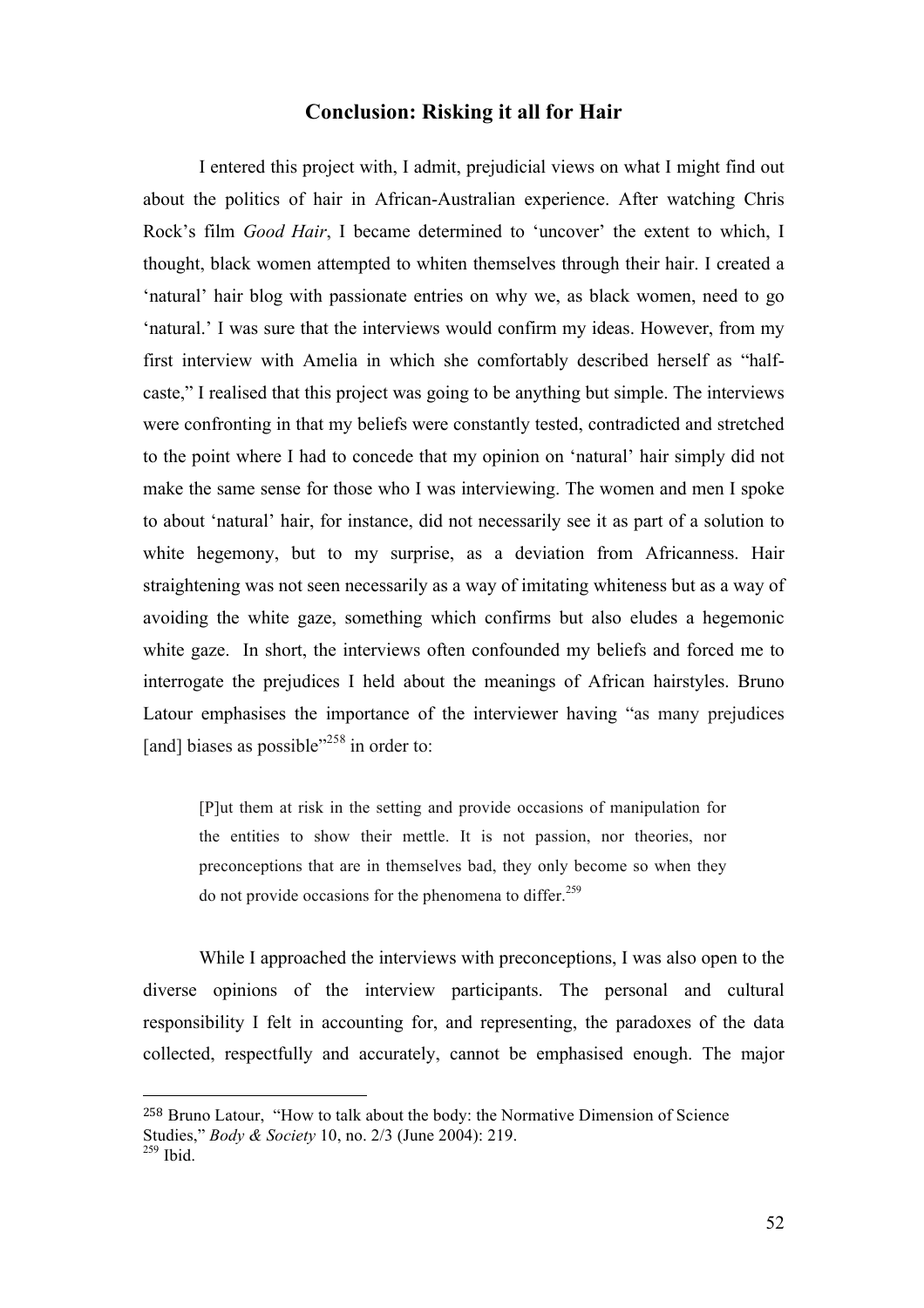#### **Conclusion: Risking it all for Hair**

I entered this project with, I admit, prejudicial views on what I might find out about the politics of hair in African-Australian experience. After watching Chris Rock's film *Good Hair*, I became determined to 'uncover' the extent to which, I thought, black women attempted to whiten themselves through their hair. I created a 'natural' hair blog with passionate entries on why we, as black women, need to go 'natural.' I was sure that the interviews would confirm my ideas. However, from my first interview with Amelia in which she comfortably described herself as "halfcaste," I realised that this project was going to be anything but simple. The interviews were confronting in that my beliefs were constantly tested, contradicted and stretched to the point where I had to concede that my opinion on 'natural' hair simply did not make the same sense for those who I was interviewing. The women and men I spoke to about 'natural' hair, for instance, did not necessarily see it as part of a solution to white hegemony, but to my surprise, as a deviation from Africanness. Hair straightening was not seen necessarily as a way of imitating whiteness but as a way of avoiding the white gaze, something which confirms but also eludes a hegemonic white gaze. In short, the interviews often confounded my beliefs and forced me to interrogate the prejudices I held about the meanings of African hairstyles. Bruno Latour emphasises the importance of the interviewer having "as many prejudices [and] biases as possible"<sup>258</sup> in order to:

[P]ut them at risk in the setting and provide occasions of manipulation for the entities to show their mettle. It is not passion, nor theories, nor preconceptions that are in themselves bad, they only become so when they do not provide occasions for the phenomena to differ. 259

While I approached the interviews with preconceptions, I was also open to the diverse opinions of the interview participants. The personal and cultural responsibility I felt in accounting for, and representing, the paradoxes of the data collected, respectfully and accurately, cannot be emphasised enough. The major

<sup>258</sup> Bruno Latour, "How to talk about the body: the Normative Dimension of Science Studies," *Body & Society* 10, no. 2/3 (June 2004): 219.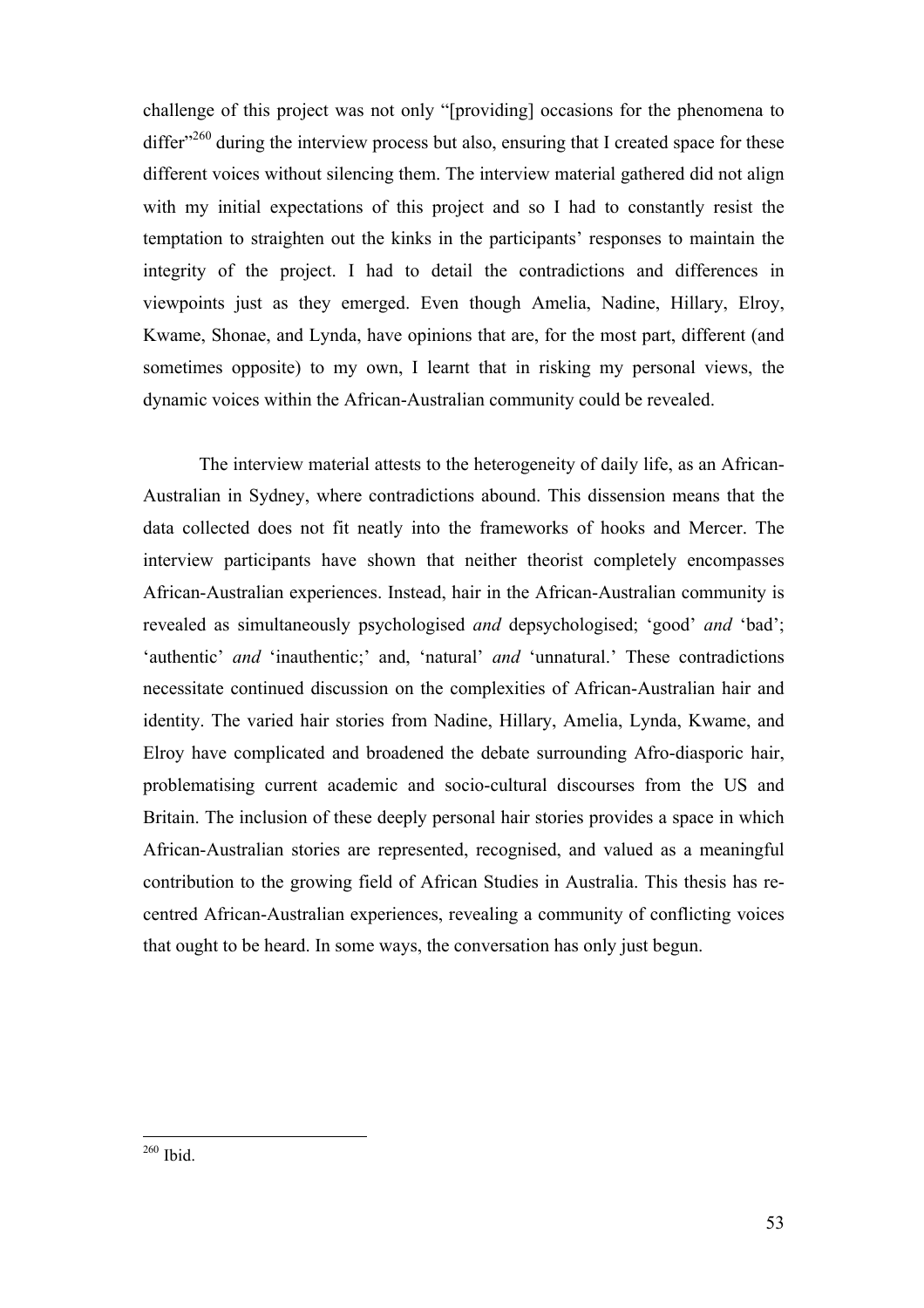challenge of this project was not only "[providing] occasions for the phenomena to differ $^{260}$  during the interview process but also, ensuring that I created space for these different voices without silencing them. The interview material gathered did not align with my initial expectations of this project and so I had to constantly resist the temptation to straighten out the kinks in the participants' responses to maintain the integrity of the project. I had to detail the contradictions and differences in viewpoints just as they emerged. Even though Amelia, Nadine, Hillary, Elroy, Kwame, Shonae, and Lynda, have opinions that are, for the most part, different (and sometimes opposite) to my own, I learnt that in risking my personal views, the dynamic voices within the African-Australian community could be revealed.

The interview material attests to the heterogeneity of daily life, as an African-Australian in Sydney, where contradictions abound. This dissension means that the data collected does not fit neatly into the frameworks of hooks and Mercer. The interview participants have shown that neither theorist completely encompasses African-Australian experiences. Instead, hair in the African-Australian community is revealed as simultaneously psychologised *and* depsychologised; 'good' *and* 'bad'; 'authentic' *and* 'inauthentic;' and, 'natural' *and* 'unnatural.' These contradictions necessitate continued discussion on the complexities of African-Australian hair and identity. The varied hair stories from Nadine, Hillary, Amelia, Lynda, Kwame, and Elroy have complicated and broadened the debate surrounding Afro-diasporic hair, problematising current academic and socio-cultural discourses from the US and Britain. The inclusion of these deeply personal hair stories provides a space in which African-Australian stories are represented, recognised, and valued as a meaningful contribution to the growing field of African Studies in Australia. This thesis has recentred African-Australian experiences, revealing a community of conflicting voices that ought to be heard. In some ways, the conversation has only just begun.

<sup>260</sup> Ibid.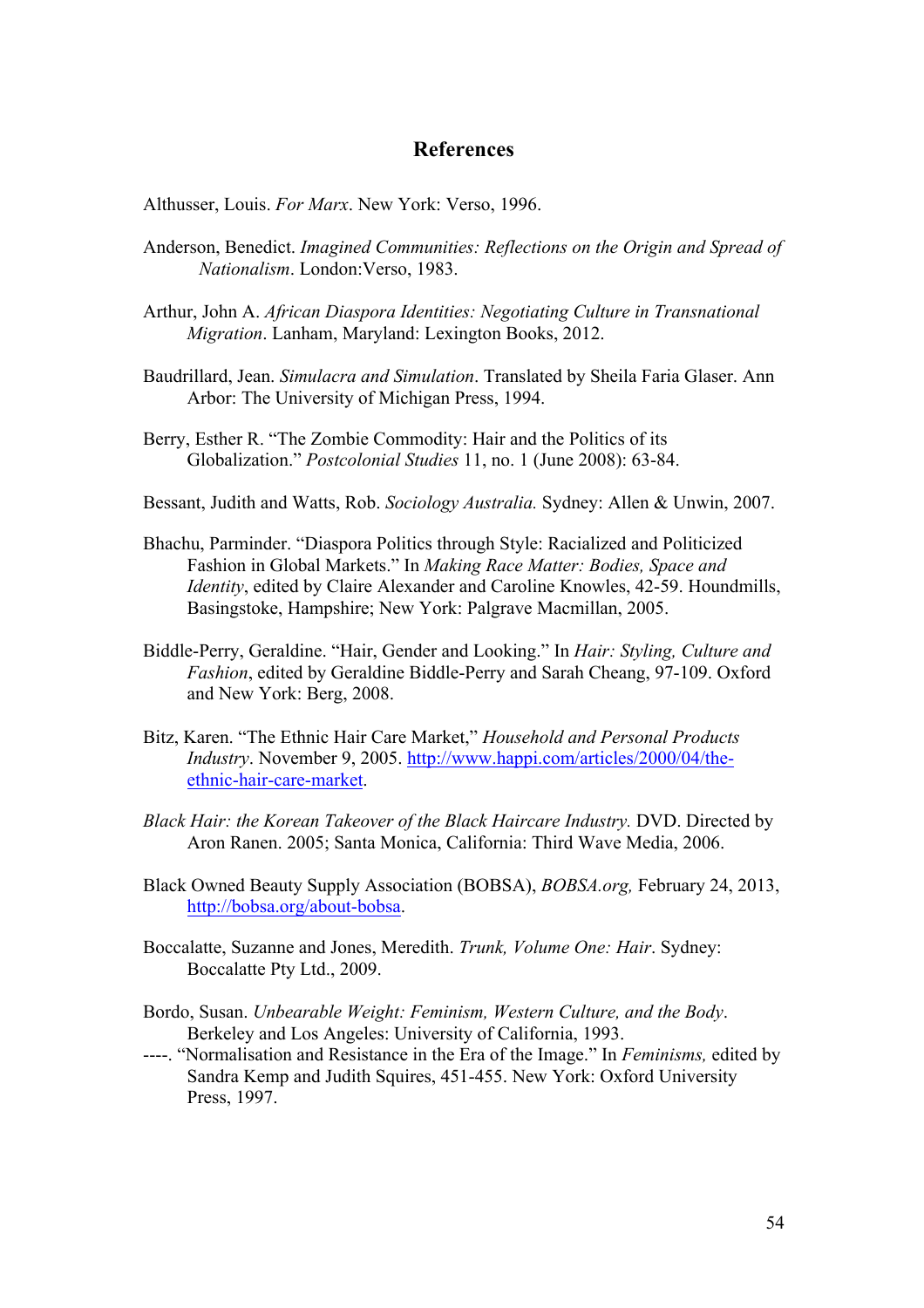#### **References**

Althusser, Louis. *For Marx*. New York: Verso, 1996.

- Anderson, Benedict. *Imagined Communities: Reflections on the Origin and Spread of Nationalism*. London:Verso, 1983.
- Arthur, John A. *African Diaspora Identities: Negotiating Culture in Transnational Migration*. Lanham, Maryland: Lexington Books, 2012.
- Baudrillard, Jean. *Simulacra and Simulation*. Translated by Sheila Faria Glaser. Ann Arbor: The University of Michigan Press, 1994.
- Berry, Esther R. "The Zombie Commodity: Hair and the Politics of its Globalization." *Postcolonial Studies* 11, no. 1 (June 2008): 63-84.
- Bessant, Judith and Watts, Rob. *Sociology Australia.* Sydney: Allen & Unwin, 2007.
- Bhachu, Parminder. "Diaspora Politics through Style: Racialized and Politicized Fashion in Global Markets." In *Making Race Matter: Bodies, Space and Identity*, edited by Claire Alexander and Caroline Knowles, 42-59. Houndmills, Basingstoke, Hampshire; New York: Palgrave Macmillan, 2005.
- Biddle-Perry, Geraldine. "Hair, Gender and Looking." In *Hair: Styling, Culture and Fashion*, edited by Geraldine Biddle-Perry and Sarah Cheang, 97-109. Oxford and New York: Berg, 2008.
- Bitz, Karen. "The Ethnic Hair Care Market," *Household and Personal Products Industry*. November 9, 2005. http://www.happi.com/articles/2000/04/theethnic-hair-care-market.
- *Black Hair: the Korean Takeover of the Black Haircare Industry.* DVD. Directed by Aron Ranen. 2005; Santa Monica, California: Third Wave Media, 2006.
- Black Owned Beauty Supply Association (BOBSA), *BOBSA.org,* February 24, 2013, http://bobsa.org/about-bobsa.
- Boccalatte, Suzanne and Jones, Meredith. *Trunk, Volume One: Hair*. Sydney: Boccalatte Pty Ltd., 2009.
- Bordo, Susan. *Unbearable Weight: Feminism, Western Culture, and the Body*. Berkeley and Los Angeles: University of California, 1993.
- ----. "Normalisation and Resistance in the Era of the Image." In *Feminisms,* edited by Sandra Kemp and Judith Squires, 451-455. New York: Oxford University Press, 1997.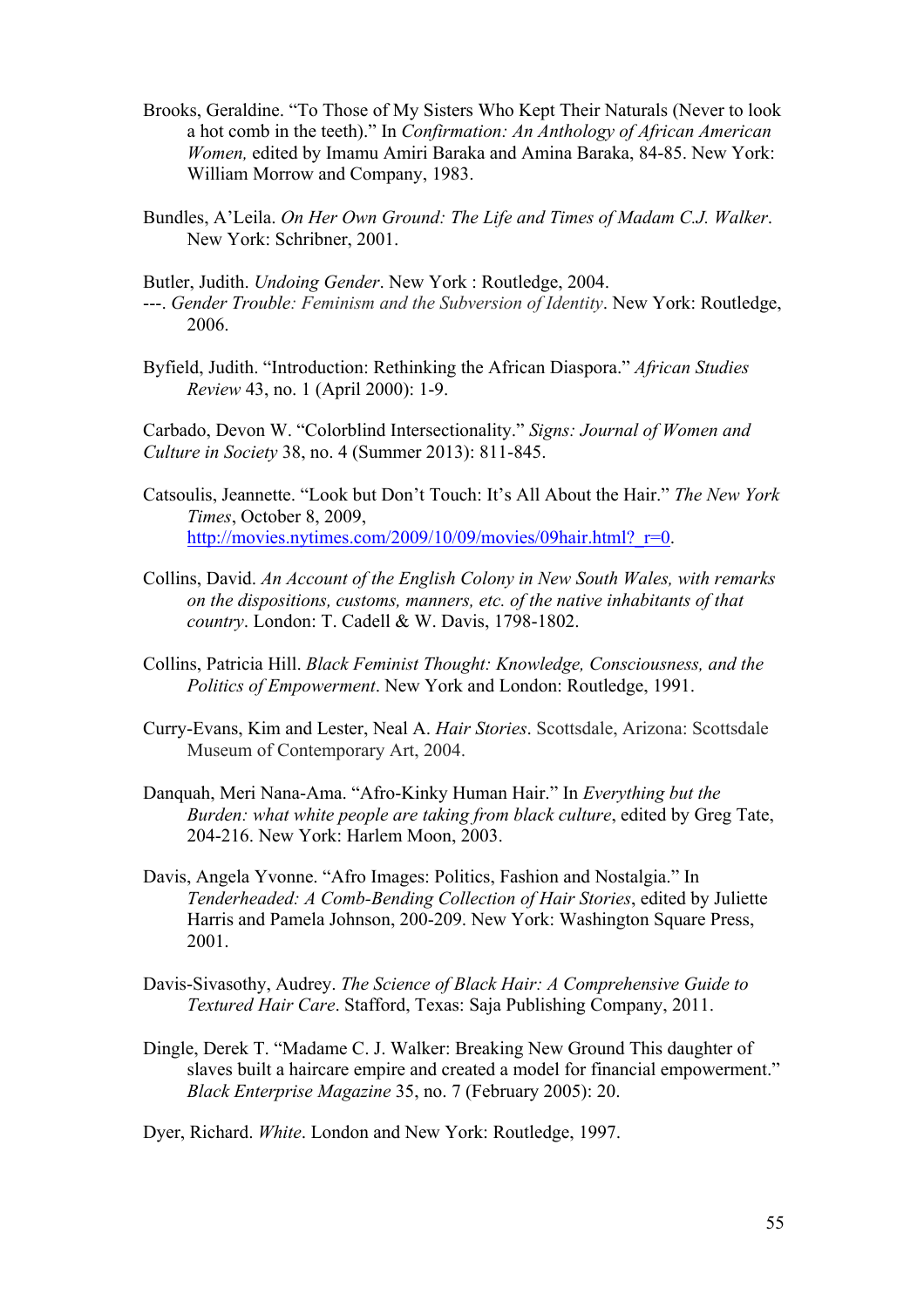- Brooks, Geraldine. "To Those of My Sisters Who Kept Their Naturals (Never to look a hot comb in the teeth)." In *Confirmation: An Anthology of African American Women,* edited by Imamu Amiri Baraka and Amina Baraka, 84-85. New York: William Morrow and Company, 1983.
- Bundles, A'Leila. *On Her Own Ground: The Life and Times of Madam C.J. Walker*. New York: Schribner, 2001.

Butler, Judith. *Undoing Gender*. New York : Routledge, 2004.

- ---. *Gender Trouble: Feminism and the Subversion of Identity*. New York: Routledge, 2006.
- Byfield, Judith. "Introduction: Rethinking the African Diaspora." *African Studies Review* 43, no. 1 (April 2000): 1-9.

Carbado, Devon W. "Colorblind Intersectionality." *Signs: Journal of Women and Culture in Society* 38, no. 4 (Summer 2013): 811-845.

- Catsoulis, Jeannette. "Look but Don't Touch: It's All About the Hair." *The New York Times*, October 8, 2009, http://movies.nytimes.com/2009/10/09/movies/09hair.html? r=0.
- Collins, David. *An Account of the English Colony in New South Wales, with remarks on the dispositions, customs, manners, etc. of the native inhabitants of that country*. London: T. Cadell & W. Davis, 1798-1802.
- Collins, Patricia Hill. *Black Feminist Thought: Knowledge, Consciousness, and the Politics of Empowerment*. New York and London: Routledge, 1991.
- Curry-Evans, Kim and Lester, Neal A. *Hair Stories*. Scottsdale, Arizona: Scottsdale Museum of Contemporary Art, 2004.
- Danquah, Meri Nana-Ama. "Afro-Kinky Human Hair." In *Everything but the Burden: what white people are taking from black culture*, edited by Greg Tate, 204-216. New York: Harlem Moon, 2003.
- Davis, Angela Yvonne. "Afro Images: Politics, Fashion and Nostalgia." In *Tenderheaded: A Comb-Bending Collection of Hair Stories*, edited by Juliette Harris and Pamela Johnson, 200-209. New York: Washington Square Press, 2001.
- Davis-Sivasothy, Audrey. *The Science of Black Hair: A Comprehensive Guide to Textured Hair Care*. Stafford, Texas: Saja Publishing Company, 2011.
- Dingle, Derek T. "Madame C. J. Walker: Breaking New Ground This daughter of slaves built a haircare empire and created a model for financial empowerment." *Black Enterprise Magazine* 35, no. 7 (February 2005): 20.

Dyer, Richard. *White*. London and New York: Routledge, 1997.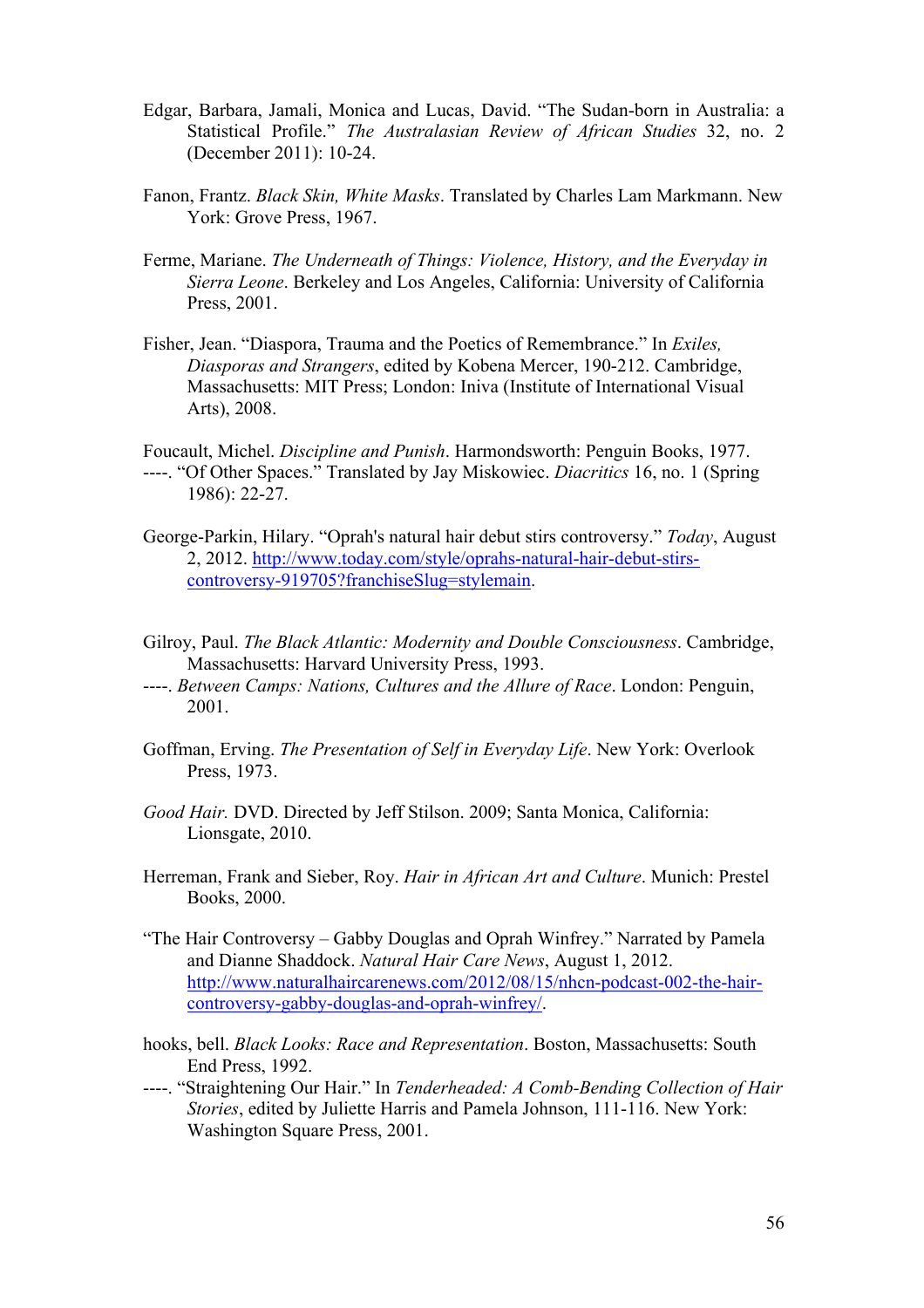- Edgar, Barbara, Jamali, Monica and Lucas, David. "The Sudan-born in Australia: a Statistical Profile." *The Australasian Review of African Studies* 32, no. 2 (December 2011): 10-24.
- Fanon, Frantz. *Black Skin, White Masks*. Translated by Charles Lam Markmann. New York: Grove Press, 1967.
- Ferme, Mariane. *The Underneath of Things: Violence, History, and the Everyday in Sierra Leone*. Berkeley and Los Angeles, California: University of California Press, 2001.
- Fisher, Jean. "Diaspora, Trauma and the Poetics of Remembrance." In *Exiles, Diasporas and Strangers*, edited by Kobena Mercer, 190-212. Cambridge, Massachusetts: MIT Press; London: Iniva (Institute of International Visual Arts), 2008.

Foucault, Michel. *Discipline and Punish*. Harmondsworth: Penguin Books, 1977. ----. "Of Other Spaces." Translated by Jay Miskowiec. *Diacritics* 16, no. 1 (Spring 1986): 22-27.

- George-Parkin, Hilary. "Oprah's natural hair debut stirs controversy." *Today*, August 2, 2012. http://www.today.com/style/oprahs-natural-hair-debut-stirscontroversy-919705?franchiseSlug=stylemain.
- Gilroy, Paul. *The Black Atlantic: Modernity and Double Consciousness*. Cambridge, Massachusetts: Harvard University Press, 1993.
- ----. *Between Camps: Nations, Cultures and the Allure of Race*. London: Penguin, 2001.
- Goffman, Erving. *The Presentation of Self in Everyday Life*. New York: Overlook Press, 1973.
- *Good Hair.* DVD. Directed by Jeff Stilson. 2009; Santa Monica, California: Lionsgate, 2010.
- Herreman, Frank and Sieber, Roy. *Hair in African Art and Culture*. Munich: Prestel Books, 2000.
- "The Hair Controversy Gabby Douglas and Oprah Winfrey." Narrated by Pamela and Dianne Shaddock. *Natural Hair Care News*, August 1, 2012. http://www.naturalhaircarenews.com/2012/08/15/nhcn-podcast-002-the-haircontroversy-gabby-douglas-and-oprah-winfrey/.
- hooks, bell. *Black Looks: Race and Representation*. Boston, Massachusetts: South End Press, 1992.
- ----. "Straightening Our Hair." In *Tenderheaded: A Comb-Bending Collection of Hair Stories*, edited by Juliette Harris and Pamela Johnson, 111-116. New York: Washington Square Press, 2001.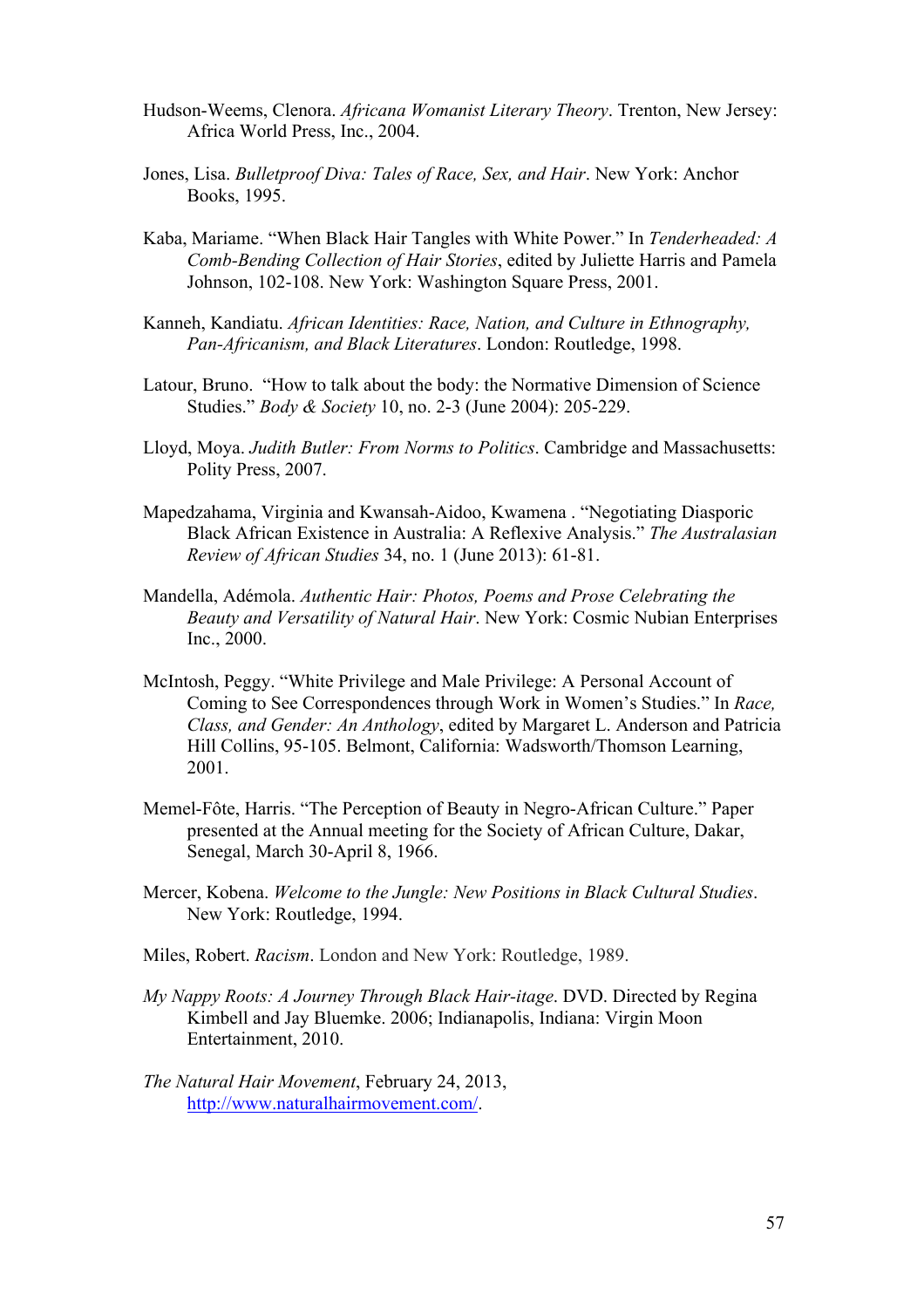- Hudson-Weems, Clenora. *Africana Womanist Literary Theory*. Trenton, New Jersey: Africa World Press, Inc., 2004.
- Jones, Lisa. *Bulletproof Diva: Tales of Race, Sex, and Hair*. New York: Anchor Books, 1995.
- Kaba, Mariame. "When Black Hair Tangles with White Power." In *Tenderheaded: A Comb-Bending Collection of Hair Stories*, edited by Juliette Harris and Pamela Johnson, 102-108. New York: Washington Square Press, 2001.
- Kanneh, Kandiatu. *African Identities: Race, Nation, and Culture in Ethnography, Pan-Africanism, and Black Literatures*. London: Routledge, 1998.
- Latour, Bruno. "How to talk about the body: the Normative Dimension of Science Studies." *Body & Society* 10, no. 2-3 (June 2004): 205-229.
- Lloyd, Moya. *Judith Butler: From Norms to Politics*. Cambridge and Massachusetts: Polity Press, 2007.
- Mapedzahama, Virginia and Kwansah-Aidoo, Kwamena . "Negotiating Diasporic Black African Existence in Australia: A Reflexive Analysis." *The Australasian Review of African Studies* 34, no. 1 (June 2013): 61-81.
- Mandella, Adémola. *Authentic Hair: Photos, Poems and Prose Celebrating the Beauty and Versatility of Natural Hair*. New York: Cosmic Nubian Enterprises Inc., 2000.
- McIntosh, Peggy. "White Privilege and Male Privilege: A Personal Account of Coming to See Correspondences through Work in Women's Studies." In *Race, Class, and Gender: An Anthology*, edited by Margaret L. Anderson and Patricia Hill Collins, 95-105. Belmont, California: Wadsworth/Thomson Learning, 2001.
- Memel-Fôte, Harris. "The Perception of Beauty in Negro-African Culture." Paper presented at the Annual meeting for the Society of African Culture, Dakar, Senegal, March 30-April 8, 1966.
- Mercer, Kobena. *Welcome to the Jungle: New Positions in Black Cultural Studies*. New York: Routledge, 1994.
- Miles, Robert. *Racism*. London and New York: Routledge, 1989.
- *My Nappy Roots: A Journey Through Black Hair-itage*. DVD. Directed by Regina Kimbell and Jay Bluemke. 2006; Indianapolis, Indiana: Virgin Moon Entertainment, 2010.
- *The Natural Hair Movement*, February 24, 2013, http://www.naturalhairmovement.com/.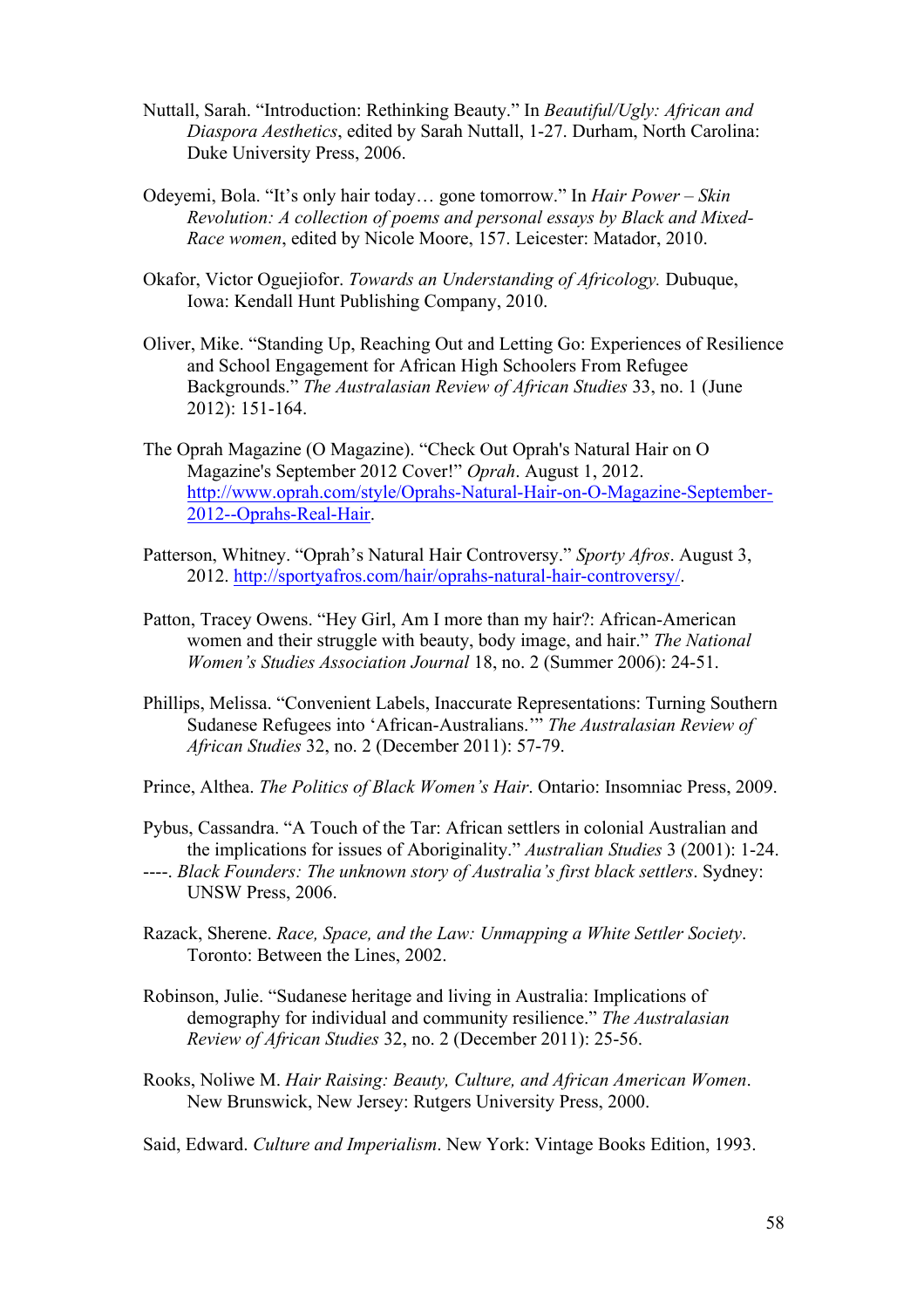- Nuttall, Sarah. "Introduction: Rethinking Beauty." In *Beautiful/Ugly: African and Diaspora Aesthetics*, edited by Sarah Nuttall, 1-27. Durham, North Carolina: Duke University Press, 2006.
- Odeyemi, Bola. "It's only hair today… gone tomorrow." In *Hair Power – Skin Revolution: A collection of poems and personal essays by Black and Mixed-Race women*, edited by Nicole Moore, 157. Leicester: Matador, 2010.
- Okafor, Victor Oguejiofor. *Towards an Understanding of Africology.* Dubuque, Iowa: Kendall Hunt Publishing Company, 2010.
- Oliver, Mike. "Standing Up, Reaching Out and Letting Go: Experiences of Resilience and School Engagement for African High Schoolers From Refugee Backgrounds." *The Australasian Review of African Studies* 33, no. 1 (June 2012): 151-164.
- The Oprah Magazine (O Magazine). "Check Out Oprah's Natural Hair on O Magazine's September 2012 Cover!" *Oprah*. August 1, 2012. http://www.oprah.com/style/Oprahs-Natural-Hair-on-O-Magazine-September-2012--Oprahs-Real-Hair.
- Patterson, Whitney. "Oprah's Natural Hair Controversy." *Sporty Afros*. August 3, 2012. http://sportyafros.com/hair/oprahs-natural-hair-controversy/.
- Patton, Tracey Owens. "Hey Girl, Am I more than my hair?: African-American women and their struggle with beauty, body image, and hair." *The National Women's Studies Association Journal* 18, no. 2 (Summer 2006): 24-51.
- Phillips, Melissa. "Convenient Labels, Inaccurate Representations: Turning Southern Sudanese Refugees into 'African-Australians.'" *The Australasian Review of African Studies* 32, no. 2 (December 2011): 57-79.
- Prince, Althea. *The Politics of Black Women's Hair*. Ontario: Insomniac Press, 2009.
- Pybus, Cassandra. "A Touch of the Tar: African settlers in colonial Australian and the implications for issues of Aboriginality." *Australian Studies* 3 (2001): 1-24.
- ----. *Black Founders: The unknown story of Australia's first black settlers*. Sydney: UNSW Press, 2006.
- Razack, Sherene. *Race, Space, and the Law: Unmapping a White Settler Society*. Toronto: Between the Lines, 2002.
- Robinson, Julie. "Sudanese heritage and living in Australia: Implications of demography for individual and community resilience." *The Australasian Review of African Studies* 32, no. 2 (December 2011): 25-56.
- Rooks, Noliwe M. *Hair Raising: Beauty, Culture, and African American Women*. New Brunswick, New Jersey: Rutgers University Press, 2000.
- Said, Edward. *Culture and Imperialism*. New York: Vintage Books Edition, 1993.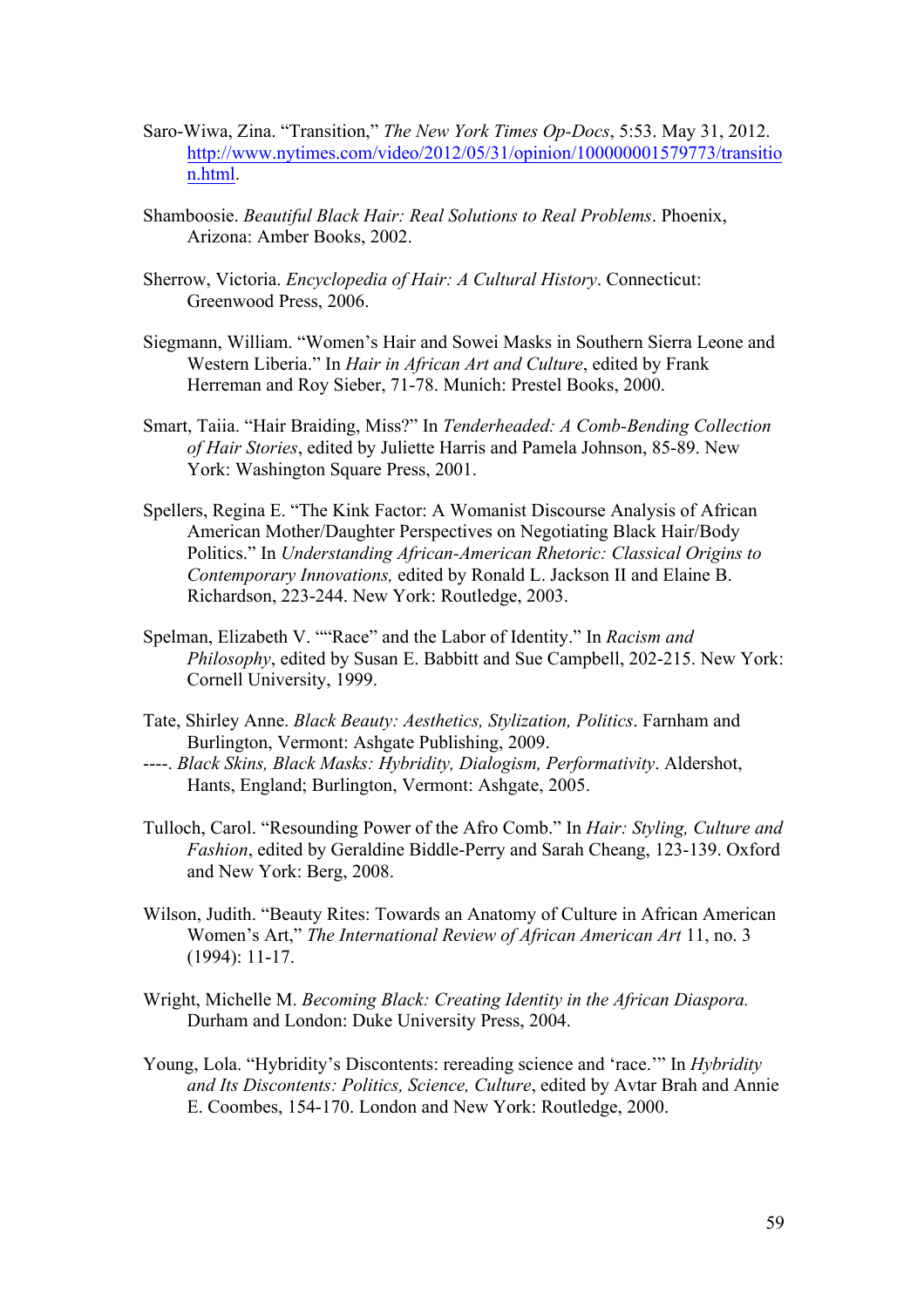- Saro-Wiwa, Zina. "Transition," *The New York Times Op-Docs*, 5:53. May 31, 2012. http://www.nytimes.com/video/2012/05/31/opinion/100000001579773/transitio n.html.
- Shamboosie. *Beautiful Black Hair: Real Solutions to Real Problems*. Phoenix, Arizona: Amber Books, 2002.
- Sherrow, Victoria. *Encyclopedia of Hair: A Cultural History*. Connecticut: Greenwood Press, 2006.
- Siegmann, William. "Women's Hair and Sowei Masks in Southern Sierra Leone and Western Liberia." In *Hair in African Art and Culture*, edited by Frank Herreman and Roy Sieber, 71-78. Munich: Prestel Books, 2000.
- Smart, Taiia. "Hair Braiding, Miss?" In *Tenderheaded: A Comb-Bending Collection of Hair Stories*, edited by Juliette Harris and Pamela Johnson, 85-89. New York: Washington Square Press, 2001.
- Spellers, Regina E. "The Kink Factor: A Womanist Discourse Analysis of African American Mother/Daughter Perspectives on Negotiating Black Hair/Body Politics." In *Understanding African-American Rhetoric: Classical Origins to Contemporary Innovations,* edited by Ronald L. Jackson II and Elaine B. Richardson, 223-244. New York: Routledge, 2003.
- Spelman, Elizabeth V. ""Race" and the Labor of Identity." In *Racism and Philosophy*, edited by Susan E. Babbitt and Sue Campbell, 202-215. New York: Cornell University, 1999.
- Tate, Shirley Anne. *Black Beauty: Aesthetics, Stylization, Politics*. Farnham and Burlington, Vermont: Ashgate Publishing, 2009.
- ----. *Black Skins, Black Masks: Hybridity, Dialogism, Performativity*. Aldershot, Hants, England; Burlington, Vermont: Ashgate, 2005.
- Tulloch, Carol. "Resounding Power of the Afro Comb." In *Hair: Styling, Culture and Fashion*, edited by Geraldine Biddle-Perry and Sarah Cheang, 123-139. Oxford and New York: Berg, 2008.
- Wilson, Judith. "Beauty Rites: Towards an Anatomy of Culture in African American Women's Art," *The International Review of African American Art* 11, no. 3 (1994): 11-17.
- Wright, Michelle M. *Becoming Black: Creating Identity in the African Diaspora.* Durham and London: Duke University Press, 2004.
- Young, Lola. "Hybridity's Discontents: rereading science and 'race.'" In *Hybridity and Its Discontents: Politics, Science, Culture*, edited by Avtar Brah and Annie E. Coombes, 154-170. London and New York: Routledge, 2000.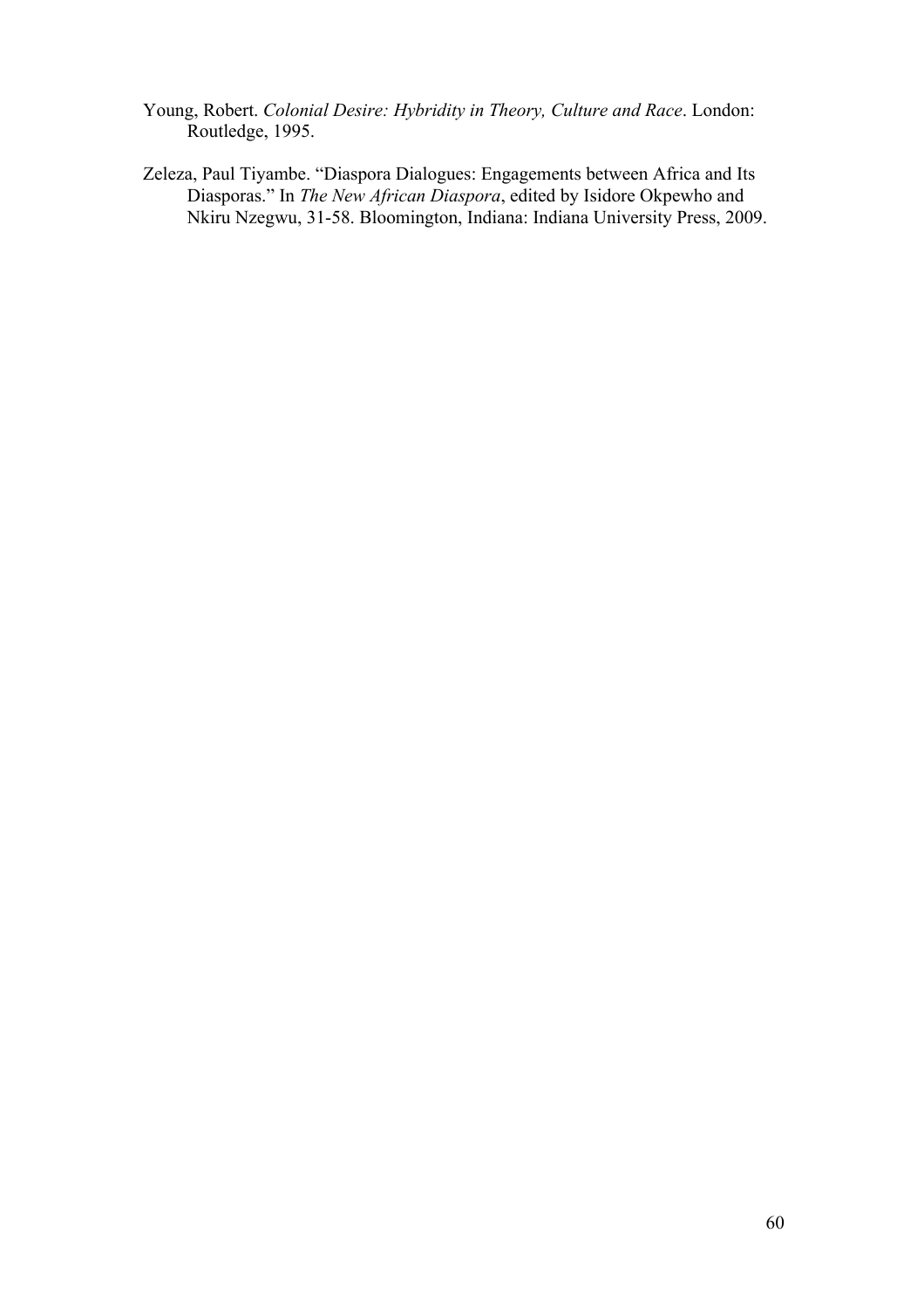- Young, Robert. *Colonial Desire: Hybridity in Theory, Culture and Race*. London: Routledge, 1995.
- Zeleza, Paul Tiyambe. "Diaspora Dialogues: Engagements between Africa and Its Diasporas." In *The New African Diaspora*, edited by Isidore Okpewho and Nkiru Nzegwu, 31-58. Bloomington, Indiana: Indiana University Press, 2009.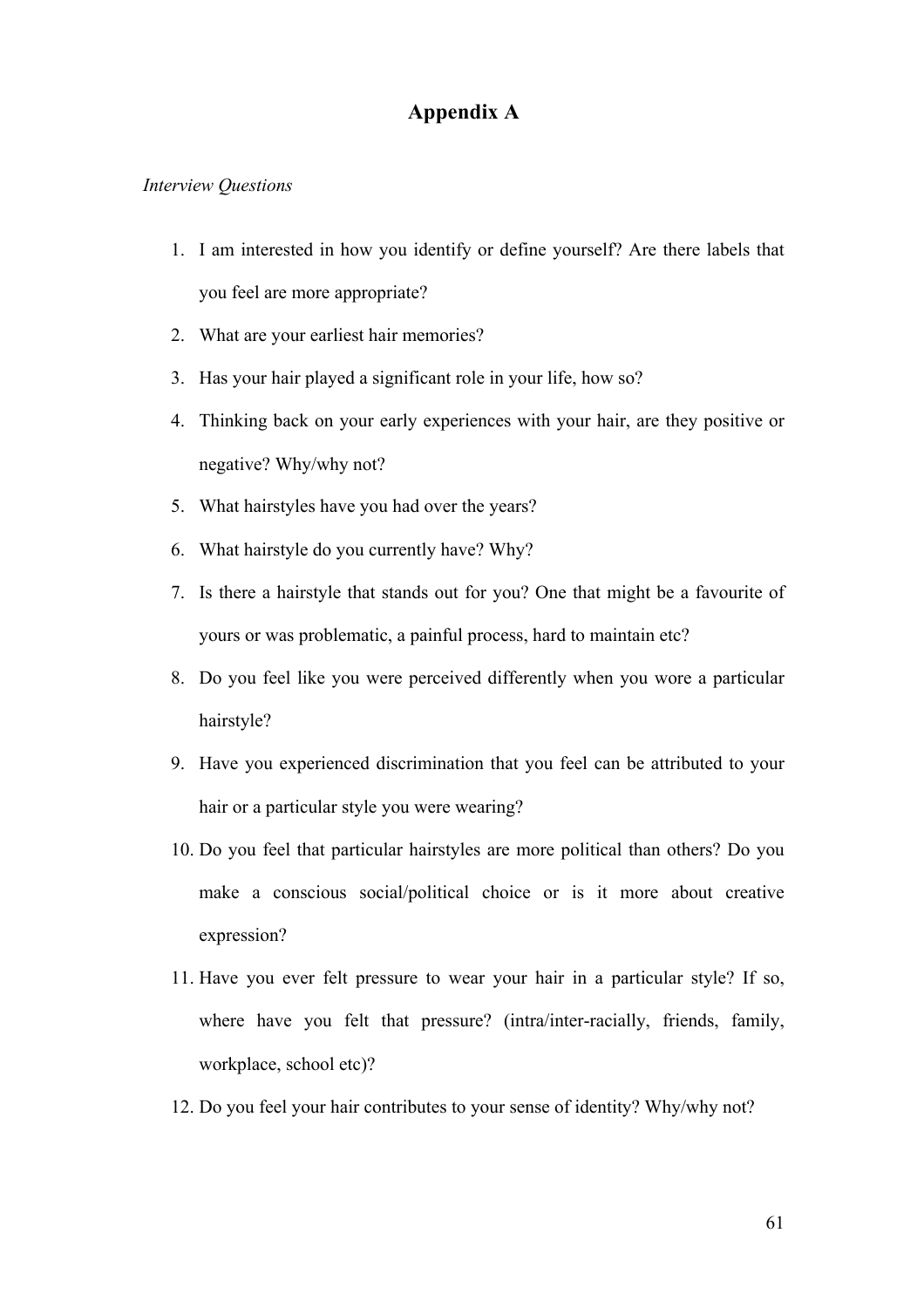### **Appendix A**

#### *Interview Questions*

- 1. I am interested in how you identify or define yourself? Are there labels that you feel are more appropriate?
- 2. What are your earliest hair memories?
- 3. Has your hair played a significant role in your life, how so?
- 4. Thinking back on your early experiences with your hair, are they positive or negative? Why/why not?
- 5. What hairstyles have you had over the years?
- 6. What hairstyle do you currently have? Why?
- 7. Is there a hairstyle that stands out for you? One that might be a favourite of yours or was problematic, a painful process, hard to maintain etc?
- 8. Do you feel like you were perceived differently when you wore a particular hairstyle?
- 9. Have you experienced discrimination that you feel can be attributed to your hair or a particular style you were wearing?
- 10. Do you feel that particular hairstyles are more political than others? Do you make a conscious social/political choice or is it more about creative expression?
- 11. Have you ever felt pressure to wear your hair in a particular style? If so, where have you felt that pressure? (intra/inter-racially, friends, family, workplace, school etc)?
- 12. Do you feel your hair contributes to your sense of identity? Why/why not?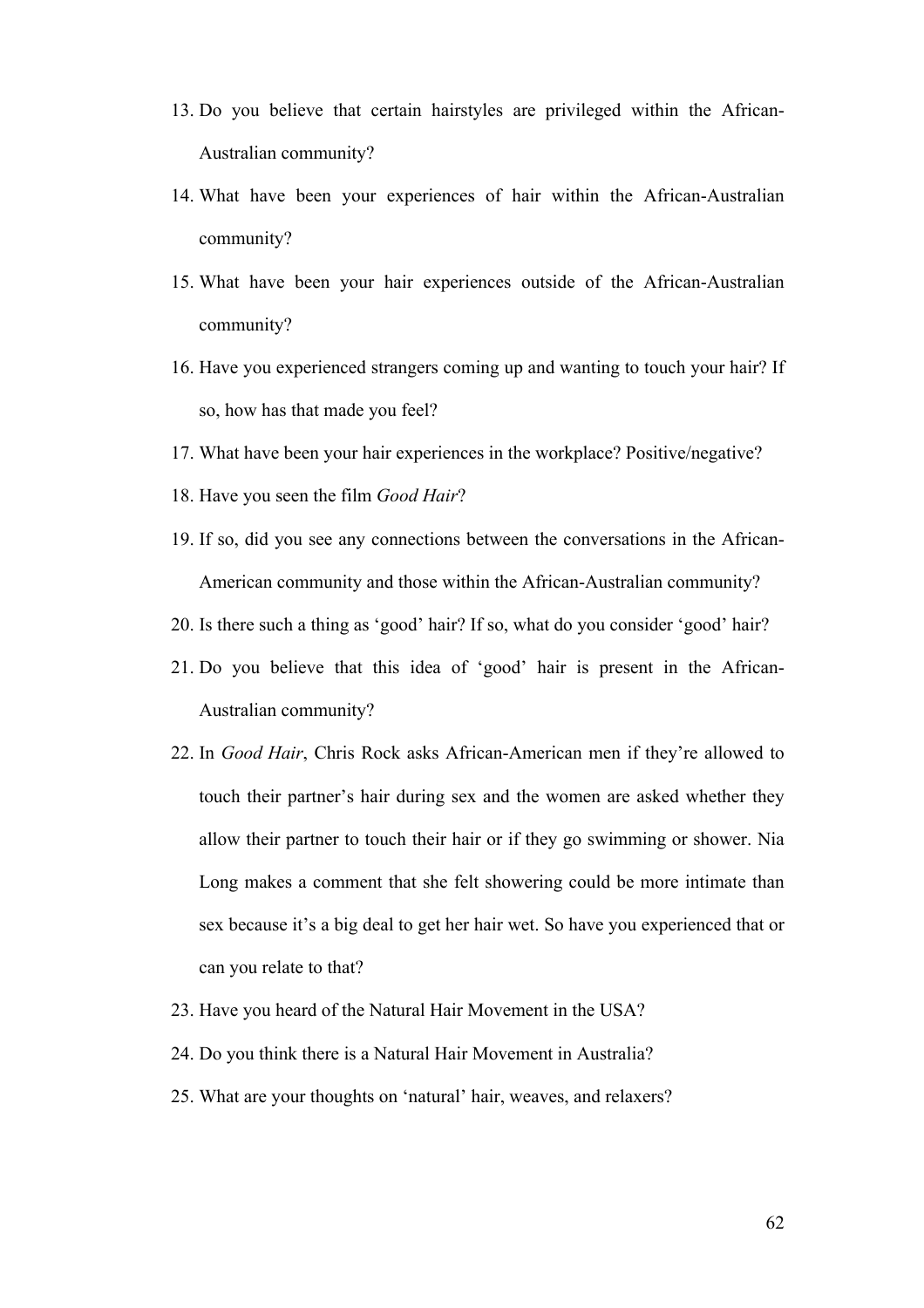- 13. Do you believe that certain hairstyles are privileged within the African-Australian community?
- 14. What have been your experiences of hair within the African-Australian community?
- 15. What have been your hair experiences outside of the African-Australian community?
- 16. Have you experienced strangers coming up and wanting to touch your hair? If so, how has that made you feel?
- 17. What have been your hair experiences in the workplace? Positive/negative?
- 18. Have you seen the film *Good Hair*?
- 19. If so, did you see any connections between the conversations in the African-American community and those within the African-Australian community?
- 20. Is there such a thing as 'good' hair? If so, what do you consider 'good' hair?
- 21. Do you believe that this idea of 'good' hair is present in the African-Australian community?
- 22. In *Good Hair*, Chris Rock asks African-American men if they're allowed to touch their partner's hair during sex and the women are asked whether they allow their partner to touch their hair or if they go swimming or shower. Nia Long makes a comment that she felt showering could be more intimate than sex because it's a big deal to get her hair wet. So have you experienced that or can you relate to that?
- 23. Have you heard of the Natural Hair Movement in the USA?
- 24. Do you think there is a Natural Hair Movement in Australia?
- 25. What are your thoughts on 'natural' hair, weaves, and relaxers?